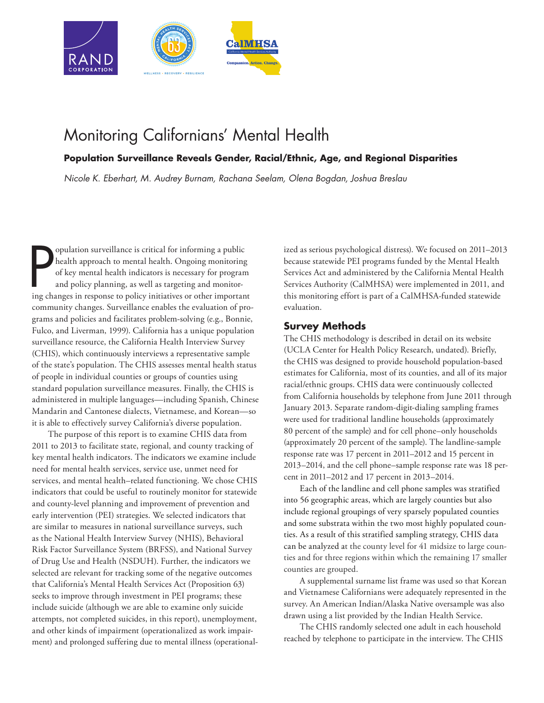

# [Monitoring Californians' Mental Health](https://www.rand.org/pubs/research_reports/RR2060.html)

# **Population Surveillance Reveals Gender, Racial/Ethnic, Age, and Regional Disparities**

*Nicole K. Eberhart, M. Audrey Burnam, Rachana Seelam, Olena Bogdan, Joshua Breslau*

population surveillance is critical for informing a public<br>health approach to mental health. Ongoing monitoring<br>of key mental health indicators is necessary for program<br>and policy planning, as well as targeting and monitor opulation surveillance is critical for informing a public health approach to mental health. Ongoing monitoring of key mental health indicators is necessary for program and policy planning, as well as targeting and monitorcommunity changes. Surveillance enables the evaluation of programs and policies and facilitates problem-solving (e.g., Bonnie, Fulco, and Liverman, 1999). California has a unique population surveillance resource, the California Health Interview Survey (CHIS), which continuously interviews a representative sample of the state's population. The CHIS assesses mental health status of people in individual counties or groups of counties using standard population surveillance measures. Finally, the CHIS is administered in multiple languages—including Spanish, Chinese Mandarin and Cantonese dialects, Vietnamese, and Korean—so it is able to effectively survey California's diverse population.

The purpose of this report is to examine CHIS data from 2011 to 2013 to facilitate state, regional, and county tracking of key mental health indicators. The indicators we examine include need for mental health services, service use, unmet need for services, and mental health–related functioning. We chose CHIS indicators that could be useful to routinely monitor for statewide and county-level planning and improvement of prevention and early intervention (PEI) strategies. We selected indicators that are similar to measures in national surveillance surveys, such as the National Health Interview Survey (NHIS), Behavioral Risk Factor Surveillance System (BRFSS), and National Survey of Drug Use and Health (NSDUH). Further, the indicators we selected are relevant for tracking some of the negative outcomes that California's Mental Health Services Act (Proposition 63) seeks to improve through investment in PEI programs; these include suicide (although we are able to examine only suicide attempts, not completed suicides, in this report), unemployment, and other kinds of impairment (operationalized as work impairment) and prolonged suffering due to mental illness (operational-

ized as serious psychological distress). We focused on 2011–2013 because statewide PEI programs funded by the Mental Health Services Act and administered by the California Mental Health Services Authority (CalMHSA) were implemented in 2011, and this monitoring effort is part of a CalMHSA-funded statewide evaluation.

# **Survey Methods**

The CHIS methodology is described in detail on its website (UCLA Center for Health Policy Research, undated). Briefly, the CHIS was designed to provide household population-based estimates for California, most of its counties, and all of its major racial/ethnic groups. CHIS data were continuously collected from California households by telephone from June 2011 through January 2013. Separate random-digit-dialing sampling frames were used for traditional landline households (approximately 80 percent of the sample) and for cell phone–only households (approximately 20 percent of the sample). The landline-sample response rate was 17 percent in 2011–2012 and 15 percent in 2013–2014, and the cell phone–sample response rate was 18 percent in 2011–2012 and 17 percent in 2013–2014.

Each of the landline and cell phone samples was stratified into 56 geographic areas, which are largely counties but also include regional groupings of very sparsely populated counties and some substrata within the two most highly populated counties. As a result of this stratified sampling strategy, CHIS data can be analyzed at the county level for 41 midsize to large counties and for three regions within which the remaining 17 smaller counties are grouped.

A supplemental surname list frame was used so that Korean and Vietnamese Californians were adequately represented in the survey. An American Indian/Alaska Native oversample was also drawn using a list provided by the Indian Health Service.

The CHIS randomly selected one adult in each household reached by telephone to participate in the interview. The CHIS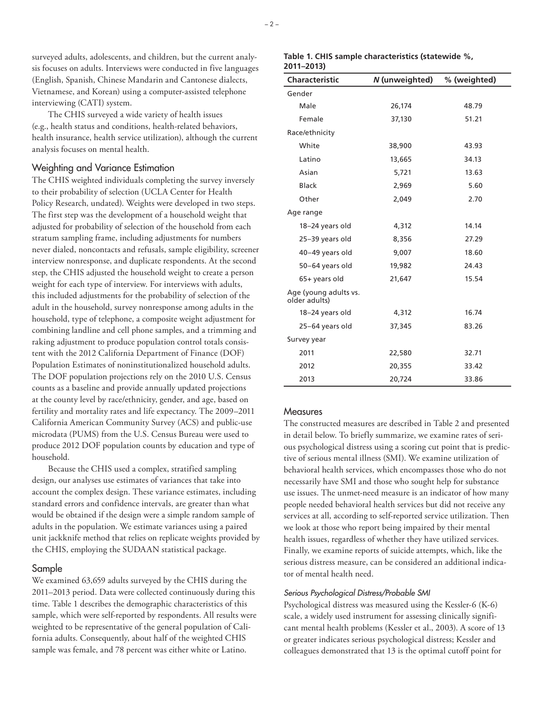surveyed adults, adolescents, and children, but the current analysis focuses on adults. Interviews were conducted in five languages (English, Spanish, Chinese Mandarin and Cantonese dialects, Vietnamese, and Korean) using a computer-assisted telephone interviewing (CATI) system.

The CHIS surveyed a wide variety of health issues (e.g., health status and conditions, health-related behaviors, health insurance, health service utilization), although the current analysis focuses on mental health.

#### Weighting and Variance Estimation

The CHIS weighted individuals completing the survey inversely to their probability of selection (UCLA Center for Health Policy Research, undated). Weights were developed in two steps. The first step was the development of a household weight that adjusted for probability of selection of the household from each stratum sampling frame, including adjustments for numbers never dialed, noncontacts and refusals, sample eligibility, screener interview nonresponse, and duplicate respondents. At the second step, the CHIS adjusted the household weight to create a person weight for each type of interview. For interviews with adults, this included adjustments for the probability of selection of the adult in the household, survey nonresponse among adults in the household, type of telephone, a composite weight adjustment for combining landline and cell phone samples, and a trimming and raking adjustment to produce population control totals consistent with the 2012 California Department of Finance (DOF) Population Estimates of noninstitutionalized household adults. The DOF population projections rely on the 2010 U.S. Census counts as a baseline and provide annually updated projections at the county level by race/ethnicity, gender, and age, based on fertility and mortality rates and life expectancy. The 2009–2011 California American Community Survey (ACS) and public-use microdata (PUMS) from the U.S. Census Bureau were used to produce 2012 DOF population counts by education and type of household.

Because the CHIS used a complex, stratified sampling design, our analyses use estimates of variances that take into account the complex design. These variance estimates, including standard errors and confidence intervals, are greater than what would be obtained if the design were a simple random sample of adults in the population. We estimate variances using a paired unit jackknife method that relies on replicate weights provided by the CHIS, employing the SUDAAN statistical package.

### Sample

We examined 63,659 adults surveyed by the CHIS during the 2011–2013 period. Data were collected continuously during this time. Table 1 describes the demographic characteristics of this sample, which were self-reported by respondents. All results were weighted to be representative of the general population of California adults. Consequently, about half of the weighted CHIS sample was female, and 78 percent was either white or Latino.

#### **Table 1. CHIS sample characteristics (statewide %, 2011–2013)**

| <b>Characteristic</b>                  | N (unweighted) | % (weighted) |
|----------------------------------------|----------------|--------------|
| Gender                                 |                |              |
| Male                                   | 26,174         | 48.79        |
| Female                                 | 37,130         | 51.21        |
| Race/ethnicity                         |                |              |
| White                                  | 38,900         | 43.93        |
| Latino                                 | 13,665         | 34.13        |
| Asian                                  | 5,721          | 13.63        |
| <b>Black</b>                           | 2,969          | 5.60         |
| Other                                  | 2,049          | 2.70         |
| Age range                              |                |              |
| 18-24 years old                        | 4,312          | 14.14        |
| 25-39 years old                        | 8,356          | 27.29        |
| 40-49 years old                        | 9,007          | 18.60        |
| 50-64 years old                        | 19,982         | 24.43        |
| 65+ years old                          | 21,647         | 15.54        |
| Age (young adults vs.<br>older adults) |                |              |
| 18-24 years old                        | 4,312          | 16.74        |
| 25-64 years old                        | 37,345         | 83.26        |
| Survey year                            |                |              |
| 2011                                   | 22,580         | 32.71        |
| 2012                                   | 20,355         | 33.42        |
| 2013                                   | 20,724         | 33.86        |

#### **Measures**

The constructed measures are described in Table 2 and presented in detail below. To briefly summarize, we examine rates of serious psychological distress using a scoring cut point that is predictive of serious mental illness (SMI). We examine utilization of behavioral health services, which encompasses those who do not necessarily have SMI and those who sought help for substance use issues. The unmet-need measure is an indicator of how many people needed behavioral health services but did not receive any services at all, according to self-reported service utilization. Then we look at those who report being impaired by their mental health issues, regardless of whether they have utilized services. Finally, we examine reports of suicide attempts, which, like the serious distress measure, can be considered an additional indicator of mental health need.

#### *Serious Psychological Distress/Probable SMI*

Psychological distress was measured using the Kessler-6 (K-6) scale, a widely used instrument for assessing clinically significant mental health problems (Kessler et al., 2003). A score of 13 or greater indicates serious psychological distress; Kessler and colleagues demonstrated that 13 is the optimal cutoff point for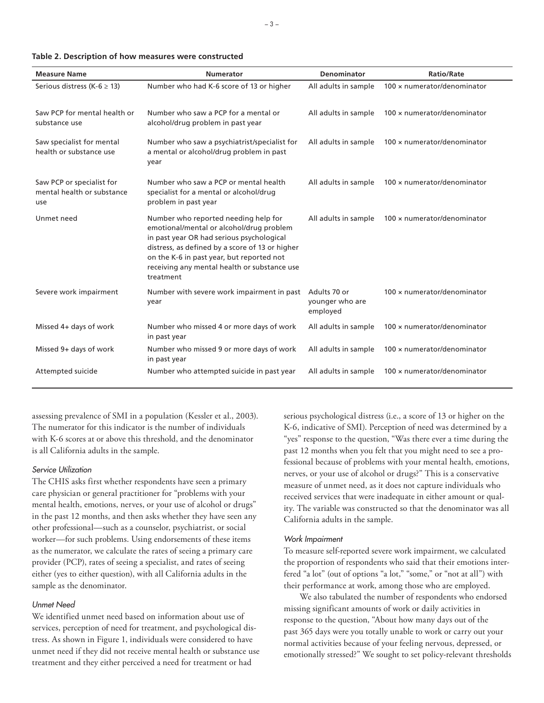| <b>Measure Name</b>                                            | <b>Numerator</b>                                                                                                                                                                                                                                                                           | Denominator                                 | <b>Ratio/Rate</b>                  |
|----------------------------------------------------------------|--------------------------------------------------------------------------------------------------------------------------------------------------------------------------------------------------------------------------------------------------------------------------------------------|---------------------------------------------|------------------------------------|
| Serious distress (K-6 $\geq$ 13)                               | Number who had K-6 score of 13 or higher                                                                                                                                                                                                                                                   | All adults in sample                        | 100 x numerator/denominator        |
| Saw PCP for mental health or<br>substance use                  | Number who saw a PCP for a mental or<br>alcohol/drug problem in past year                                                                                                                                                                                                                  | All adults in sample                        | $100 \times$ numerator/denominator |
| Saw specialist for mental<br>health or substance use           | Number who saw a psychiatrist/specialist for<br>a mental or alcohol/drug problem in past<br>year                                                                                                                                                                                           | All adults in sample                        | 100 x numerator/denominator        |
| Saw PCP or specialist for<br>mental health or substance<br>use | Number who saw a PCP or mental health<br>specialist for a mental or alcohol/drug<br>problem in past year                                                                                                                                                                                   | All adults in sample                        | 100 × numerator/denominator        |
| Unmet need                                                     | Number who reported needing help for<br>emotional/mental or alcohol/drug problem<br>in past year OR had serious psychological<br>distress, as defined by a score of 13 or higher<br>on the K-6 in past year, but reported not<br>receiving any mental health or substance use<br>treatment | All adults in sample                        | 100 x numerator/denominator        |
| Severe work impairment                                         | Number with severe work impairment in past<br>year                                                                                                                                                                                                                                         | Adults 70 or<br>younger who are<br>employed | $100 \times$ numerator/denominator |
| Missed 4+ days of work                                         | Number who missed 4 or more days of work<br>in past year                                                                                                                                                                                                                                   | All adults in sample                        | $100 \times$ numerator/denominator |
| Missed 9+ days of work                                         | Number who missed 9 or more days of work<br>in past year                                                                                                                                                                                                                                   | All adults in sample                        | $100 \times$ numerator/denominator |
| Attempted suicide                                              | Number who attempted suicide in past year                                                                                                                                                                                                                                                  | All adults in sample                        | $100 \times$ numerator/denominator |

| Table 2. Description of how measures were constructed |  |  |  |
|-------------------------------------------------------|--|--|--|
|-------------------------------------------------------|--|--|--|

assessing prevalence of SMI in a population (Kessler et al., 2003). The numerator for this indicator is the number of individuals with K-6 scores at or above this threshold, and the denominator is all California adults in the sample.

#### *Service Utilization*

The CHIS asks first whether respondents have seen a primary care physician or general practitioner for "problems with your mental health, emotions, nerves, or your use of alcohol or drugs" in the past 12 months, and then asks whether they have seen any other professional—such as a counselor, psychiatrist, or social worker—for such problems. Using endorsements of these items as the numerator, we calculate the rates of seeing a primary care provider (PCP), rates of seeing a specialist, and rates of seeing either (yes to either question), with all California adults in the sample as the denominator.

#### *Unmet Need*

We identified unmet need based on information about use of services, perception of need for treatment, and psychological distress. As shown in Figure 1, individuals were considered to have unmet need if they did not receive mental health or substance use treatment and they either perceived a need for treatment or had

serious psychological distress (i.e., a score of 13 or higher on the K-6, indicative of SMI). Perception of need was determined by a "yes" response to the question, "Was there ever a time during the past 12 months when you felt that you might need to see a professional because of problems with your mental health, emotions, nerves, or your use of alcohol or drugs?" This is a conservative measure of unmet need, as it does not capture individuals who received services that were inadequate in either amount or quality. The variable was constructed so that the denominator was all California adults in the sample.

#### *Work Impairment*

To measure self-reported severe work impairment, we calculated the proportion of respondents who said that their emotions interfered "a lot" (out of options "a lot," "some," or "not at all") with their performance at work, among those who are employed.

We also tabulated the number of respondents who endorsed missing significant amounts of work or daily activities in response to the question, "About how many days out of the past 365 days were you totally unable to work or carry out your normal activities because of your feeling nervous, depressed, or emotionally stressed?" We sought to set policy-relevant thresholds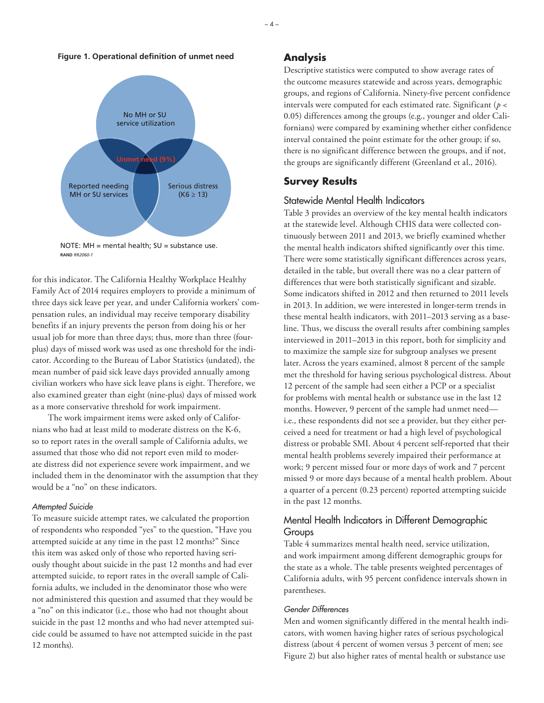#### **Figure 1. Operational definition of unmet need**



NOTE: MH = mental health; SU = substance use. **RAND** *RR2060-1*

for this indicator. The California Healthy Workplace Healthy Family Act of 2014 requires employers to provide a minimum of three days sick leave per year, and under California workers' compensation rules, an individual may receive temporary disability benefits if an injury prevents the person from doing his or her usual job for more than three days; thus, more than three (fourplus) days of missed work was used as one threshold for the indicator. According to the Bureau of Labor Statistics (undated), the mean number of paid sick leave days provided annually among civilian workers who have sick leave plans is eight. Therefore, we also examined greater than eight (nine-plus) days of missed work as a more conservative threshold for work impairment.

The work impairment items were asked only of Californians who had at least mild to moderate distress on the K-6, so to report rates in the overall sample of California adults, we assumed that those who did not report even mild to moderate distress did not experience severe work impairment, and we included them in the denominator with the assumption that they would be a "no" on these indicators.

#### *Attempted Suicide*

To measure suicide attempt rates, we calculated the proportion of respondents who responded "yes" to the question, "Have you attempted suicide at any time in the past 12 months?" Since this item was asked only of those who reported having seriously thought about suicide in the past 12 months and had ever attempted suicide, to report rates in the overall sample of California adults, we included in the denominator those who were not administered this question and assumed that they would be a "no" on this indicator (i.e., those who had not thought about suicide in the past 12 months and who had never attempted suicide could be assumed to have not attempted suicide in the past 12 months).

### **Analysis**

Descriptive statistics were computed to show average rates of the outcome measures statewide and across years, demographic groups, and regions of California. Ninety-five percent confidence intervals were computed for each estimated rate. Significant (*p* < 0.05) differences among the groups (e.g., younger and older Californians) were compared by examining whether either confidence interval contained the point estimate for the other group; if so, there is no significant difference between the groups, and if not, the groups are significantly different (Greenland et al., 2016).

### **Survey Results**

### Statewide Mental Health Indicators

Table 3 provides an overview of the key mental health indicators at the statewide level. Although CHIS data were collected continuously between 2011 and 2013, we briefly examined whether the mental health indicators shifted significantly over this time. There were some statistically significant differences across years, detailed in the table, but overall there was no a clear pattern of differences that were both statistically significant and sizable. Some indicators shifted in 2012 and then returned to 2011 levels in 2013. In addition, we were interested in longer-term trends in these mental health indicators, with 2011–2013 serving as a baseline. Thus, we discuss the overall results after combining samples interviewed in 2011–2013 in this report, both for simplicity and to maximize the sample size for subgroup analyses we present later. Across the years examined, almost 8 percent of the sample met the threshold for having serious psychological distress. About 12 percent of the sample had seen either a PCP or a specialist for problems with mental health or substance use in the last 12 months. However, 9 percent of the sample had unmet need i.e., these respondents did not see a provider, but they either perceived a need for treatment or had a high level of psychological distress or probable SMI. About 4 percent self-reported that their mental health problems severely impaired their performance at work; 9 percent missed four or more days of work and 7 percent missed 9 or more days because of a mental health problem. About a quarter of a percent (0.23 percent) reported attempting suicide in the past 12 months.

# Mental Health Indicators in Different Demographic Groups

Table 4 summarizes mental health need, service utilization, and work impairment among different demographic groups for the state as a whole. The table presents weighted percentages of California adults, with 95 percent confidence intervals shown in parentheses.

#### *Gender Differences*

Men and women significantly differed in the mental health indicators, with women having higher rates of serious psychological distress (about 4 percent of women versus 3 percent of men; see Figure 2) but also higher rates of mental health or substance use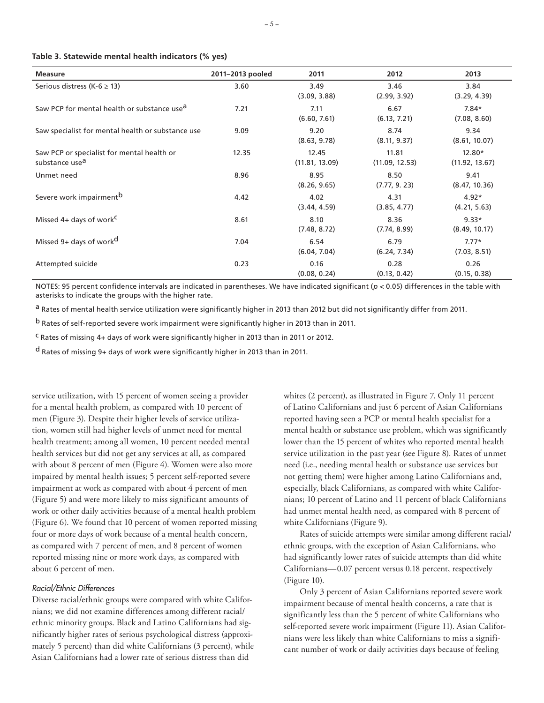| Table 3. Statewide mental health indicators (% yes) |  |  |  |  |  |  |
|-----------------------------------------------------|--|--|--|--|--|--|
|-----------------------------------------------------|--|--|--|--|--|--|

| <b>Measure</b>                                                           | 2011-2013 pooled | 2011                    | 2012                    | 2013                     |
|--------------------------------------------------------------------------|------------------|-------------------------|-------------------------|--------------------------|
| Serious distress (K-6 $\ge$ 13)                                          | 3.60             | 3.49<br>(3.09, 3.88)    | 3.46<br>(2.99, 3.92)    | 3.84<br>(3.29, 4.39)     |
| Saw PCP for mental health or substance use <sup>d</sup>                  | 7.21             | 7.11<br>(6.60, 7.61)    | 6.67<br>(6.13, 7.21)    | $7.84*$<br>(7.08, 8.60)  |
| Saw specialist for mental health or substance use                        | 9.09             | 9.20<br>(8.63, 9.78)    | 8.74<br>(8.11, 9.37)    | 9.34<br>(8.61, 10.07)    |
| Saw PCP or specialist for mental health or<br>substance use <sup>a</sup> | 12.35            | 12.45<br>(11.81, 13.09) | 11.81<br>(11.09, 12.53) | 12.80*<br>(11.92, 13.67) |
| Unmet need                                                               | 8.96             | 8.95<br>(8.26, 9.65)    | 8.50<br>(7.77, 9.23)    | 9.41<br>(8.47, 10.36)    |
| Severe work impairment <sup>b</sup>                                      | 4.42             | 4.02<br>(3.44, 4.59)    | 4.31<br>(3.85, 4.77)    | $4.92*$<br>(4.21, 5.63)  |
| Missed 4+ days of work <sup>C</sup>                                      | 8.61             | 8.10<br>(7.48, 8.72)    | 8.36<br>(7.74, 8.99)    | $9.33*$<br>(8.49, 10.17) |
| Missed 9+ days of work <sup>d</sup>                                      | 7.04             | 6.54<br>(6.04, 7.04)    | 6.79<br>(6.24, 7.34)    | $7.77*$<br>(7.03, 8.51)  |
| Attempted suicide                                                        | 0.23             | 0.16<br>(0.08, 0.24)    | 0.28<br>(0.13, 0.42)    | 0.26<br>(0.15, 0.38)     |

NOTES: 95 percent confidence intervals are indicated in parentheses. We have indicated significant ( $p < 0.05$ ) differences in the table with asterisks to indicate the groups with the higher rate.

<sup>a</sup> Rates of mental health service utilization were significantly higher in 2013 than 2012 but did not significantly differ from 2011.

b Rates of self-reported severe work impairment were significantly higher in 2013 than in 2011.

c Rates of missing 4+ days of work were significantly higher in 2013 than in 2011 or 2012.

d Rates of missing 9+ days of work were significantly higher in 2013 than in 2011.

service utilization, with 15 percent of women seeing a provider for a mental health problem, as compared with 10 percent of men (Figure 3). Despite their higher levels of service utilization, women still had higher levels of unmet need for mental health treatment; among all women, 10 percent needed mental health services but did not get any services at all, as compared with about 8 percent of men (Figure 4). Women were also more impaired by mental health issues; 5 percent self-reported severe impairment at work as compared with about 4 percent of men (Figure 5) and were more likely to miss significant amounts of work or other daily activities because of a mental health problem (Figure 6). We found that 10 percent of women reported missing four or more days of work because of a mental health concern, as compared with 7 percent of men, and 8 percent of women reported missing nine or more work days, as compared with about 6 percent of men.

#### *Racial/Ethnic Differences*

Diverse racial/ethnic groups were compared with white Californians; we did not examine differences among different racial/ ethnic minority groups. Black and Latino Californians had significantly higher rates of serious psychological distress (approximately 5 percent) than did white Californians (3 percent), while Asian Californians had a lower rate of serious distress than did

whites (2 percent), as illustrated in Figure 7. Only 11 percent of Latino Californians and just 6 percent of Asian Californians reported having seen a PCP or mental health specialist for a mental health or substance use problem, which was significantly lower than the 15 percent of whites who reported mental health service utilization in the past year (see Figure 8). Rates of unmet need (i.e., needing mental health or substance use services but not getting them) were higher among Latino Californians and, especially, black Californians, as compared with white Californians; 10 percent of Latino and 11 percent of black Californians had unmet mental health need, as compared with 8 percent of white Californians (Figure 9).

Rates of suicide attempts were similar among different racial/ ethnic groups, with the exception of Asian Californians, who had significantly lower rates of suicide attempts than did white Californians—0.07 percent versus 0.18 percent, respectively (Figure 10).

Only 3 percent of Asian Californians reported severe work impairment because of mental health concerns, a rate that is significantly less than the 5 percent of white Californians who self-reported severe work impairment (Figure 11). Asian Californians were less likely than white Californians to miss a significant number of work or daily activities days because of feeling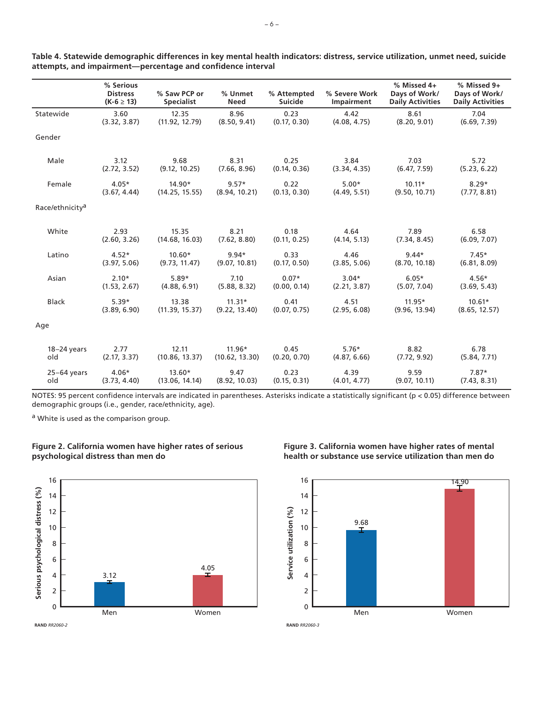|                             | % Serious<br><b>Distress</b><br>$(K-6 \ge 13)$ | % Saw PCP or<br><b>Specialist</b> | % Unmet<br><b>Need</b> | % Attempted<br><b>Suicide</b> | % Severe Work<br>Impairment | % Missed 4+<br>Days of Work/<br><b>Daily Activities</b> | % Missed 9+<br>Days of Work/<br><b>Daily Activities</b> |
|-----------------------------|------------------------------------------------|-----------------------------------|------------------------|-------------------------------|-----------------------------|---------------------------------------------------------|---------------------------------------------------------|
| Statewide                   | 3.60                                           | 12.35                             | 8.96                   | 0.23                          | 4.42                        | 8.61                                                    | 7.04                                                    |
|                             | (3.32, 3.87)                                   | (11.92, 12.79)                    | (8.50, 9.41)           | (0.17, 0.30)                  | (4.08, 4.75)                | (8.20, 9.01)                                            | (6.69, 7.39)                                            |
| Gender                      |                                                |                                   |                        |                               |                             |                                                         |                                                         |
| Male                        | 3.12                                           | 9.68                              | 8.31                   | 0.25                          | 3.84                        | 7.03                                                    | 5.72                                                    |
|                             | (2.72, 3.52)                                   | (9.12, 10.25)                     | (7.66, 8.96)           | (0.14, 0.36)                  | (3.34, 4.35)                | (6.47, 7.59)                                            | (5.23, 6.22)                                            |
| Female                      | $4.05*$                                        | $14.90*$                          | $9.57*$                | 0.22                          | $5.00*$                     | $10.11*$                                                | $8.29*$                                                 |
|                             | (3.67, 4.44)                                   | (14.25, 15.55)                    | (8.94, 10.21)          | (0.13, 0.30)                  | (4.49, 5.51)                | (9.50, 10.71)                                           | (7.77, 8.81)                                            |
| Race/ethnicity <sup>a</sup> |                                                |                                   |                        |                               |                             |                                                         |                                                         |
| White                       | 2.93                                           | 15.35                             | 8.21                   | 0.18                          | 4.64                        | 7.89                                                    | 6.58                                                    |
|                             | (2.60, 3.26)                                   | (14.68, 16.03)                    | (7.62, 8.80)           | (0.11, 0.25)                  | (4.14, 5.13)                | (7.34, 8.45)                                            | (6.09, 7.07)                                            |
| Latino                      | $4.52*$                                        | $10.60*$                          | $9.94*$                | 0.33                          | 4.46                        | $9.44*$                                                 | $7.45*$                                                 |
|                             | (3.97, 5.06)                                   | (9.73, 11.47)                     | (9.07, 10.81)          | (0.17, 0.50)                  | (3.85, 5.06)                | (8.70, 10.18)                                           | (6.81, 8.09)                                            |
| Asian                       | $2.10*$                                        | $5.89*$                           | 7.10                   | $0.07*$                       | $3.04*$                     | $6.05*$                                                 | $4.56*$                                                 |
|                             | (1.53, 2.67)                                   | (4.88, 6.91)                      | (5.88, 8.32)           | (0.00, 0.14)                  | (2.21, 3.87)                | (5.07, 7.04)                                            | (3.69, 5.43)                                            |
| <b>Black</b>                | $5.39*$                                        | 13.38                             | $11.31*$               | 0.41                          | 4.51                        | $11.95*$                                                | $10.61*$                                                |
|                             | (3.89, 6.90)                                   | (11.39, 15.37)                    | (9.22, 13.40)          | (0.07, 0.75)                  | (2.95, 6.08)                | (9.96, 13.94)                                           | (8.65, 12.57)                                           |
| Age                         |                                                |                                   |                        |                               |                             |                                                         |                                                         |
| $18-24$ years               | 2.77                                           | 12.11                             | $11.96*$               | 0.45                          | $5.76*$                     | 8.82                                                    | 6.78                                                    |
| old                         | (2.17, 3.37)                                   | (10.86, 13.37)                    | (10.62, 13.30)         | (0.20, 0.70)                  | (4.87, 6.66)                | (7.72, 9.92)                                            | (5.84, 7.71)                                            |
| $25-64$ years               | $4.06*$                                        | $13.60*$                          | 9.47                   | 0.23                          | 4.39                        | 9.59                                                    | $7.87*$                                                 |
| old                         | (3.73, 4.40)                                   | (13.06, 14.14)                    | (8.92, 10.03)          | (0.15, 0.31)                  | (4.01, 4.77)                | (9.07, 10.11)                                           | (7.43, 8.31)                                            |

**Table 4. Statewide demographic differences in key mental health indicators: distress, service utilization, unmet need, suicide attempts, and impairment—percentage and confidence interval**

NOTES: 95 percent confidence intervals are indicated in parentheses. Asterisks indicate a statistically significant (p < 0.05) difference between demographic groups (i.e., gender, race/ethnicity, age).

a White is used as the comparison group.





**Figure 3. California women have higher rates of mental health or substance use service utilization than men do**

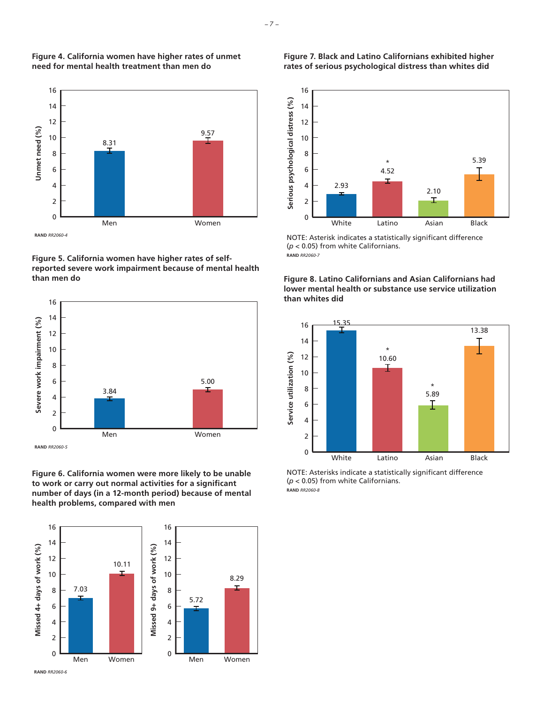

**Figure 4. California women have higher rates of unmet** 

**need for mental health treatment than men do**

**Figure 5. California women have higher rates of selfreported severe work impairment because of mental health than men do**



**Figure 6. California women were more likely to be unable to work or carry out normal activities for a significant number of days (in a 12-month period) because of mental health problems, compared with men**



**Figure 7. Black and Latino Californians exhibited higher rates of serious psychological distress than whites did**



NOTE: Asterisk indicates a statistically significant difference (*p* < 0.05) from white Californians. **RAND** *RR2060-7*





NOTE: Asterisks indicate a statistically significant difference (*p* < 0.05) from white Californians. **RAND** *RR2060-8*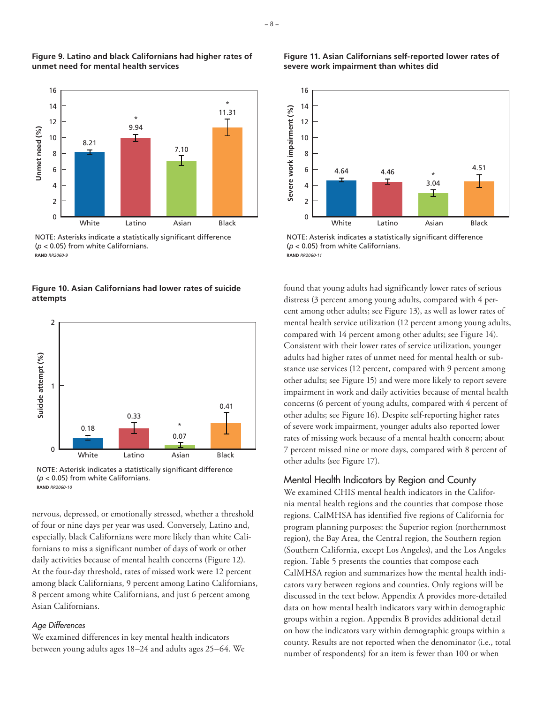

**Figure 9. Latino and black Californians had higher rates of unmet need for mental health services**

NOTE: Asterisks indicate a statistically significant difference (*p* < 0.05) from white Californians. **RAND** *RR2060-9*

**Figure 10. Asian Californians had lower rates of suicide attempts**



NOTE: Asterisk indicates a statistically significant difference (*p* < 0.05) from white Californians. **RAND** *RR2060-10*

nervous, depressed, or emotionally stressed, whether a threshold of four or nine days per year was used. Conversely, Latino and, especially, black Californians were more likely than white Californians to miss a significant number of days of work or other daily activities because of mental health concerns (Figure 12). At the four-day threshold, rates of missed work were 12 percent among black Californians, 9 percent among Latino Californians, 8 percent among white Californians, and just 6 percent among Asian Californians.

## *Age Differences*

We examined differences in key mental health indicators between young adults ages 18–24 and adults ages 25–64. We

### **Figure 11. Asian Californians self-reported lower rates of severe work impairment than whites did**



NOTE: Asterisk indicates a statistically significant difference (*p* < 0.05) from white Californians. **RAND** *RR2060-11*

found that young adults had significantly lower rates of serious distress (3 percent among young adults, compared with 4 percent among other adults; see Figure 13), as well as lower rates of mental health service utilization (12 percent among young adults, compared with 14 percent among other adults; see Figure 14). Consistent with their lower rates of service utilization, younger adults had higher rates of unmet need for mental health or substance use services (12 percent, compared with 9 percent among other adults; see Figure 15) and were more likely to report severe impairment in work and daily activities because of mental health concerns (6 percent of young adults, compared with 4 percent of other adults; see Figure 16). Despite self-reporting higher rates of severe work impairment, younger adults also reported lower rates of missing work because of a mental health concern; about 7 percent missed nine or more days, compared with 8 percent of other adults (see Figure 17).

# Mental Health Indicators by Region and County

We examined CHIS mental health indicators in the California mental health regions and the counties that compose those regions. CalMHSA has identified five regions of California for program planning purposes: the Superior region (northernmost region), the Bay Area, the Central region, the Southern region (Southern California, except Los Angeles), and the Los Angeles region. Table 5 presents the counties that compose each CalMHSA region and summarizes how the mental health indicators vary between regions and counties. Only regions will be discussed in the text below. Appendix A provides more-detailed data on how mental health indicators vary within demographic groups within a region. Appendix B provides additional detail on how the indicators vary within demographic groups within a county. Results are not reported when the denominator (i.e., total number of respondents) for an item is fewer than 100 or when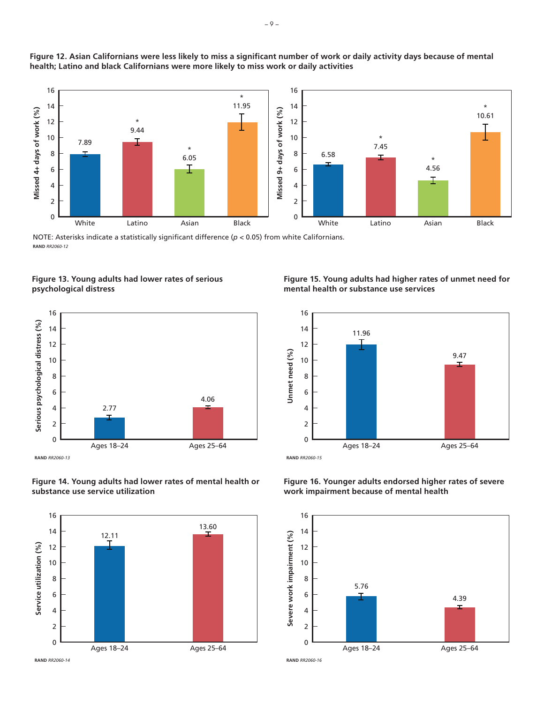

**Figure 12. Asian Californians were less likely to miss a significant number of work or daily activity days because of mental health; Latino and black Californians were more likely to miss work or daily activities**

NOTE: Asterisks indicate a statistically significant difference (*p* < 0.05) from white Californians. **RAND** *RR2060-12*

**Figure 13. Young adults had lower rates of serious psychological distress**



**Figure 14. Young adults had lower rates of mental health or substance use service utilization**



**Figure 15. Young adults had higher rates of unmet need for mental health or substance use services**



**Figure 16. Younger adults endorsed higher rates of severe work impairment because of mental health**

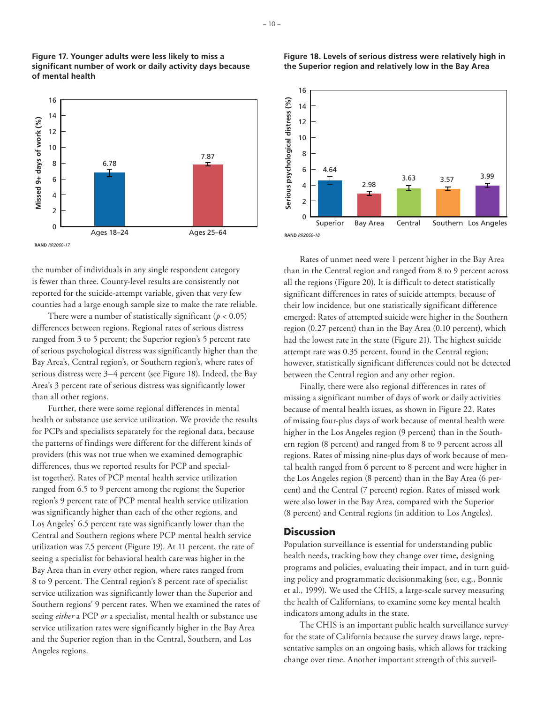

**Figure 17. Younger adults were less likely to miss a significant number of work or daily activity days because** 

**of mental health**

the number of individuals in any single respondent category is fewer than three. County-level results are consistently not reported for the suicide-attempt variable, given that very few counties had a large enough sample size to make the rate reliable.

There were a number of statistically significant ( $p < 0.05$ ) differences between regions. Regional rates of serious distress ranged from 3 to 5 percent; the Superior region's 5 percent rate of serious psychological distress was significantly higher than the Bay Area's, Central region's, or Southern region's, where rates of serious distress were 3–4 percent (see Figure 18). Indeed, the Bay Area's 3 percent rate of serious distress was significantly lower than all other regions.

Further, there were some regional differences in mental health or substance use service utilization. We provide the results for PCPs and specialists separately for the regional data, because the patterns of findings were different for the different kinds of providers (this was not true when we examined demographic differences, thus we reported results for PCP and specialist together). Rates of PCP mental health service utilization ranged from 6.5 to 9 percent among the regions; the Superior region's 9 percent rate of PCP mental health service utilization was significantly higher than each of the other regions, and Los Angeles' 6.5 percent rate was significantly lower than the Central and Southern regions where PCP mental health service utilization was 7.5 percent (Figure 19). At 11 percent, the rate of seeing a specialist for behavioral health care was higher in the Bay Area than in every other region, where rates ranged from 8 to 9 percent. The Central region's 8 percent rate of specialist service utilization was significantly lower than the Superior and Southern regions' 9 percent rates. When we examined the rates of seeing *either* a PCP *or* a specialist, mental health or substance use service utilization rates were significantly higher in the Bay Area and the Superior region than in the Central, Southern, and Los Angeles regions.



#### **Figure 18. Levels of serious distress were relatively high in the Superior region and relatively low in the Bay Area**



than in the Central region and ranged from 8 to 9 percent across all the regions (Figure 20). It is difficult to detect statistically significant differences in rates of suicide attempts, because of their low incidence, but one statistically significant difference emerged: Rates of attempted suicide were higher in the Southern region (0.27 percent) than in the Bay Area (0.10 percent), which had the lowest rate in the state (Figure 21). The highest suicide attempt rate was 0.35 percent, found in the Central region; however, statistically significant differences could not be detected between the Central region and any other region.

Finally, there were also regional differences in rates of missing a significant number of days of work or daily activities because of mental health issues, as shown in Figure 22. Rates of missing four-plus days of work because of mental health were higher in the Los Angeles region (9 percent) than in the Southern region (8 percent) and ranged from 8 to 9 percent across all regions. Rates of missing nine-plus days of work because of mental health ranged from 6 percent to 8 percent and were higher in the Los Angeles region (8 percent) than in the Bay Area (6 percent) and the Central (7 percent) region. Rates of missed work were also lower in the Bay Area, compared with the Superior (8 percent) and Central regions (in addition to Los Angeles).

### **Discussion**

Population surveillance is essential for understanding public health needs, tracking how they change over time, designing programs and policies, evaluating their impact, and in turn guiding policy and programmatic decisionmaking (see, e.g., Bonnie et al., 1999). We used the CHIS, a large-scale survey measuring the health of Californians, to examine some key mental health indicators among adults in the state.

The CHIS is an important public health surveillance survey for the state of California because the survey draws large, representative samples on an ongoing basis, which allows for tracking change over time. Another important strength of this surveil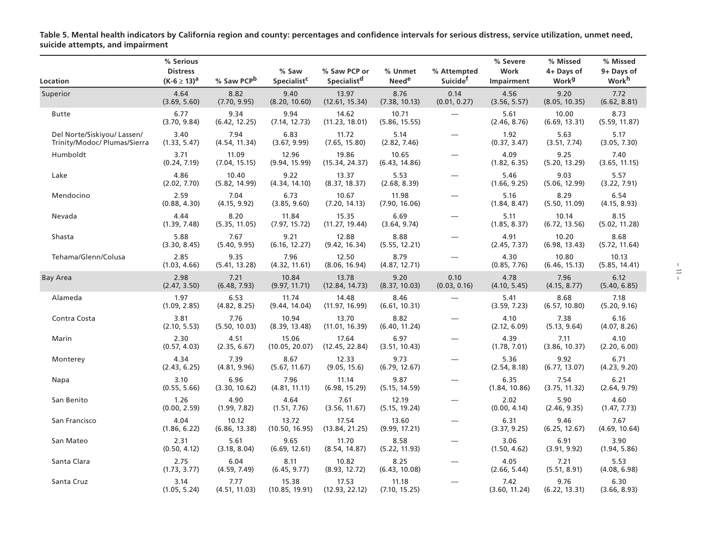**Table 5. Mental health indicators by California region and county: percentages and confidence intervals for serious distress, service utilization, unmet need, suicide attempts, and impairment** 

| Location                                                    | % Serious<br><b>Distress</b><br>$(K-6 \ge 13)^a$ | % Saw PCP <sup>b</sup> | % Saw<br>Specialist <sup>c</sup> | % Saw PCP or<br>Specialist <sup>d</sup> | % Unmet<br><b>Need<sup>e</sup></b> | % Attempted<br>Suicide <sup>†</sup> | % Severe<br>Work<br>Impairment | % Missed<br>4+ Days of<br><b>Work</b> <sup>g</sup> | % Missed<br>9+ Days of<br><b>Work</b> <sup>h</sup> |
|-------------------------------------------------------------|--------------------------------------------------|------------------------|----------------------------------|-----------------------------------------|------------------------------------|-------------------------------------|--------------------------------|----------------------------------------------------|----------------------------------------------------|
| Superior                                                    | 4.64<br>(3.69, 5.60)                             | 8.82<br>(7.70, 9.95)   | 9.40<br>(8.20, 10.60)            | 13.97<br>(12.61, 15.34)                 | 8.76<br>(7.38, 10.13)              | 0.14<br>(0.01, 0.27)                | 4.56<br>(3.56, 5.57)           | 9.20<br>(8.05, 10.35)                              | 7.72<br>(6.62, 8.81)                               |
| <b>Butte</b>                                                | 6.77<br>(3.70, 9.84)                             | 9.34<br>(6.42, 12.25)  | 9.94<br>(7.14, 12.73)            | 14.62<br>(11.23, 18.01)                 | 10.71<br>(5.86, 15.55)             |                                     | 5.61<br>(2.46, 8.76)           | 10.00<br>(6.69, 13.31)                             | 8.73<br>(5.59, 11.87)                              |
| Del Norte/Siskiyou/ Lassen/<br>Trinity/Modoc/ Plumas/Sierra | 3.40<br>(1.33, 5.47)                             | 7.94<br>(4.54, 11.34)  | 6.83<br>(3.67, 9.99)             | 11.72<br>(7.65, 15.80)                  | 5.14<br>(2.82, 7.46)               |                                     | 1.92<br>(0.37, 3.47)           | 5.63<br>(3.51, 7.74)                               | 5.17<br>(3.05, 7.30)                               |
| Humboldt                                                    | 3.71<br>(0.24, 7.19)                             | 11.09<br>(7.04, 15.15) | 12.96<br>(9.94, 15.99)           | 19.86<br>(15.34, 24.37)                 | 10.65<br>(6.43, 14.86)             |                                     | 4.09<br>(1.82, 6.35)           | 9.25<br>(5.20, 13.29)                              | 7.40<br>(3.65, 11.15)                              |
| Lake                                                        | 4.86<br>(2.02, 7.70)                             | 10.40<br>(5.82, 14.99) | 9.22<br>(4.34, 14.10)            | 13.37<br>(8.37, 18.37)                  | 5.53<br>(2.68, 8.39)               | $\overline{\phantom{0}}$            | 5.46<br>(1.66, 9.25)           | 9.03<br>(5.06, 12.99)                              | 5.57<br>(3.22, 7.91)                               |
| Mendocino                                                   | 2.59<br>(0.88, 4.30)                             | 7.04<br>(4.15, 9.92)   | 6.73<br>(3.85, 9.60)             | 10.67<br>(7.20, 14.13)                  | 11.98<br>(7.90, 16.06)             | $\overline{\phantom{0}}$            | 5.16<br>(1.84, 8.47)           | 8.29<br>(5.50, 11.09)                              | 6.54<br>(4.15, 8.93)                               |
| Nevada                                                      | 4.44<br>(1.39, 7.48)                             | 8.20<br>(5.35, 11.05)  | 11.84<br>(7.97, 15.72)           | 15.35<br>(11.27, 19.44)                 | 6.69<br>(3.64, 9.74)               |                                     | 5.11<br>(1.85, 8.37)           | 10.14<br>(6.72, 13.56)                             | 8.15<br>(5.02, 11.28)                              |
| Shasta                                                      | 5.88<br>(3.30, 8.45)                             | 7.67<br>(5.40, 9.95)   | 9.21<br>(6.16, 12.27)            | 12.88<br>(9.42, 16.34)                  | 8.88<br>(5.55, 12.21)              |                                     | 4.91<br>(2.45, 7.37)           | 10.20<br>(6.98, 13.43)                             | 8.68<br>(5.72, 11.64)                              |
| Tehama/Glenn/Colusa                                         | 2.85<br>(1.03, 4.66)                             | 9.35<br>(5.41, 13.28)  | 7.96<br>(4.32, 11.61)            | 12.50<br>(8.06, 16.94)                  | 8.79<br>(4.87, 12.71)              |                                     | 4.30<br>(0.85, 7.76)           | 10.80<br>(6.46, 15.13)                             | 10.13<br>(5.85, 14.41)                             |
| <b>Bay Area</b>                                             | 2.98<br>(2.47, 3.50)                             | 7.21<br>(6.48, 7.93)   | 10.84<br>(9.97, 11.71)           | 13.78<br>(12.84, 14.73)                 | 9.20<br>(8.37, 10.03)              | 0.10<br>(0.03, 0.16)                | 4.78<br>(4.10, 5.45)           | 7.96<br>(4.15, 8.77)                               | 6.12<br>(5.40, 6.85)                               |
| Alameda                                                     | 1.97<br>(1.09, 2.85)                             | 6.53<br>(4.82, 8.25)   | 11.74<br>(9.44, 14.04)           | 14.48<br>(11.97, 16.99)                 | 8.46<br>(6.61, 10.31)              |                                     | 5.41<br>(3.59, 7.23)           | 8.68<br>(6.57, 10.80)                              | 7.18<br>(5.20, 9.16)                               |
| Contra Costa                                                | 3.81<br>(2.10, 5.53)                             | 7.76<br>(5.50, 10.03)  | 10.94<br>(8.39, 13.48)           | 13.70<br>(11.01, 16.39)                 | 8.82<br>(6.40, 11.24)              |                                     | 4.10<br>(2.12, 6.09)           | 7.38<br>(5.13, 9.64)                               | 6.16<br>(4.07, 8.26)                               |
| Marin                                                       | 2.30<br>(0.57, 4.03)                             | 4.51<br>(2.35, 6.67)   | 15.06<br>(10.05, 20.07)          | 17.64<br>(12.45, 22.84)                 | 6.97<br>(3.51, 10.43)              |                                     | 4.39<br>(1.78, 7.01)           | 7.11<br>(3.86, 10.37)                              | 4.10<br>(2.20, 6.00)                               |
| Monterey                                                    | 4.34<br>(2.43, 6.25)                             | 7.39<br>(4.81, 9.96)   | 8.67<br>(5.67, 11.67)            | 12.33<br>(9.05, 15.6)                   | 9.73<br>(6.79, 12.67)              |                                     | 5.36<br>(2.54, 8.18)           | 9.92<br>(6.77, 13.07)                              | 6.71<br>(4.23, 9.20)                               |
| Napa                                                        | 3.10<br>(0.55, 5.66)                             | 6.96<br>(3.30, 10.62)  | 7.96<br>(4.81, 11.11)            | 11.14<br>(6.98, 15.29)                  | 9.87<br>(5.15, 14.59)              | —                                   | 6.35<br>(1.84, 10.86)          | 7.54<br>(3.75, 11.32)                              | 6.21<br>(2.64, 9.79)                               |
| San Benito                                                  | 1.26<br>(0.00, 2.59)                             | 4.90<br>(1.99, 7.82)   | 4.64<br>(1.51, 7.76)             | 7.61<br>(3.56, 11.67)                   | 12.19<br>(5.15, 19.24)             |                                     | 2.02<br>(0.00, 4.14)           | 5.90<br>(2.46, 9.35)                               | 4.60<br>(1.47, 7.73)                               |
| San Francisco                                               | 4.04<br>(1.86, 6.22)                             | 10.12<br>(6.86, 13.38) | 13.72<br>(10.50, 16.95)          | 17.54<br>(13.84, 21.25)                 | 13.60<br>(9.99, 17.21)             |                                     | 6.31<br>(3.37, 9.25)           | 9.46<br>(6.25, 12.67)                              | 7.67<br>(4.69, 10.64)                              |
| San Mateo                                                   | 2.31<br>(0.50, 4.12)                             | 5.61<br>(3.18, 8.04)   | 9.65<br>(6.69, 12.61)            | 11.70<br>(8.54, 14.87)                  | 8.58<br>(5.22, 11.93)              |                                     | 3.06<br>(1.50, 4.62)           | 6.91<br>(3.91, 9.92)                               | 3.90<br>(1.94, 5.86)                               |
| Santa Clara                                                 | 2.75<br>(1.73, 3.77)                             | 6.04<br>(4.59, 7.49)   | 8.11<br>(6.45, 9.77)             | 10.82<br>(8.93, 12.72)                  | 8.25<br>(6.43, 10.08)              |                                     | 4.05<br>(2.66, 5.44)           | 7.21<br>(5.51, 8.91)                               | 5.53<br>(4.08, 6.98)                               |
| Santa Cruz                                                  | 3.14<br>(1.05, 5.24)                             | 7.77<br>(4.51, 11.03)  | 15.38<br>(10.85, 19.91)          | 17.53<br>(12.93, 22.12)                 | 11.18<br>(7.10, 15.25)             |                                     | 7.42<br>(3.60, 11.24)          | 9.76<br>(6.22, 13.31)                              | 6.30<br>(3.66, 8.93)                               |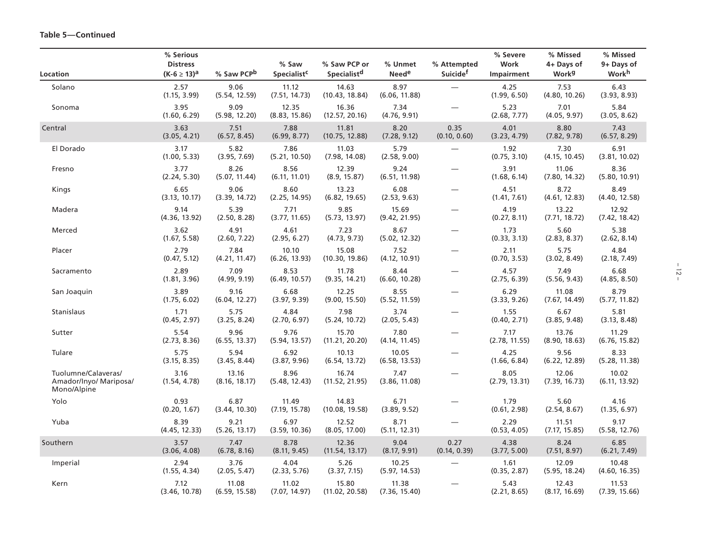| <b>Location</b>                                              | % Serious<br><b>Distress</b><br>(K-6 $\geq$ 13) <sup>a</sup> | % Saw PCP <sup>b</sup> | % Saw<br>Specialist <sup>c</sup> | % Saw PCP or<br>Specialist <sup>d</sup> | % Unmet<br><b>Need<sup>e</sup></b> | % Attempted<br>Suicide <sup>†</sup> | % Severe<br>Work<br>Impairment | % Missed<br>4+ Days of<br><b>Work</b> <sup>g</sup> | % Missed<br>9+ Days of<br><b>Work</b> <sup>h</sup> |
|--------------------------------------------------------------|--------------------------------------------------------------|------------------------|----------------------------------|-----------------------------------------|------------------------------------|-------------------------------------|--------------------------------|----------------------------------------------------|----------------------------------------------------|
| Solano                                                       | 2.57<br>(1.15, 3.99)                                         | 9.06<br>(5.54, 12.59)  | 11.12<br>(7.51, 14.73)           | 14.63<br>(10.43, 18.84)                 | 8.97<br>(6.06, 11.88)              |                                     | 4.25<br>(1.99, 6.50)           | 7.53<br>(4.80, 10.26)                              | 6.43<br>(3.93, 8.93)                               |
| Sonoma                                                       | 3.95<br>(1.60, 6.29)                                         | 9.09<br>(5.98, 12.20)  | 12.35<br>(8.83, 15.86)           | 16.36<br>(12.57, 20.16)                 | 7.34<br>(4.76, 9.91)               |                                     | 5.23<br>(2.68, 7.77)           | 7.01<br>(4.05, 9.97)                               | 5.84<br>(3.05, 8.62)                               |
| Central                                                      | 3.63<br>(3.05, 4.21)                                         | 7.51<br>(6.57, 8.45)   | 7.88<br>(6.99, 8.77)             | 11.81<br>(10.75, 12.88)                 | 8.20<br>(7.28, 9.12)               | 0.35<br>(0.10, 0.60)                | 4.01<br>(3.23, 4.79)           | 8.80<br>(7.82, 9.78)                               | 7.43<br>(6.57, 8.29)                               |
| El Dorado                                                    | 3.17<br>(1.00, 5.33)                                         | 5.82<br>(3.95, 7.69)   | 7.86<br>(5.21, 10.50)            | 11.03<br>(7.98, 14.08)                  | 5.79<br>(2.58, 9.00)               |                                     | 1.92<br>(0.75, 3.10)           | 7.30<br>(4.15, 10.45)                              | 6.91<br>(3.81, 10.02)                              |
| Fresno                                                       | 3.77<br>(2.24, 5.30)                                         | 8.26<br>(5.07, 11.44)  | 8.56<br>(6.11, 11.01)            | 12.39<br>(8.9, 15.87)                   | 9.24<br>(6.51, 11.98)              |                                     | 3.91<br>(1.68, 6.14)           | 11.06<br>(7.80, 14.32)                             | 8.36<br>(5.80, 10.91)                              |
| Kings                                                        | 6.65<br>(3.13, 10.17)                                        | 9.06<br>(3.39, 14.72)  | 8.60<br>(2.25, 14.95)            | 13.23<br>(6.82, 19.65)                  | 6.08<br>(2.53, 9.63)               |                                     | 4.51<br>(1.41, 7.61)           | 8.72<br>(4.61, 12.83)                              | 8.49<br>(4.40, 12.58)                              |
| Madera                                                       | 9.14<br>(4.36, 13.92)                                        | 5.39<br>(2.50, 8.28)   | 7.71<br>(3.77, 11.65)            | 9.85<br>(5.73, 13.97)                   | 15.69<br>(9.42, 21.95)             | $\overline{\phantom{0}}$            | 4.19<br>(0.27, 8.11)           | 13.22<br>(7.71, 18.72)                             | 12.92<br>(7.42, 18.42)                             |
| Merced                                                       | 3.62<br>(1.67, 5.58)                                         | 4.91<br>(2.60, 7.22)   | 4.61<br>(2.95, 6.27)             | 7.23<br>(4.73, 9.73)                    | 8.67<br>(5.02, 12.32)              |                                     | 1.73<br>(0.33, 3.13)           | 5.60<br>(2.83, 8.37)                               | 5.38<br>(2.62, 8.14)                               |
| Placer                                                       | 2.79<br>(0.47, 5.12)                                         | 7.84<br>(4.21, 11.47)  | 10.10<br>(6.26, 13.93)           | 15.08<br>(10.30, 19.86)                 | 7.52<br>(4.12, 10.91)              |                                     | 2.11<br>(0.70, 3.53)           | 5.75<br>(3.02, 8.49)                               | 4.84<br>(2.18, 7.49)                               |
| Sacramento                                                   | 2.89<br>(1.81, 3.96)                                         | 7.09<br>(4.99, 9.19)   | 8.53<br>(6.49, 10.57)            | 11.78<br>(9.35, 14.21)                  | 8.44<br>(6.60, 10.28)              |                                     | 4.57<br>(2.75, 6.39)           | 7.49<br>(5.56, 9.43)                               | 6.68<br>(4.85, 8.50)                               |
| San Joaquin                                                  | 3.89<br>(1.75, 6.02)                                         | 9.16<br>(6.04, 12.27)  | 6.68<br>(3.97, 9.39)             | 12.25<br>(9.00, 15.50)                  | 8.55<br>(5.52, 11.59)              |                                     | 6.29<br>(3.33, 9.26)           | 11.08<br>(7.67, 14.49)                             | 8.79<br>(5.77, 11.82)                              |
| Stanislaus                                                   | 1.71<br>(0.45, 2.97)                                         | 5.75<br>(3.25, 8.24)   | 4.84<br>(2.70, 6.97)             | 7.98<br>(5.24, 10.72)                   | 3.74<br>(2.05, 5.43)               |                                     | 1.55<br>(0.40, 2.71)           | 6.67<br>(3.85, 9.48)                               | 5.81<br>(3.13, 8.48)                               |
| Sutter                                                       | 5.54<br>(2.73, 8.36)                                         | 9.96<br>(6.55, 13.37)  | 9.76<br>(5.94, 13.57)            | 15.70<br>(11.21, 20.20)                 | 7.80<br>(4.14, 11.45)              |                                     | 7.17<br>(2.78, 11.55)          | 13.76<br>(8.90, 18.63)                             | 11.29<br>(6.76, 15.82)                             |
| Tulare                                                       | 5.75<br>(3.15, 8.35)                                         | 5.94<br>(3.45, 8.44)   | 6.92<br>(3.87, 9.96)             | 10.13<br>(6.54, 13.72)                  | 10.05<br>(6.58, 13.53)             |                                     | 4.25<br>(1.66, 6.84)           | 9.56<br>(6.22, 12.89)                              | 8.33<br>(5.28, 11.38)                              |
| Tuolumne/Calaveras/<br>Amador/Inyo/ Mariposa/<br>Mono/Alpine | 3.16<br>(1.54, 4.78)                                         | 13.16<br>(8.16, 18.17) | 8.96<br>(5.48, 12.43)            | 16.74<br>(11.52, 21.95)                 | 7.47<br>(3.86, 11.08)              |                                     | 8.05<br>(2.79, 13.31)          | 12.06<br>(7.39, 16.73)                             | 10.02<br>(6.11, 13.92)                             |
| Yolo                                                         | 0.93<br>(0.20, 1.67)                                         | 6.87<br>(3.44, 10.30)  | 11.49<br>(7.19, 15.78)           | 14.83<br>(10.08, 19.58)                 | 6.71<br>(3.89, 9.52)               |                                     | 1.79<br>(0.61, 2.98)           | 5.60<br>(2.54, 8.67)                               | 4.16<br>(1.35, 6.97)                               |
| Yuba                                                         | 8.39<br>(4.45, 12.33)                                        | 9.21<br>(5.26, 13.17)  | 6.97<br>(3.59, 10.36)            | 12.52<br>(8.05, 17.00)                  | 8.71<br>(5.11, 12.31)              | $\overline{\phantom{0}}$            | 2.29<br>(0.53, 4.05)           | 11.51<br>(7.17, 15.85)                             | 9.17<br>(5.58, 12.76)                              |
| Southern                                                     | 3.57<br>(3.06, 4.08)                                         | 7.47<br>(6.78, 8.16)   | 8.78<br>(8.11, 9.45)             | 12.36<br>(11.54, 13.17)                 | 9.04<br>(8.17, 9.91)               | 0.27<br>(0.14, 0.39)                | 4.38<br>(3.77, 5.00)           | 8.24<br>(7.51, 8.97)                               | 6.85<br>(6.21, 7.49)                               |
| Imperial                                                     | 2.94<br>(1.55, 4.34)                                         | 3.76<br>(2.05, 5.47)   | 4.04<br>(2.33, 5.76)             | 5.26<br>(3.37, 7.15)                    | 10.25<br>(5.97, 14.53)             |                                     | 1.61<br>(0.35, 2.87)           | 12.09<br>(5.95, 18.24)                             | 10.48<br>(4.60, 16.35)                             |
| Kern                                                         | 7.12<br>(3.46, 10.78)                                        | 11.08<br>(6.59, 15.58) | 11.02<br>(7.07, 14.97)           | 15.80<br>(11.02, 20.58)                 | 11.38<br>(7.36, 15.40)             |                                     | 5.43<br>(2.21, 8.65)           | 12.43<br>(8.17, 16.69)                             | 11.53<br>(7.39, 15.66)                             |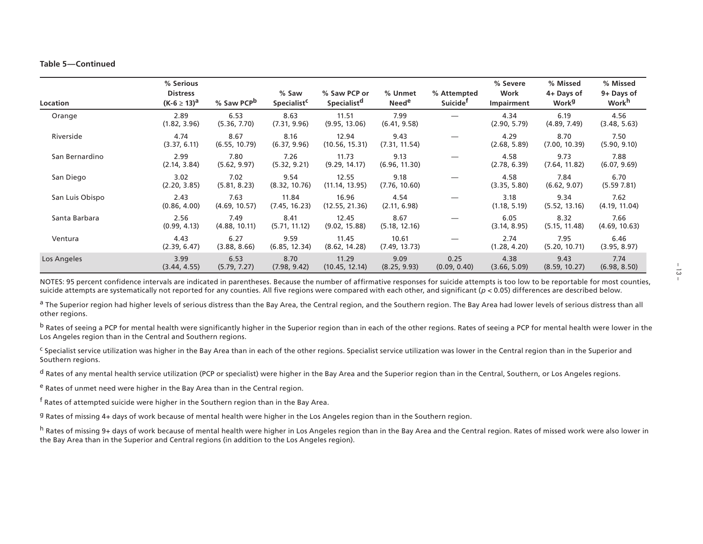#### **Table 5—Continued**

| Location        | % Serious<br><b>Distress</b><br>$(K-6 \ge 13)^a$ | % Saw PCP <sup>D</sup> | % Saw<br>Specialist <sup>c</sup> | % Saw PCP or<br>Specialist <sup>d</sup> | % Unmet<br><b>Need<sup>e</sup></b> | % Attempted<br>Suicide <sup>t</sup> | % Severe<br>Work<br>Impairment | % Missed<br>4+ Days of<br><b>Work</b> <sup>g</sup> | % Missed<br>9+ Days of<br><b>Work</b> <sup>h</sup> |
|-----------------|--------------------------------------------------|------------------------|----------------------------------|-----------------------------------------|------------------------------------|-------------------------------------|--------------------------------|----------------------------------------------------|----------------------------------------------------|
| Orange          | 2.89<br>(1.82, 3.96)                             | 6.53<br>(5.36, 7.70)   | 8.63<br>(7.31, 9.96)             | 11.51<br>(9.95, 13.06)                  | 7.99<br>(6.41, 9.58)               |                                     | 4.34<br>(2.90, 5.79)           | 6.19<br>(4.89, 7.49)                               | 4.56<br>(3.48, 5.63)                               |
| Riverside       | 4.74<br>(3.37, 6.11)                             | 8.67<br>(6.55, 10.79)  | 8.16<br>(6.37, 9.96)             | 12.94<br>(10.56, 15.31)                 | 9.43<br>(7.31, 11.54)              |                                     | 4.29<br>(2.68, 5.89)           | 8.70<br>(7.00, 10.39)                              | 7.50<br>(5.90, 9.10)                               |
| San Bernardino  | 2.99<br>(2.14, 3.84)                             | 7.80<br>(5.62, 9.97)   | 7.26<br>(5.32, 9.21)             | 11.73<br>(9.29, 14.17)                  | 9.13<br>(6.96, 11.30)              |                                     | 4.58<br>(2.78, 6.39)           | 9.73<br>(7.64, 11.82)                              | 7.88<br>(6.07, 9.69)                               |
| San Diego       | 3.02<br>(2.20, 3.85)                             | 7.02<br>(5.81, 8.23)   | 9.54<br>(8.32, 10.76)            | 12.55<br>(11.14, 13.95)                 | 9.18<br>(7.76, 10.60)              |                                     | 4.58<br>(3.35, 5.80)           | 7.84<br>(6.62, 9.07)                               | 6.70<br>(5.597.81)                                 |
| San Luis Obispo | 2.43<br>(0.86, 4.00)                             | 7.63<br>(4.69, 10.57)  | 11.84<br>(7.45, 16.23)           | 16.96<br>(12.55, 21.36)                 | 4.54<br>(2.11, 6.98)               |                                     | 3.18<br>(1.18, 5.19)           | 9.34<br>(5.52, 13.16)                              | 7.62<br>(4.19, 11.04)                              |
| Santa Barbara   | 2.56<br>(0.99, 4.13)                             | 7.49<br>(4.88, 10.11)  | 8.41<br>(5.71, 11.12)            | 12.45<br>(9.02, 15.88)                  | 8.67<br>(5.18, 12.16)              |                                     | 6.05<br>(3.14, 8.95)           | 8.32<br>(5.15, 11.48)                              | 7.66<br>(4.69, 10.63)                              |
| Ventura         | 4.43<br>(2.39, 6.47)                             | 6.27<br>(3.88, 8.66)   | 9.59<br>(6.85, 12.34)            | 11.45<br>(8.62, 14.28)                  | 10.61<br>(7.49, 13.73)             |                                     | 2.74<br>(1.28, 4.20)           | 7.95<br>(5.20, 10.71)                              | 6.46<br>(3.95, 8.97)                               |
| Los Angeles     | 3.99<br>(3.44, 4.55)                             | 6.53<br>(5.79, 7.27)   | 8.70<br>(7.98, 9.42)             | 11.29<br>(10.45, 12.14)                 | 9.09<br>(8.25, 9.93)               | 0.25<br>(0.09, 0.40)                | 4.38<br>(3.66, 5.09)           | 9.43<br>(8.59, 10.27)                              | 7.74<br>(6.98, 8.50)                               |

NOTES: 95 percent confidence intervals are indicated in parentheses. Because the number of affirmative responses for suicide attempts is too low to be reportable for most counties, suicide attempts are systematically not reported for any counties. All five regions were compared with each other, and significant (*p* < 0.05) differences are described below.

<sup>a</sup> The Superior region had higher levels of serious distress than the Bay Area, the Central region, and the Southern region. The Bay Area had lower levels of serious distress than all other regions.

<sup>b</sup> Rates of seeing a PCP for mental health were significantly higher in the Superior region than in each of the other regions. Rates of seeing a PCP for mental health were lower in the Los Angeles region than in the Central and Southern regions.

<sup>c</sup> Specialist service utilization was higher in the Bay Area than in each of the other regions. Specialist service utilization was lower in the Central region than in the Superior and Southern regions.

d Rates of any mental health service utilization (PCP or specialist) were higher in the Bay Area and the Superior region than in the Central, Southern, or Los Angeles regions.

e Rates of unmet need were higher in the Bay Area than in the Central region.

f Rates of attempted suicide were higher in the Southern region than in the Bay Area.

g Rates of missing 4+ days of work because of mental health were higher in the Los Angeles region than in the Southern region.

h Rates of missing 9+ days of work because of mental health were higher in Los Angeles region than in the Bay Area and the Central region. Rates of missed work were also lower in the Bay Area than in the Superior and Central regions (in addition to the Los Angeles region).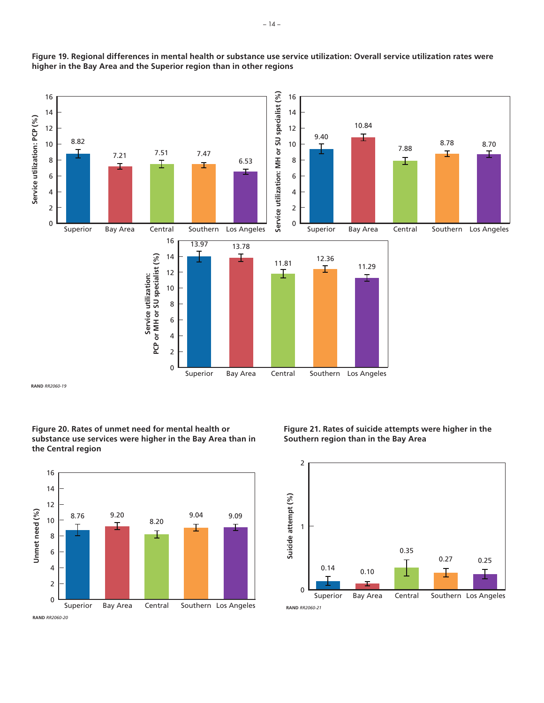

**Figure 19. Regional differences in mental health or substance use service utilization: Overall service utilization rates were higher in the Bay Area and the Superior region than in other regions**

**RAND** *RR2060-19*

**Figure 20. Rates of unmet need for mental health or substance use services were higher in the Bay Area than in the Central region**



**Figure 21. Rates of suicide attempts were higher in the Southern region than in the Bay Area**



#### **RAND** *RR2060-21*

**RAND** *RR2060-20*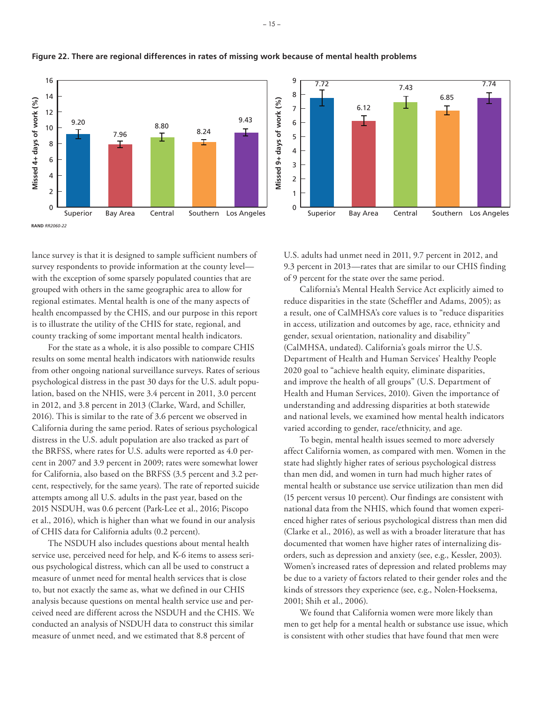

### **Figure 22. There are regional differences in rates of missing work because of mental health problems**

lance survey is that it is designed to sample sufficient numbers of survey respondents to provide information at the county level with the exception of some sparsely populated counties that are grouped with others in the same geographic area to allow for regional estimates. Mental health is one of the many aspects of health encompassed by the CHIS, and our purpose in this report is to illustrate the utility of the CHIS for state, regional, and county tracking of some important mental health indicators.

For the state as a whole, it is also possible to compare CHIS results on some mental health indicators with nationwide results from other ongoing national surveillance surveys. Rates of serious psychological distress in the past 30 days for the U.S. adult population, based on the NHIS, were 3.4 percent in 2011, 3.0 percent in 2012, and 3.8 percent in 2013 (Clarke, Ward, and Schiller, 2016). This is similar to the rate of 3.6 percent we observed in California during the same period. Rates of serious psychological distress in the U.S. adult population are also tracked as part of the BRFSS, where rates for U.S. adults were reported as 4.0 percent in 2007 and 3.9 percent in 2009; rates were somewhat lower for California, also based on the BRFSS (3.5 percent and 3.2 percent, respectively, for the same years). The rate of reported suicide attempts among all U.S. adults in the past year, based on the 2015 NSDUH, was 0.6 percent (Park-Lee et al., 2016; Piscopo et al., 2016), which is higher than what we found in our analysis of CHIS data for California adults (0.2 percent).

The NSDUH also includes questions about mental health service use, perceived need for help, and K-6 items to assess serious psychological distress, which can all be used to construct a measure of unmet need for mental health services that is close to, but not exactly the same as, what we defined in our CHIS analysis because questions on mental health service use and perceived need are different across the NSDUH and the CHIS. We conducted an analysis of NSDUH data to construct this similar measure of unmet need, and we estimated that 8.8 percent of



U.S. adults had unmet need in 2011, 9.7 percent in 2012, and 9.3 percent in 2013—rates that are similar to our CHIS finding of 9 percent for the state over the same period.

California's Mental Health Service Act explicitly aimed to reduce disparities in the state (Scheffler and Adams, 2005); as a result, one of CalMHSA's core values is to "reduce disparities in access, utilization and outcomes by age, race, ethnicity and gender, sexual orientation, nationality and disability" (CalMHSA, undated). California's goals mirror the U.S. Department of Health and Human Services' Healthy People 2020 goal to "achieve health equity, eliminate disparities, and improve the health of all groups" (U.S. Department of Health and Human Services, 2010). Given the importance of understanding and addressing disparities at both statewide and national levels, we examined how mental health indicators varied according to gender, race/ethnicity, and age.

To begin, mental health issues seemed to more adversely affect California women, as compared with men. Women in the state had slightly higher rates of serious psychological distress than men did, and women in turn had much higher rates of mental health or substance use service utilization than men did (15 percent versus 10 percent). Our findings are consistent with national data from the NHIS, which found that women experienced higher rates of serious psychological distress than men did (Clarke et al., 2016), as well as with a broader literature that has documented that women have higher rates of internalizing disorders, such as depression and anxiety (see, e.g., Kessler, 2003). Women's increased rates of depression and related problems may be due to a variety of factors related to their gender roles and the kinds of stressors they experience (see, e.g., Nolen-Hoeksema, 2001; Shih et al., 2006).

We found that California women were more likely than men to get help for a mental health or substance use issue, which is consistent with other studies that have found that men were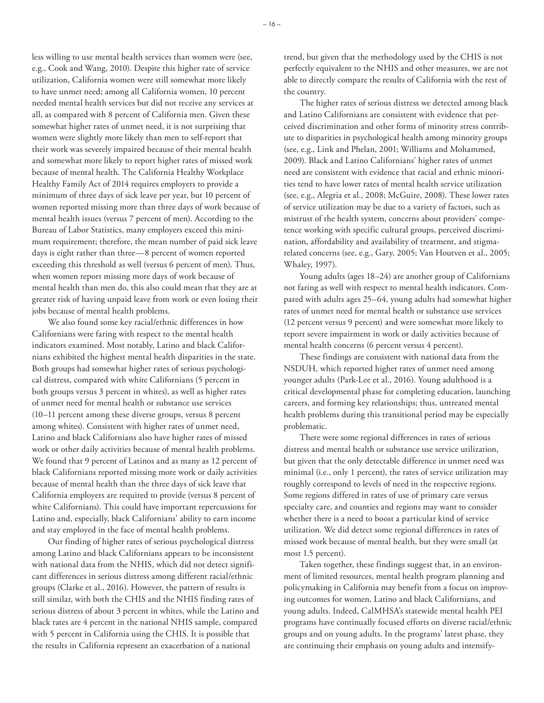less willing to use mental health services than women were (see, e.g., Cook and Wang, 2010). Despite this higher rate of service utilization, California women were still somewhat more likely to have unmet need; among all California women, 10 percent needed mental health services but did not receive any services at all, as compared with 8 percent of California men. Given these somewhat higher rates of unmet need, it is not surprising that women were slightly more likely than men to self-report that their work was severely impaired because of their mental health and somewhat more likely to report higher rates of missed work because of mental health. The California Healthy Workplace Healthy Family Act of 2014 requires employers to provide a minimum of three days of sick leave per year, but 10 percent of women reported missing more than three days of work because of mental health issues (versus 7 percent of men). According to the Bureau of Labor Statistics, many employers exceed this minimum requirement; therefore, the mean number of paid sick leave days is eight rather than three—8 percent of women reported exceeding this threshold as well (versus 6 percent of men). Thus, when women report missing more days of work because of mental health than men do, this also could mean that they are at greater risk of having unpaid leave from work or even losing their jobs because of mental health problems.

We also found some key racial/ethnic differences in how Californians were faring with respect to the mental health indicators examined. Most notably, Latino and black Californians exhibited the highest mental health disparities in the state. Both groups had somewhat higher rates of serious psychological distress, compared with white Californians (5 percent in both groups versus 3 percent in whites), as well as higher rates of unmet need for mental health or substance use services (10–11 percent among these diverse groups, versus 8 percent among whites). Consistent with higher rates of unmet need, Latino and black Californians also have higher rates of missed work or other daily activities because of mental health problems. We found that 9 percent of Latinos and as many as 12 percent of black Californians reported missing more work or daily activities because of mental health than the three days of sick leave that California employers are required to provide (versus 8 percent of white Californians). This could have important repercussions for Latino and, especially, black Californians' ability to earn income and stay employed in the face of mental health problems.

Our finding of higher rates of serious psychological distress among Latino and black Californians appears to be inconsistent with national data from the NHIS, which did not detect significant differences in serious distress among different racial/ethnic groups (Clarke et al., 2016). However, the pattern of results is still similar, with both the CHIS and the NHIS finding rates of serious distress of about 3 percent in whites, while the Latino and black rates are 4 percent in the national NHIS sample, compared with 5 percent in California using the CHIS. It is possible that the results in California represent an exacerbation of a national

trend, but given that the methodology used by the CHIS is not perfectly equivalent to the NHIS and other measures, we are not able to directly compare the results of California with the rest of the country.

The higher rates of serious distress we detected among black and Latino Californians are consistent with evidence that perceived discrimination and other forms of minority stress contribute to disparities in psychological health among minority groups (see, e.g., Link and Phelan, 2001; Williams and Mohammed, 2009). Black and Latino Californians' higher rates of unmet need are consistent with evidence that racial and ethnic minorities tend to have lower rates of mental health service utilization (see, e.g., Alegria et al., 2008; McGuire, 2008). These lower rates of service utilization may be due to a variety of factors, such as mistrust of the health system, concerns about providers' competence working with specific cultural groups, perceived discrimination, affordability and availability of treatment, and stigmarelated concerns (see, e.g., Gary, 2005; Van Houtven et al., 2005; Whaley, 1997).

Young adults (ages 18–24) are another group of Californians not faring as well with respect to mental health indicators. Compared with adults ages 25–64, young adults had somewhat higher rates of unmet need for mental health or substance use services (12 percent versus 9 percent) and were somewhat more likely to report severe impairment in work or daily activities because of mental health concerns (6 percent versus 4 percent).

These findings are consistent with national data from the NSDUH, which reported higher rates of unmet need among younger adults (Park-Lee et al., 2016). Young adulthood is a critical developmental phase for completing education, launching careers, and forming key relationships; thus, untreated mental health problems during this transitional period may be especially problematic.

There were some regional differences in rates of serious distress and mental health or substance use service utilization, but given that the only detectable difference in unmet need was minimal (i.e., only 1 percent), the rates of service utilization may roughly correspond to levels of need in the respective regions. Some regions differed in rates of use of primary care versus specialty care, and counties and regions may want to consider whether there is a need to boost a particular kind of service utilization. We did detect some regional differences in rates of missed work because of mental health, but they were small (at most 1.5 percent).

Taken together, these findings suggest that, in an environment of limited resources, mental health program planning and policymaking in California may benefit from a focus on improving outcomes for women, Latino and black Californians, and young adults. Indeed, CalMHSA's statewide mental health PEI programs have continually focused efforts on diverse racial/ethnic groups and on young adults. In the programs' latest phase, they are continuing their emphasis on young adults and intensify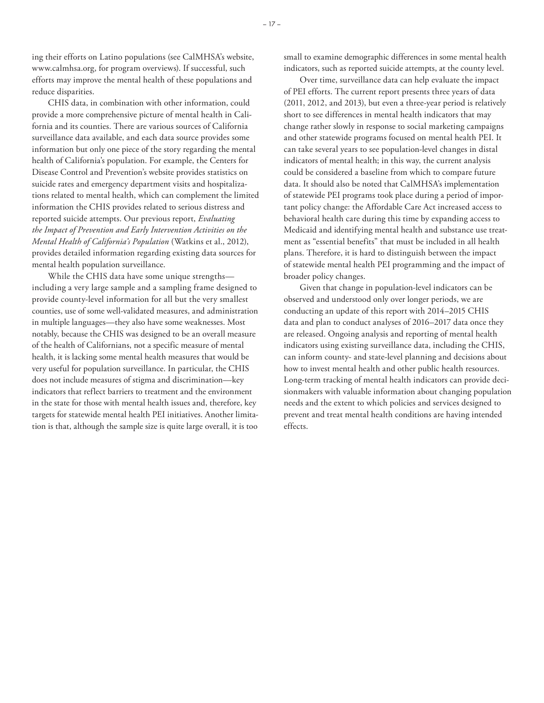ing their efforts on Latino populations (see CalMHSA's website, [www.calmhsa.org,](http://www.calmhsa.org) for program overviews). If successful, such efforts may improve the mental health of these populations and reduce disparities.

CHIS data, in combination with other information, could provide a more comprehensive picture of mental health in California and its counties. There are various sources of California surveillance data available, and each data source provides some information but only one piece of the story regarding the mental health of California's population. For example, the Centers for Disease Control and Prevention's website provides statistics on suicide rates and emergency department visits and hospitalizations related to mental health, which can complement the limited information the CHIS provides related to serious distress and reported suicide attempts. Our previous report, *Evaluating the Impact of Prevention and Early Intervention Activities on the Mental Health of California's Population* (Watkins et al., 2012), provides detailed information regarding existing data sources for mental health population surveillance.

While the CHIS data have some unique strengths including a very large sample and a sampling frame designed to provide county-level information for all but the very smallest counties, use of some well-validated measures, and administration in multiple languages—they also have some weaknesses. Most notably, because the CHIS was designed to be an overall measure of the health of Californians, not a specific measure of mental health, it is lacking some mental health measures that would be very useful for population surveillance. In particular, the CHIS does not include measures of stigma and discrimination—key indicators that reflect barriers to treatment and the environment in the state for those with mental health issues and, therefore, key targets for statewide mental health PEI initiatives. Another limitation is that, although the sample size is quite large overall, it is too small to examine demographic differences in some mental health indicators, such as reported suicide attempts, at the county level.

Over time, surveillance data can help evaluate the impact of PEI efforts. The current report presents three years of data (2011, 2012, and 2013), but even a three-year period is relatively short to see differences in mental health indicators that may change rather slowly in response to social marketing campaigns and other statewide programs focused on mental health PEI. It can take several years to see population-level changes in distal indicators of mental health; in this way, the current analysis could be considered a baseline from which to compare future data. It should also be noted that CalMHSA's implementation of statewide PEI programs took place during a period of important policy change: the Affordable Care Act increased access to behavioral health care during this time by expanding access to Medicaid and identifying mental health and substance use treatment as "essential benefits" that must be included in all health plans. Therefore, it is hard to distinguish between the impact of statewide mental health PEI programming and the impact of broader policy changes.

Given that change in population-level indicators can be observed and understood only over longer periods, we are conducting an update of this report with 2014–2015 CHIS data and plan to conduct analyses of 2016–2017 data once they are released. Ongoing analysis and reporting of mental health indicators using existing surveillance data, including the CHIS, can inform county- and state-level planning and decisions about how to invest mental health and other public health resources. Long-term tracking of mental health indicators can provide decisionmakers with valuable information about changing population needs and the extent to which policies and services designed to prevent and treat mental health conditions are having intended effects.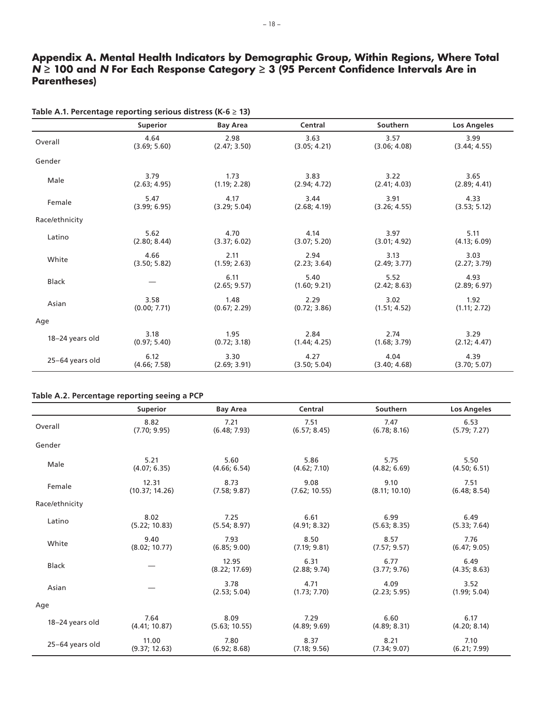# **Appendix A. Mental Health Indicators by Demographic Group, Within Regions, Where Total**  *N* **≥ 100 and** *N* **For Each Response Category ≥ 3 (95 Percent Confidence Intervals Are in Parentheses)**

|                 | <b>Superior</b> | <b>Bay Area</b>      | Central              | Southern             | Los Angeles          |
|-----------------|-----------------|----------------------|----------------------|----------------------|----------------------|
| Overall         | 4.64            | 2.98                 | 3.63                 | 3.57                 | 3.99                 |
|                 | (3.69; 5.60)    | (2.47; 3.50)         | (3.05; 4.21)         | (3.06; 4.08)         | (3.44; 4.55)         |
| Gender          |                 |                      |                      |                      |                      |
| Male            | 3.79            | 1.73                 | 3.83                 | 3.22                 | 3.65                 |
|                 | (2.63; 4.95)    | (1.19; 2.28)         | (2.94; 4.72)         | (2.41; 4.03)         | (2.89; 4.41)         |
| Female          | 5.47            | 4.17                 | 3.44                 | 3.91                 | 4.33                 |
|                 | (3.99; 6.95)    | (3.29; 5.04)         | (2.68; 4.19)         | (3.26; 4.55)         | (3.53; 5.12)         |
| Race/ethnicity  |                 |                      |                      |                      |                      |
| Latino          | 5.62            | 4.70                 | 4.14                 | 3.97                 | 5.11                 |
|                 | (2.80; 8.44)    | (3.37; 6.02)         | (3.07; 5.20)         | (3.01; 4.92)         | (4.13; 6.09)         |
| White           | 4.66            | 2.11                 | 2.94                 | 3.13                 | 3.03                 |
|                 | (3.50; 5.82)    | (1.59; 2.63)         | (2.23; 3.64)         | (2.49; 3.77)         | (2.27; 3.79)         |
| <b>Black</b>    |                 | 6.11<br>(2.65; 9.57) | 5.40<br>(1.60; 9.21) | 5.52<br>(2.42; 8.63) | 4.93<br>(2.89; 6.97) |
| Asian           | 3.58            | 1.48                 | 2.29                 | 3.02                 | 1.92                 |
|                 | (0.00; 7.71)    | (0.67; 2.29)         | (0.72; 3.86)         | (1.51; 4.52)         | (1.11; 2.72)         |
| Age             |                 |                      |                      |                      |                      |
| 18-24 years old | 3.18            | 1.95                 | 2.84                 | 2.74                 | 3.29                 |
|                 | (0.97; 5.40)    | (0.72; 3.18)         | (1.44; 4.25)         | (1.68; 3.79)         | (2.12; 4.47)         |
| 25-64 years old | 6.12            | 3.30                 | 4.27                 | 4.04                 | 4.39                 |
|                 | (4.66; 7.58)    | (2.69; 3.91)         | (3.50; 5.04)         | (3.40; 4.68)         | (3.70; 5.07)         |

### **Table A.1. Percentage reporting serious distress (K-6 ≥ 13)**

#### **Table A.2. Percentage reporting seeing a PCP**

|                 | <b>Superior</b> | <b>Bay Area</b>        | Central              | Southern             | <b>Los Angeles</b>   |
|-----------------|-----------------|------------------------|----------------------|----------------------|----------------------|
| Overall         | 8.82            | 7.21                   | 7.51                 | 7.47                 | 6.53                 |
|                 | (7.70; 9.95)    | (6.48; 7.93)           | (6.57; 8.45)         | (6.78; 8.16)         | (5.79; 7.27)         |
| Gender          |                 |                        |                      |                      |                      |
| Male            | 5.21            | 5.60                   | 5.86                 | 5.75                 | 5.50                 |
|                 | (4.07; 6.35)    | (4.66; 6.54)           | (4.62; 7.10)         | (4.82; 6.69)         | (4.50; 6.51)         |
| Female          | 12.31           | 8.73                   | 9.08                 | 9.10                 | 7.51                 |
|                 | (10.37; 14.26)  | (7.58; 9.87)           | (7.62; 10.55)        | (8.11; 10.10)        | (6.48; 8.54)         |
| Race/ethnicity  |                 |                        |                      |                      |                      |
| Latino          | 8.02            | 7.25                   | 6.61                 | 6.99                 | 6.49                 |
|                 | (5.22; 10.83)   | (5.54; 8.97)           | (4.91; 8.32)         | (5.63; 8.35)         | (5.33; 7.64)         |
| White           | 9.40            | 7.93                   | 8.50                 | 8.57                 | 7.76                 |
|                 | (8.02; 10.77)   | (6.85; 9.00)           | (7.19; 9.81)         | (7.57; 9.57)         | (6.47; 9.05)         |
| <b>Black</b>    |                 | 12.95<br>(8.22; 17.69) | 6.31<br>(2.88; 9.74) | 6.77<br>(3.77; 9.76) | 6.49<br>(4.35; 8.63) |
| Asian           |                 | 3.78<br>(2.53; 5.04)   | 4.71<br>(1.73; 7.70) | 4.09<br>(2.23; 5.95) | 3.52<br>(1.99; 5.04) |
| Age             |                 |                        |                      |                      |                      |
| 18-24 years old | 7.64            | 8.09                   | 7.29                 | 6.60                 | 6.17                 |
|                 | (4.41; 10.87)   | (5.63; 10.55)          | (4.89; 9.69)         | (4.89; 8.31)         | (4.20; 8.14)         |
| 25-64 years old | 11.00           | 7.80                   | 8.37                 | 8.21                 | 7.10                 |
|                 | (9.37; 12.63)   | (6.92; 8.68)           | (7.18; 9.56)         | (7.34; 9.07)         | (6.21; 7.99)         |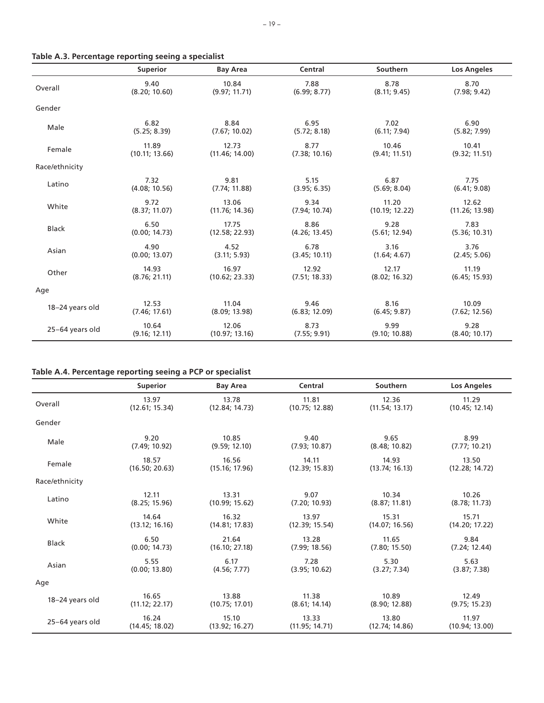|                 | <b>Superior</b> | <b>Bay Area</b> | Central       | Southern       | <b>Los Angeles</b> |
|-----------------|-----------------|-----------------|---------------|----------------|--------------------|
| Overall         | 9.40            | 10.84           | 7.88          | 8.78           | 8.70               |
|                 | (8.20; 10.60)   | (9.97; 11.71)   | (6.99; 8.77)  | (8.11; 9.45)   | (7.98; 9.42)       |
| Gender          |                 |                 |               |                |                    |
| Male            | 6.82            | 8.84            | 6.95          | 7.02           | 6.90               |
|                 | (5.25; 8.39)    | (7.67; 10.02)   | (5.72; 8.18)  | (6.11; 7.94)   | (5.82; 7.99)       |
| Female          | 11.89           | 12.73           | 8.77          | 10.46          | 10.41              |
|                 | (10.11; 13.66)  | (11.46; 14.00)  | (7.38; 10.16) | (9.41; 11.51)  | (9.32; 11.51)      |
| Race/ethnicity  |                 |                 |               |                |                    |
| Latino          | 7.32            | 9.81            | 5.15          | 6.87           | 7.75               |
|                 | (4.08; 10.56)   | (7.74; 11.88)   | (3.95; 6.35)  | (5.69; 8.04)   | (6.41; 9.08)       |
| White           | 9.72            | 13.06           | 9.34          | 11.20          | 12.62              |
|                 | (8.37; 11.07)   | (11.76; 14.36)  | (7.94; 10.74) | (10.19; 12.22) | (11.26; 13.98)     |
| <b>Black</b>    | 6.50            | 17.75           | 8.86          | 9.28           | 7.83               |
|                 | (0.00; 14.73)   | (12.58; 22.93)  | (4.26; 13.45) | (5.61; 12.94)  | (5.36; 10.31)      |
| Asian           | 4.90            | 4.52            | 6.78          | 3.16           | 3.76               |
|                 | (0.00; 13.07)   | (3.11; 5.93)    | (3.45; 10.11) | (1.64; 4.67)   | (2.45; 5.06)       |
| Other           | 14.93           | 16.97           | 12.92         | 12.17          | 11.19              |
|                 | (8.76; 21.11)   | (10.62; 23.33)  | (7.51; 18.33) | (8.02; 16.32)  | (6.45; 15.93)      |
| Age             |                 |                 |               |                |                    |
| 18-24 years old | 12.53           | 11.04           | 9.46          | 8.16           | 10.09              |
|                 | (7.46; 17.61)   | (8.09; 13.98)   | (6.83; 12.09) | (6.45; 9.87)   | (7.62; 12.56)      |
| 25-64 years old | 10.64           | 12.06           | 8.73          | 9.99           | 9.28               |
|                 | (9.16; 12.11)   | (10.97; 13.16)  | (7.55; 9.91)  | (9.10; 10.88)  | (8.40; 10.17)      |

# **Table A.3. Percentage reporting seeing a specialist**

# **Table A.4. Percentage reporting seeing a PCP or specialist**

|                 | <b>Superior</b> | <b>Bay Area</b> | Central        | Southern       | <b>Los Angeles</b> |
|-----------------|-----------------|-----------------|----------------|----------------|--------------------|
| Overall         | 13.97           | 13.78           | 11.81          | 12.36          | 11.29              |
|                 | (12.61; 15.34)  | (12.84; 14.73)  | (10.75; 12.88) | (11.54; 13.17) | (10.45; 12.14)     |
| Gender          |                 |                 |                |                |                    |
| Male            | 9.20            | 10.85           | 9.40           | 9.65           | 8.99               |
|                 | (7.49; 10.92)   | (9.59; 12.10)   | (7.93; 10.87)  | (8.48; 10.82)  | (7.77; 10.21)      |
| Female          | 18.57           | 16.56           | 14.11          | 14.93          | 13.50              |
|                 | (16.50; 20.63)  | (15.16; 17.96)  | (12.39; 15.83) | (13.74; 16.13) | (12.28; 14.72)     |
| Race/ethnicity  |                 |                 |                |                |                    |
| Latino          | 12.11           | 13.31           | 9.07           | 10.34          | 10.26              |
|                 | (8.25; 15.96)   | (10.99; 15.62)  | (7.20; 10.93)  | (8.87; 11.81)  | (8.78; 11.73)      |
| White           | 14.64           | 16.32           | 13.97          | 15.31          | 15.71              |
|                 | (13.12; 16.16)  | (14.81; 17.83)  | (12.39; 15.54) | (14.07; 16.56) | (14.20; 17.22)     |
| <b>Black</b>    | 6.50            | 21.64           | 13.28          | 11.65          | 9.84               |
|                 | (0.00; 14.73)   | (16.10; 27.18)  | (7.99; 18.56)  | (7.80; 15.50)  | (7.24; 12.44)      |
| Asian           | 5.55            | 6.17            | 7.28           | 5.30           | 5.63               |
|                 | (0.00; 13.80)   | (4.56; 7.77)    | (3.95; 10.62)  | (3.27; 7.34)   | (3.87; 7.38)       |
| Age             |                 |                 |                |                |                    |
| 18-24 years old | 16.65           | 13.88           | 11.38          | 10.89          | 12.49              |
|                 | (11.12; 22.17)  | (10.75; 17.01)  | (8.61; 14.14)  | (8.90; 12.88)  | (9.75; 15.23)      |
| 25-64 years old | 16.24           | 15.10           | 13.33          | 13.80          | 11.97              |
|                 | (14.45; 18.02)  | (13.92; 16.27)  | (11.95; 14.71) | (12.74; 14.86) | (10.94; 13.00)     |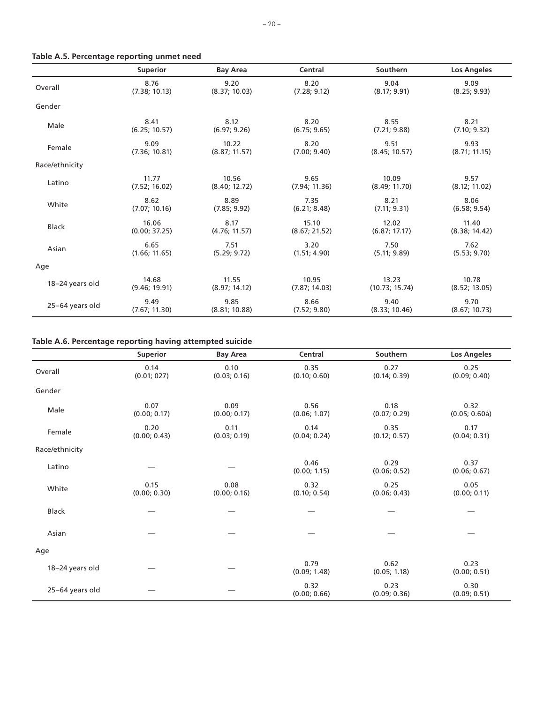|                 | <b>Superior</b> | <b>Bay Area</b> | Central       | Southern       | <b>Los Angeles</b> |
|-----------------|-----------------|-----------------|---------------|----------------|--------------------|
| Overall         | 8.76            | 9.20            | 8.20          | 9.04           | 9.09               |
|                 | (7.38; 10.13)   | (8.37; 10.03)   | (7.28; 9.12)  | (8.17; 9.91)   | (8.25; 9.93)       |
| Gender          |                 |                 |               |                |                    |
| Male            | 8.41            | 8.12            | 8.20          | 8.55           | 8.21               |
|                 | (6.25; 10.57)   | (6.97; 9.26)    | (6.75; 9.65)  | (7.21; 9.88)   | (7.10; 9.32)       |
| Female          | 9.09            | 10.22           | 8.20          | 9.51           | 9.93               |
|                 | (7.36; 10.81)   | (8.87; 11.57)   | (7.00; 9.40)  | (8.45; 10.57)  | (8.71; 11.15)      |
| Race/ethnicity  |                 |                 |               |                |                    |
| Latino          | 11.77           | 10.56           | 9.65          | 10.09          | 9.57               |
|                 | (7.52; 16.02)   | (8.40; 12.72)   | (7.94; 11.36) | (8.49; 11.70)  | (8.12; 11.02)      |
| White           | 8.62            | 8.89            | 7.35          | 8.21           | 8.06               |
|                 | (7.07; 10.16)   | (7.85; 9.92)    | (6.21; 8.48)  | (7.11; 9.31)   | (6.58; 9.54)       |
| <b>Black</b>    | 16.06           | 8.17            | 15.10         | 12.02          | 11.40              |
|                 | (0.00; 37.25)   | (4.76; 11.57)   | (8.67; 21.52) | (6.87; 17.17)  | (8.38; 14.42)      |
| Asian           | 6.65            | 7.51            | 3.20          | 7.50           | 7.62               |
|                 | (1.66; 11.65)   | (5.29; 9.72)    | (1.51; 4.90)  | (5.11; 9.89)   | (5.53; 9.70)       |
| Age             |                 |                 |               |                |                    |
| 18-24 years old | 14.68           | 11.55           | 10.95         | 13.23          | 10.78              |
|                 | (9.46; 19.91)   | (8.97; 14.12)   | (7.87; 14.03) | (10.73; 15.74) | (8.52; 13.05)      |
| 25-64 years old | 9.49            | 9.85            | 8.66          | 9.40           | 9.70               |
|                 | (7.67; 11.30)   | (8.81; 10.88)   | (7.52; 9.80)  | (8.33; 10.46)  | (8.67; 10.73)      |

### **Table A.6. Percentage reporting having attempted suicide**

|                 | Superior             | <b>Bay Area</b>      | Central              | <b>Southern</b>      | <b>Los Angeles</b>    |
|-----------------|----------------------|----------------------|----------------------|----------------------|-----------------------|
| Overall         | 0.14<br>(0.01; 027)  | 0.10<br>(0.03; 0.16) | 0.35<br>(0.10; 0.60) | 0.27<br>(0.14; 0.39) | 0.25<br>(0.09; 0.40)  |
| Gender          |                      |                      |                      |                      |                       |
| Male            | 0.07<br>(0.00; 0.17) | 0.09<br>(0.00; 0.17) | 0.56<br>(0.06; 1.07) | 0.18<br>(0.07; 0.29) | 0.32<br>(0.05; 0.60a) |
| Female          | 0.20<br>(0.00; 0.43) | 0.11<br>(0.03; 0.19) | 0.14<br>(0.04; 0.24) | 0.35<br>(0.12; 0.57) | 0.17<br>(0.04; 0.31)  |
| Race/ethnicity  |                      |                      |                      |                      |                       |
| Latino          |                      |                      | 0.46<br>(0.00; 1.15) | 0.29<br>(0.06; 0.52) | 0.37<br>(0.06; 0.67)  |
| White           | 0.15<br>(0.00; 0.30) | 0.08<br>(0.00; 0.16) | 0.32<br>(0.10; 0.54) | 0.25<br>(0.06; 0.43) | 0.05<br>(0.00; 0.11)  |
| Black           |                      |                      |                      |                      |                       |
| Asian           |                      |                      |                      |                      |                       |
| Age             |                      |                      |                      |                      |                       |
| 18-24 years old |                      |                      | 0.79<br>(0.09; 1.48) | 0.62<br>(0.05; 1.18) | 0.23<br>(0.00; 0.51)  |
| 25-64 years old |                      |                      | 0.32<br>(0.00; 0.66) | 0.23<br>(0.09; 0.36) | 0.30<br>(0.09; 0.51)  |

### **Table A.5. Percentage reporting unmet need**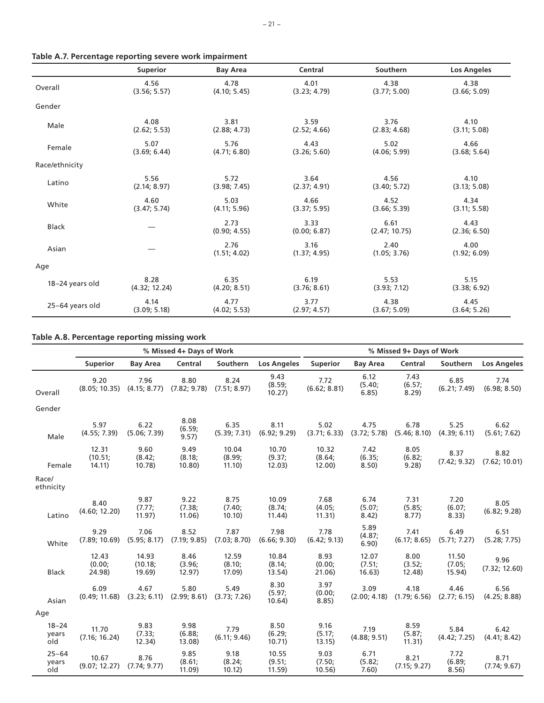|                 | <b>Superior</b> | <b>Bay Area</b>      | Central              | Southern              | <b>Los Angeles</b>   |
|-----------------|-----------------|----------------------|----------------------|-----------------------|----------------------|
| Overall         | 4.56            | 4.78                 | 4.01                 | 4.38                  | 4.38                 |
|                 | (3.56; 5.57)    | (4.10; 5.45)         | (3.23; 4.79)         | (3.77; 5.00)          | (3.66; 5.09)         |
| Gender          |                 |                      |                      |                       |                      |
| Male            | 4.08            | 3.81                 | 3.59                 | 3.76                  | 4.10                 |
|                 | (2.62; 5.53)    | (2.88; 4.73)         | (2.52; 4.66)         | (2.83; 4.68)          | (3.11; 5.08)         |
| Female          | 5.07            | 5.76                 | 4.43                 | 5.02                  | 4.66                 |
|                 | (3.69; 6.44)    | (4.71; 6.80)         | (3.26; 5.60)         | (4.06; 5.99)          | (3.68; 5.64)         |
| Race/ethnicity  |                 |                      |                      |                       |                      |
| Latino          | 5.56            | 5.72                 | 3.64                 | 4.56                  | 4.10                 |
|                 | (2.14; 8.97)    | (3.98; 7.45)         | (2.37; 4.91)         | (3.40; 5.72)          | (3.13; 5.08)         |
| White           | 4.60            | 5.03                 | 4.66                 | 4.52                  | 4.34                 |
|                 | (3.47; 5.74)    | (4.11; 5.96)         | (3.37; 5.95)         | (3.66; 5.39)          | (3.11; 5.58)         |
| <b>Black</b>    |                 | 2.73<br>(0.90; 4.55) | 3.33<br>(0.00; 6.87) | 6.61<br>(2.47; 10.75) | 4.43<br>(2.36; 6.50) |
| Asian           |                 | 2.76<br>(1.51; 4.02) | 3.16<br>(1.37; 4.95) | 2.40<br>(1.05; 3.76)  | 4.00<br>(1.92; 6.09) |
| Age             |                 |                      |                      |                       |                      |
| 18-24 years old | 8.28            | 6.35                 | 6.19                 | 5.53                  | 5.15                 |
|                 | (4.32; 12.24)   | (4.20; 8.51)         | (3.76; 8.61)         | (3.93; 7.12)          | (3.38; 6.92)         |
| 25-64 years old | 4.14            | 4.77                 | 3.77                 | 4.38                  | 4.45                 |
|                 | (3.09; 5.18)    | (4.02; 5.53)         | (2.97; 4.57)         | (3.67; 5.09)          | (3.64; 5.26)         |

# **Table A.7. Percentage reporting severe work impairment**

# **Table A.8. Percentage reporting missing work**

|                           | % Missed 4+ Days of Work   |                            |                          |                           |                           |                          | % Missed 9+ Days of Work  |                          |                           |                       |
|---------------------------|----------------------------|----------------------------|--------------------------|---------------------------|---------------------------|--------------------------|---------------------------|--------------------------|---------------------------|-----------------------|
|                           | <b>Superior</b>            | <b>Bay Area</b>            | Central                  | Southern                  | <b>Los Angeles</b>        | <b>Superior</b>          | <b>Bay Area</b>           | Central                  | Southern                  | <b>Los Angeles</b>    |
| Overall                   | 9.20<br>(8.05; 10.35)      | 7.96<br>(4.15; 8.77)       | 8.80<br>(7.82; 9.78)     | 8.24<br>(7.51; 8.97)      | 9.43<br>(8.59;<br>10.27)  | 7.72<br>(6.62; 8.81)     | 6.12<br>(5.40;<br>6.85)   | 7.43<br>(6.57;<br>8.29   | 6.85<br>(6.21; 7.49)      | 7.74<br>(6.98; 8.50)  |
| Gender                    |                            |                            |                          |                           |                           |                          |                           |                          |                           |                       |
| Male                      | 5.97<br>(4.55; 7.39)       | 6.22<br>(5.06; 7.39)       | 8.08<br>(6.59;<br>9.57)  | 6.35<br>(5.39; 7.31)      | 8.11<br>(6.92; 9.29)      | 5.02<br>(3.71; 6.33)     | 4.75<br>(3.72; 5.78)      | 6.78<br>(5.46; 8.10)     | 5.25<br>(4.39; 6.11)      | 6.62<br>(5.61; 7.62)  |
| Female                    | 12.31<br>(10.51)<br>14.11) | 9.60<br>(8.42;<br>10.78)   | 9.49<br>(8.18;<br>10.80) | 10.04<br>(8.99;<br>11.10) | 10.70<br>(9.37;<br>12.03) | 10.32<br>(8.64;<br>12.00 | 7.42<br>(6.35;<br>8.50)   | 8.05<br>(6.82;<br>9.28)  | 8.37<br>(7.42; 9.32)      | 8.82<br>(7.62; 10.01) |
| Race/<br>ethnicity        |                            |                            |                          |                           |                           |                          |                           |                          |                           |                       |
| Latino                    | 8.40<br>(4.60; 12.20)      | 9.87<br>(7.77)<br>11.97)   | 9.22<br>(7.38;<br>11.06) | 8.75<br>(7.40;<br>10.10   | 10.09<br>(8.74;<br>11.44) | 7.68<br>(4.05;<br>11.31) | 6.74<br>(5.07;<br>8.42)   | 7.31<br>(5.85;<br>8.77)  | 7.20<br>(6.07;<br>8.33)   | 8.05<br>(6.82; 9.28)  |
| White                     | 9.29<br>(7.89; 10.69)      | 7.06<br>(5.95; 8.17)       | 8.52<br>(7.19; 9.85)     | 7.87<br>(7.03; 8.70)      | 7.98<br>(6.66; 9.30)      | 7.78<br>(6.42; 9.13)     | 5.89<br>(4.87;<br>6.90)   | 7.41<br>(6.17; 8.65)     | 6.49<br>(5.71; 7.27)      | 6.51<br>(5.28; 7.75)  |
| <b>Black</b>              | 12.43<br>(0.00)<br>24.98)  | 14.93<br>(10.18)<br>19.69) | 8.46<br>(3.96;<br>12.97) | 12.59<br>(8.10;<br>17.09) | 10.84<br>(8.14;<br>13.54) | 8.93<br>(0.00;<br>21.06) | 12.07<br>(7.51;<br>16.63) | 8.00<br>(3.52;<br>12.48) | 11.50<br>(7.05;<br>15.94) | 9.96<br>(7.32; 12.60) |
| Asian                     | 6.09<br>(0.49; 11.68)      | 4.67<br>(3.23; 6.11)       | 5.80<br>(2.99; 8.61)     | 5.49<br>(3.73; 7.26)      | 8.30<br>(5.97;<br>10.64)  | 3.97<br>(0.00)<br>8.85)  | 3.09<br>(2.00; 4.18)      | 4.18<br>(1.79; 6.56)     | 4.46<br>(2.77; 6.15)      | 6.56<br>(4.25; 8.88)  |
| Age                       |                            |                            |                          |                           |                           |                          |                           |                          |                           |                       |
| $18 - 24$<br>years<br>old | 11.70<br>(7.16; 16.24)     | 9.83<br>(7.33;<br>12.34)   | 9.98<br>(6.88;<br>13.08  | 7.79<br>(6.11; 9.46)      | 8.50<br>(6.29;<br>10.71)  | 9.16<br>(5.17;<br>13.15) | 7.19<br>(4.88; 9.51)      | 8.59<br>(5.87;<br>11.31) | 5.84<br>(4.42; 7.25)      | 6.42<br>(4.41; 8.42)  |
| $25 - 64$<br>years<br>old | 10.67<br>(9.07; 12.27)     | 8.76<br>(7.74; 9.77)       | 9.85<br>(8.61;<br>11.09  | 9.18<br>(8.24;<br>10.12)  | 10.55<br>(9.51;<br>11.59  | 9.03<br>(7.50;<br>10.56) | 6.71<br>(5.82;<br>7.60)   | 8.21<br>(7.15; 9.27)     | 7.72<br>(6.89;<br>8.56)   | 8.71<br>(7.74; 9.67)  |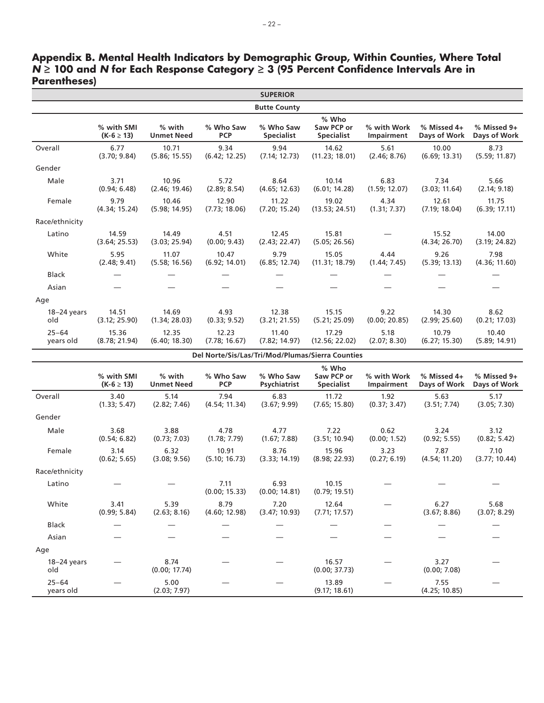|                        | <b>SUPERIOR</b>              |                             |                         |                                |                                                  |                           |                             |                             |  |
|------------------------|------------------------------|-----------------------------|-------------------------|--------------------------------|--------------------------------------------------|---------------------------|-----------------------------|-----------------------------|--|
|                        |                              |                             |                         | <b>Butte County</b>            |                                                  |                           |                             |                             |  |
|                        | % with SMI<br>$(K-6 \ge 13)$ | % with<br><b>Unmet Need</b> | % Who Saw<br><b>PCP</b> | % Who Saw<br><b>Specialist</b> | % Who<br>Saw PCP or<br><b>Specialist</b>         | % with Work<br>Impairment | % Missed 4+<br>Days of Work | % Missed 9+<br>Days of Work |  |
| Overall                | 6.77<br>(3.70; 9.84)         | 10.71<br>(5.86; 15.55)      | 9.34<br>(6.42; 12.25)   | 9.94<br>(7.14; 12.73)          | 14.62<br>(11.23; 18.01)                          | 5.61<br>(2.46; 8.76)      | 10.00<br>(6.69; 13.31)      | 8.73<br>(5.59; 11.87)       |  |
| Gender                 |                              |                             |                         |                                |                                                  |                           |                             |                             |  |
| Male                   | 3.71<br>(0.94; 6.48)         | 10.96<br>(2.46; 19.46)      | 5.72<br>(2.89; 8.54)    | 8.64<br>(4.65; 12.63)          | 10.14<br>(6.01; 14.28)                           | 6.83<br>(1.59; 12.07)     | 7.34<br>(3.03; 11.64)       | 5.66<br>(2.14; 9.18)        |  |
| Female                 | 9.79<br>(4.34; 15.24)        | 10.46<br>(5.98; 14.95)      | 12.90<br>(7.73; 18.06)  | 11.22<br>(7.20; 15.24)         | 19.02<br>(13.53; 24.51)                          | 4.34<br>(1.31; 7.37)      | 12.61<br>(7.19; 18.04)      | 11.75<br>(6.39; 17.11)      |  |
| Race/ethnicity         |                              |                             |                         |                                |                                                  |                           |                             |                             |  |
| Latino                 | 14.59<br>(3.64; 25.53)       | 14.49<br>(3.03; 25.94)      | 4.51<br>(0.00; 9.43)    | 12.45<br>(2.43; 22.47)         | 15.81<br>(5.05; 26.56)                           |                           | 15.52<br>(4.34; 26.70)      | 14.00<br>(3.19; 24.82)      |  |
| White                  | 5.95<br>(2.48; 9.41)         | 11.07<br>(5.58; 16.56)      | 10.47<br>(6.92; 14.01)  | 9.79<br>(6.85; 12.74)          | 15.05<br>(11.31; 18.79)                          | 4.44<br>(1.44; 7.45)      | 9.26<br>(5.39; 13.13)       | 7.98<br>(4.36; 11.60)       |  |
| Black                  |                              |                             |                         |                                |                                                  |                           |                             |                             |  |
| Asian                  |                              |                             |                         |                                |                                                  |                           |                             |                             |  |
| Age                    |                              |                             |                         |                                |                                                  |                           |                             |                             |  |
| 18-24 years<br>old     | 14.51<br>(3.12; 25.90)       | 14.69<br>(1.34; 28.03)      | 4.93<br>(0.33; 9.52)    | 12.38<br>(3.21; 21.55)         | 15.15<br>(5.21; 25.09)                           | 9.22<br>(0.00; 20.85)     | 14.30<br>(2.99; 25.60)      | 8.62<br>(0.21; 17.03)       |  |
| $25 - 64$<br>years old | 15.36<br>(8.78; 21.94)       | 12.35<br>(6.40; 18.30)      | 12.23<br>(7.78; 16.67)  | 11.40<br>(7.82; 14.97)         | 17.29<br>(12.56; 22.02)                          | 5.18<br>(2.07; 8.30)      | 10.79<br>(6.27; 15.30)      | 10.40<br>(5.89; 14.91)      |  |
|                        |                              |                             |                         |                                | Del Norte/Sis/Las/Tri/Mod/Plumas/Sierra Counties |                           |                             |                             |  |
|                        | % with SMI<br>$(K-6 \ge 13)$ | % with<br><b>Unmet Need</b> | % Who Saw<br><b>PCP</b> | % Who Saw<br>Psychiatrist      | % Who<br>Saw PCP or<br><b>Specialist</b>         | % with Work<br>Impairment | % Missed 4+<br>Days of Work | % Missed 9+<br>Days of Work |  |
| Overall                | 3.40<br>(1.33; 5.47)         | 5.14<br>(2.82; 7.46)        | 7.94<br>(4.54; 11.34)   | 6.83<br>(3.67; 9.99)           | 11.72<br>(7.65; 15.80)                           | 1.92<br>(0.37; 3.47)      | 5.63<br>(3.51; 7.74)        | 5.17<br>(3.05; 7.30)        |  |
| Gender                 |                              |                             |                         |                                |                                                  |                           |                             |                             |  |
| Male                   | 3.68<br>(0.54; 6.82)         | 3.88<br>(0.73; 7.03)        | 4.78<br>(1.78; 7.79)    | 4.77<br>(1.67; 7.88)           | 7.22<br>(3.51; 10.94)                            | 0.62<br>(0.00; 1.52)      | 3.24<br>(0.92; 5.55)        | 3.12<br>(0.82; 5.42)        |  |
| Female                 | 3.14<br>(0.62; 5.65)         | 6.32<br>(3.08; 9.56)        | 10.91<br>(5.10; 16.73)  | 8.76<br>(3.33; 14.19)          | 15.96<br>(8.98; 22.93)                           | 3.23<br>(0.27; 6.19)      | 7.87<br>(4.54; 11.20)       | 7.10<br>(3.77; 10.44)       |  |
| Race/ethnicity         |                              |                             |                         |                                |                                                  |                           |                             |                             |  |
| Latino                 |                              |                             | 7.11<br>(0.00; 15.33)   | 6.93<br>(0.00; 14.81)          | 10.15<br>(0.79; 19.51)                           |                           |                             |                             |  |
| White                  | 3.41<br>(0.99; 5.84)         | 5.39<br>(2.63; 8.16)        | 8.79<br>(4.60; 12.98)   | 7.20<br>(3.47; 10.93)          | 12.64<br>(7.71; 17.57)                           |                           | 6.27<br>(3.67; 8.86)        | 5.68<br>(3.07; 8.29)        |  |
| <b>Black</b>           |                              |                             |                         |                                |                                                  |                           |                             |                             |  |
| Asian                  |                              |                             |                         |                                |                                                  |                           |                             |                             |  |
| Age                    |                              |                             |                         |                                |                                                  |                           |                             |                             |  |
| $18-24$ years<br>old   |                              | 8.74<br>(0.00; 17.74)       |                         |                                | 16.57<br>(0.00; 37.73)                           |                           | 3.27<br>(0.00; 7.08)        |                             |  |
| $25 - 64$<br>years old |                              | 5.00<br>(2.03; 7.97)        |                         |                                | 13.89<br>(9.17; 18.61)                           |                           | 7.55<br>(4.25; 10.85)       |                             |  |

**Appendix B. Mental Health Indicators by Demographic Group, Within Counties, Where Total**  *N* **≥ 100 and** *N* **for Each Response Category ≥ 3 (95 Percent Confidence Intervals Are in Parentheses)**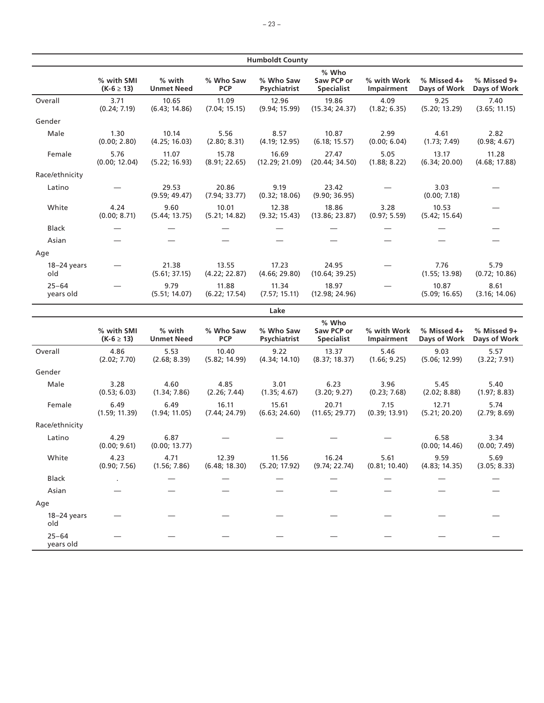|                        |                              |                             |                         | <b>Humboldt County</b>    |                                          |                           |                             |                             |
|------------------------|------------------------------|-----------------------------|-------------------------|---------------------------|------------------------------------------|---------------------------|-----------------------------|-----------------------------|
|                        | % with SMI<br>$(K-6 \ge 13)$ | % with<br><b>Unmet Need</b> | % Who Saw<br><b>PCP</b> | % Who Saw<br>Psychiatrist | % Who<br>Saw PCP or<br><b>Specialist</b> | % with Work<br>Impairment | % Missed 4+<br>Days of Work | % Missed 9+<br>Days of Work |
| Overall                | 3.71<br>(0.24; 7.19)         | 10.65<br>(6.43; 14.86)      | 11.09<br>(7.04; 15.15)  | 12.96<br>(9.94; 15.99)    | 19.86<br>(15.34; 24.37)                  | 4.09<br>(1.82; 6.35)      | 9.25<br>(5.20; 13.29)       | 7.40<br>(3.65; 11.15)       |
| Gender                 |                              |                             |                         |                           |                                          |                           |                             |                             |
| Male                   | 1.30<br>(0.00; 2.80)         | 10.14<br>(4.25; 16.03)      | 5.56<br>(2.80; 8.31)    | 8.57<br>(4.19; 12.95)     | 10.87<br>(6.18; 15.57)                   | 2.99<br>(0.00; 6.04)      | 4.61<br>(1.73; 7.49)        | 2.82<br>(0.98; 4.67)        |
| Female                 | 5.76<br>(0.00; 12.04)        | 11.07<br>(5.22; 16.93)      | 15.78<br>(8.91; 22.65)  | 16.69<br>(12.29; 21.09)   | 27.47<br>(20.44; 34.50)                  | 5.05<br>(1.88; 8.22)      | 13.17<br>(6.34; 20.00)      | 11.28<br>(4.68; 17.88)      |
| Race/ethnicity         |                              |                             |                         |                           |                                          |                           |                             |                             |
| Latino                 |                              | 29.53<br>(9.59; 49.47)      | 20.86<br>(7.94; 33.77)  | 9.19<br>(0.32; 18.06)     | 23.42<br>(9.90; 36.95)                   |                           | 3.03<br>(0.00; 7.18)        |                             |
| White                  | 4.24<br>(0.00; 8.71)         | 9.60<br>(5.44; 13.75)       | 10.01<br>(5.21; 14.82)  | 12.38<br>(9.32; 15.43)    | 18.86<br>(13.86; 23.87)                  | 3.28<br>(0.97; 5.59)      | 10.53<br>(5.42; 15.64)      |                             |
| <b>Black</b>           |                              |                             | $\qquad \qquad$         |                           |                                          |                           | $\qquad \qquad$             |                             |
| Asian                  |                              |                             |                         |                           |                                          |                           |                             |                             |
| Age                    |                              |                             |                         |                           |                                          |                           |                             |                             |
| $18-24$ years<br>old   |                              | 21.38<br>(5.61; 37.15)      | 13.55<br>(4.22; 22.87)  | 17.23<br>(4.66; 29.80)    | 24.95<br>(10.64; 39.25)                  |                           | 7.76<br>(1.55; 13.98)       | 5.79<br>(0.72; 10.86)       |
| $25 - 64$<br>years old |                              | 9.79<br>(5.51; 14.07)       | 11.88<br>(6.22; 17.54)  | 11.34<br>(7.57; 15.11)    | 18.97<br>(12.98; 24.96)                  |                           | 10.87<br>(5.09; 16.65)      | 8.61<br>(3.16; 14.06)       |
|                        |                              |                             |                         | Lake                      |                                          |                           |                             |                             |
|                        | % with SMI<br>$(K-6 \ge 13)$ | % with<br><b>Unmet Need</b> | % Who Saw<br><b>PCP</b> | % Who Saw<br>Psychiatrist | % Who<br>Saw PCP or<br><b>Specialist</b> | % with Work<br>Impairment | % Missed 4+<br>Days of Work | % Missed 9+<br>Days of Work |
| Overall                | 4.86<br>(2.02; 7.70)         | 5.53<br>(2.68; 8.39)        | 10.40<br>(5.82; 14.99)  | 9.22<br>(4.34; 14.10)     | 13.37<br>(8.37; 18.37)                   | 5.46<br>(1.66; 9.25)      | 9.03<br>(5.06; 12.99)       | 5.57<br>(3.22; 7.91)        |
| Gender                 |                              |                             |                         |                           |                                          |                           |                             |                             |
| Male                   | 3.28<br>(0.53; 6.03)         | 4.60<br>(1.34; 7.86)        | 4.85<br>(2.26; 7.44)    | 3.01<br>(1.35; 4.67)      | 6.23<br>(3.20; 9.27)                     | 3.96<br>(0.23; 7.68)      | 5.45<br>(2.02; 8.88)        | 5.40<br>(1.97; 8.83)        |
| Female                 | 6.49<br>(1.59; 11.39)        | 6.49<br>(1.94; 11.05)       | 16.11<br>(7.44; 24.79)  | 15.61<br>(6.63; 24.60)    | 20.71<br>(11.65; 29.77)                  | 7.15<br>(0.39; 13.91)     | 12.71<br>(5.21; 20.20)      | 5.74<br>(2.79; 8.69)        |
| Race/ethnicity         |                              |                             |                         |                           |                                          |                           |                             |                             |
| Latino                 | 4.29<br>(0.00; 9.61)         | 6.87<br>(0.00; 13.77)       |                         |                           |                                          |                           | 6.58<br>(0.00; 14.46)       | 3.34<br>(0.00; 7.49)        |
| White                  | 4.23<br>(0.90; 7.56)         | 4.71<br>(1.56; 7.86)        | 12.39<br>(6.48; 18.30)  | 11.56<br>(5.20; 17.92)    | 16.24<br>(9.74; 22.74)                   | 5.61<br>(0.81; 10.40)     | 9.59<br>(4.83; 14.35)       | 5.69<br>(3.05; 8.33)        |
| Black                  |                              |                             |                         |                           |                                          |                           |                             |                             |
| Asian                  |                              |                             |                         |                           |                                          |                           |                             |                             |
| Age                    |                              |                             |                         |                           |                                          |                           |                             |                             |
| $18-24$ years<br>old   |                              |                             |                         |                           |                                          |                           |                             |                             |
| $25 - 64$<br>years old |                              |                             |                         |                           |                                          |                           |                             |                             |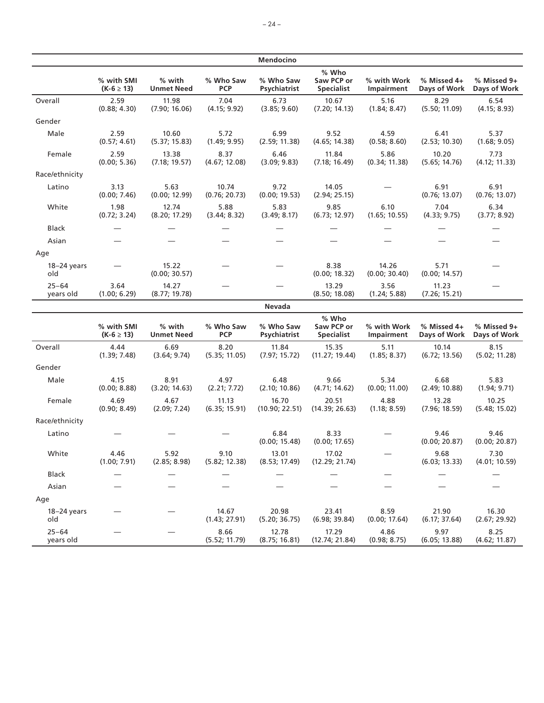|                        |                              |                             |                         | Mendocino                 |                                          |                           |                             |                             |
|------------------------|------------------------------|-----------------------------|-------------------------|---------------------------|------------------------------------------|---------------------------|-----------------------------|-----------------------------|
|                        | % with SMI<br>$(K-6 \ge 13)$ | % with<br><b>Unmet Need</b> | % Who Saw<br><b>PCP</b> | % Who Saw<br>Psychiatrist | % Who<br>Saw PCP or<br><b>Specialist</b> | % with Work<br>Impairment | % Missed 4+<br>Days of Work | % Missed 9+<br>Days of Work |
| Overall                | 2.59<br>(0.88; 4.30)         | 11.98<br>(7.90; 16.06)      | 7.04<br>(4.15; 9.92)    | 6.73<br>(3.85; 9.60)      | 10.67<br>(7.20; 14.13)                   | 5.16<br>(1.84; 8.47)      | 8.29<br>(5.50; 11.09)       | 6.54<br>(4.15; 8.93)        |
| Gender                 |                              |                             |                         |                           |                                          |                           |                             |                             |
| Male                   | 2.59<br>(0.57; 4.61)         | 10.60<br>(5.37; 15.83)      | 5.72<br>(1.49; 9.95)    | 6.99<br>(2.59; 11.38)     | 9.52<br>(4.65; 14.38)                    | 4.59<br>(0.58; 8.60)      | 6.41<br>(2.53; 10.30)       | 5.37<br>(1.68; 9.05)        |
| Female                 | 2.59<br>(0.00; 5.36)         | 13.38<br>(7.18; 19.57)      | 8.37<br>(4.67; 12.08)   | 6.46<br>(3.09; 9.83)      | 11.84<br>(7.18; 16.49)                   | 5.86<br>(0.34; 11.38)     | 10.20<br>(5.65; 14.76)      | 7.73<br>(4.12; 11.33)       |
| Race/ethnicity         |                              |                             |                         |                           |                                          |                           |                             |                             |
| Latino                 | 3.13<br>(0.00; 7.46)         | 5.63<br>(0.00; 12.99)       | 10.74<br>(0.76; 20.73)  | 9.72<br>(0.00; 19.53)     | 14.05<br>(2.94; 25.15)                   |                           | 6.91<br>(0.76; 13.07)       | 6.91<br>(0.76; 13.07)       |
| White                  | 1.98<br>(0.72; 3.24)         | 12.74<br>(8.20; 17.29)      | 5.88<br>(3.44; 8.32)    | 5.83<br>(3.49; 8.17)      | 9.85<br>(6.73; 12.97)                    | 6.10<br>(1.65; 10.55)     | 7.04<br>(4.33; 9.75)        | 6.34<br>(3.77; 8.92)        |
| Black                  |                              |                             | —                       |                           |                                          |                           |                             |                             |
| Asian                  |                              |                             |                         |                           |                                          |                           |                             |                             |
| Age                    |                              |                             |                         |                           |                                          |                           |                             |                             |
| $18-24$ years<br>old   |                              | 15.22<br>(0.00; 30.57)      |                         |                           | 8.38<br>(0.00; 18.32)                    | 14.26<br>(0.00; 30.40)    | 5.71<br>(0.00; 14.57)       |                             |
| $25 - 64$<br>years old | 3.64<br>(1.00; 6.29)         | 14.27<br>(8.77; 19.78)      |                         |                           | 13.29<br>(8.50; 18.08)                   | 3.56<br>(1.24; 5.88)      | 11.23<br>(7.26; 15.21)      |                             |
|                        |                              |                             |                         | Nevada                    |                                          |                           |                             |                             |
|                        | % with SMI<br>$(K-6 \ge 13)$ | % with<br><b>Unmet Need</b> | % Who Saw<br><b>PCP</b> | % Who Saw<br>Psychiatrist | % Who<br>Saw PCP or<br><b>Specialist</b> | % with Work<br>Impairment | % Missed 4+<br>Days of Work | % Missed 9+<br>Days of Work |
| Overall                | 4.44<br>(1.39; 7.48)         | 6.69<br>(3.64; 9.74)        | 8.20<br>(5.35; 11.05)   | 11.84<br>(7.97; 15.72)    | 15.35<br>(11.27; 19.44)                  | 5.11<br>(1.85; 8.37)      | 10.14<br>(6.72; 13.56)      | 8.15<br>(5.02; 11.28)       |
| Gender                 |                              |                             |                         |                           |                                          |                           |                             |                             |
| Male                   | 4.15<br>(0.00; 8.88)         | 8.91<br>(3.20; 14.63)       | 4.97<br>(2.21; 7.72)    | 6.48<br>(2.10; 10.86)     | 9.66<br>(4.71; 14.62)                    | 5.34<br>(0.00; 11.00)     | 6.68<br>(2.49; 10.88)       | 5.83<br>(1.94; 9.71)        |
| Female                 | 4.69<br>(0.90; 8.49)         | 4.67<br>(2.09; 7.24)        | 11.13<br>(6.35; 15.91)  | 16.70<br>(10.90; 22.51)   | 20.51<br>(14.39; 26.63)                  | 4.88<br>(1.18; 8.59)      | 13.28<br>(7.96; 18.59)      | 10.25<br>(5.48; 15.02)      |
| Race/ethnicity         |                              |                             |                         |                           |                                          |                           |                             |                             |
| Latino                 |                              |                             |                         | 6.84<br>(0.00; 15.48)     | 8.33<br>(0.00; 17.65)                    |                           | 9.46<br>(0.00; 20.87)       | 9.46<br>(0.00; 20.87)       |
| White                  | 4.46<br>(1.00; 7.91)         | 5.92<br>(2.85; 8.98)        | 9.10<br>(5.82; 12.38)   | 13.01<br>(8.53; 17.49)    | 17.02<br>(12.29; 21.74)                  |                           | 9.68<br>(6.03; 13.33)       | 7.30<br>(4.01; 10.59)       |
| <b>Black</b>           |                              |                             |                         |                           |                                          |                           |                             |                             |
| Asian                  |                              |                             |                         |                           |                                          |                           |                             |                             |
| Age                    |                              |                             |                         |                           |                                          |                           |                             |                             |
| $18-24$ years<br>old   |                              |                             | 14.67<br>(1.43; 27.91)  | 20.98<br>(5.20; 36.75)    | 23.41<br>(6.98; 39.84)                   | 8.59<br>(0.00; 17.64)     | 21.90<br>(6.17; 37.64)      | 16.30<br>(2.67; 29.92)      |
| $25 - 64$<br>years old |                              |                             | 8.66<br>(5.52; 11.79)   | 12.78<br>(8.75; 16.81)    | 17.29<br>(12.74; 21.84)                  | 4.86<br>(0.98; 8.75)      | 9.97<br>(6.05; 13.88)       | 8.25<br>(4.62; 11.87)       |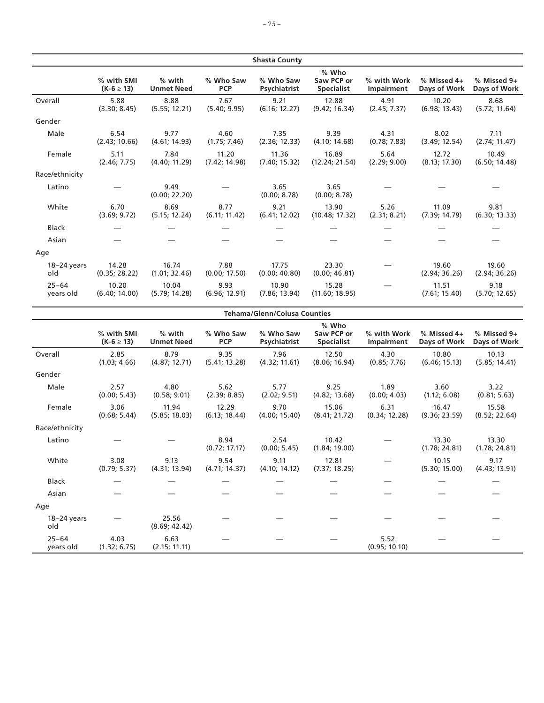|                        |                              |                             |                         | <b>Shasta County</b>      |                                          |                           |                             |                             |
|------------------------|------------------------------|-----------------------------|-------------------------|---------------------------|------------------------------------------|---------------------------|-----------------------------|-----------------------------|
|                        | % with SMI<br>$(K-6 \ge 13)$ | % with<br><b>Unmet Need</b> | % Who Saw<br><b>PCP</b> | % Who Saw<br>Psychiatrist | % Who<br>Saw PCP or<br><b>Specialist</b> | % with Work<br>Impairment | % Missed 4+<br>Days of Work | % Missed 9+<br>Days of Work |
| Overall                | 5.88<br>(3.30; 8.45)         | 8.88<br>(5.55; 12.21)       | 7.67<br>(5.40; 9.95)    | 9.21<br>(6.16; 12.27)     | 12.88<br>(9.42; 16.34)                   | 4.91<br>(2.45; 7.37)      | 10.20<br>(6.98; 13.43)      | 8.68<br>(5.72; 11.64)       |
| Gender                 |                              |                             |                         |                           |                                          |                           |                             |                             |
| Male                   | 6.54<br>(2.43; 10.66)        | 9.77<br>(4.61; 14.93)       | 4.60<br>(1.75; 7.46)    | 7.35<br>(2.36; 12.33)     | 9.39<br>(4.10; 14.68)                    | 4.31<br>(0.78; 7.83)      | 8.02<br>(3.49; 12.54)       | 7.11<br>(2.74; 11.47)       |
| Female                 | 5.11<br>(2.46; 7.75)         | 7.84<br>(4.40; 11.29)       | 11.20<br>(7.42; 14.98)  | 11.36<br>(7.40; 15.32)    | 16.89<br>(12.24; 21.54)                  | 5.64<br>(2.29; 9.00)      | 12.72<br>(8.13; 17.30)      | 10.49<br>(6.50; 14.48)      |
| Race/ethnicity         |                              |                             |                         |                           |                                          |                           |                             |                             |
| Latino                 |                              | 9.49<br>(0.00; 22.20)       |                         | 3.65<br>(0.00; 8.78)      | 3.65<br>(0.00; 8.78)                     |                           |                             |                             |
| White                  | 6.70<br>(3.69; 9.72)         | 8.69<br>(5.15; 12.24)       | 8.77<br>(6.11; 11.42)   | 9.21<br>(6.41; 12.02)     | 13.90<br>(10.48; 17.32)                  | 5.26<br>(2.31; 8.21)      | 11.09<br>(7.39; 14.79)      | 9.81<br>(6.30; 13.33)       |
| <b>Black</b>           |                              |                             |                         |                           |                                          |                           |                             |                             |
| Asian                  |                              |                             |                         |                           |                                          |                           |                             |                             |
| Age                    |                              |                             |                         |                           |                                          |                           |                             |                             |
| $18-24$ years<br>old   | 14.28<br>(0.35; 28.22)       | 16.74<br>(1.01; 32.46)      | 7.88<br>(0.00; 17.50)   | 17.75<br>(0.00; 40.80)    | 23.30<br>(0.00; 46.81)                   |                           | 19.60<br>(2.94; 36.26)      | 19.60<br>(2.94; 36.26)      |
| $25 - 64$<br>years old | 10.20<br>(6.40; 14.00)       | 10.04<br>(5.79; 14.28)      | 9.93<br>(6.96; 12.91)   | 10.90<br>(7.86; 13.94)    | 15.28<br>(11.60; 18.95)                  |                           | 11.51<br>(7.61; 15.40)      | 9.18<br>(5.70; 12.65)       |

|                        | <b>Tehama/Glenn/Colusa Counties</b> |                             |                         |                           |                                            |                           |                             |                             |  |
|------------------------|-------------------------------------|-----------------------------|-------------------------|---------------------------|--------------------------------------------|---------------------------|-----------------------------|-----------------------------|--|
|                        | % with SMI<br>$(K-6 \ge 13)$        | % with<br><b>Unmet Need</b> | % Who Saw<br><b>PCP</b> | % Who Saw<br>Psychiatrist | $%$ Who<br>Saw PCP or<br><b>Specialist</b> | % with Work<br>Impairment | % Missed 4+<br>Days of Work | % Missed 9+<br>Days of Work |  |
| Overall                | 2.85<br>(1.03; 4.66)                | 8.79<br>(4.87; 12.71)       | 9.35<br>(5.41; 13.28)   | 7.96<br>(4.32; 11.61)     | 12.50<br>(8.06; 16.94)                     | 4.30<br>(0.85; 7.76)      | 10.80<br>(6.46; 15.13)      | 10.13<br>(5.85; 14.41)      |  |
| Gender                 |                                     |                             |                         |                           |                                            |                           |                             |                             |  |
| Male                   | 2.57<br>(0.00; 5.43)                | 4.80<br>(0.58; 9.01)        | 5.62<br>(2.39; 8.85)    | 5.77<br>(2.02; 9.51)      | 9.25<br>(4.82; 13.68)                      | 1.89<br>(0.00; 4.03)      | 3.60<br>(1.12; 6.08)        | 3.22<br>(0.81; 5.63)        |  |
| Female                 | 3.06<br>(0.68; 5.44)                | 11.94<br>(5.85; 18.03)      | 12.29<br>(6.13; 18.44)  | 9.70<br>(4.00; 15.40)     | 15.06<br>(8.41; 21.72)                     | 6.31<br>(0.34; 12.28)     | 16.47<br>(9.36; 23.59)      | 15.58<br>(8.52; 22.64)      |  |
| Race/ethnicity         |                                     |                             |                         |                           |                                            |                           |                             |                             |  |
| Latino                 |                                     |                             | 8.94<br>(0.72; 17.17)   | 2.54<br>(0.00; 5.45)      | 10.42<br>(1.84; 19.00)                     |                           | 13.30<br>(1.78; 24.81)      | 13.30<br>(1.78; 24.81)      |  |
| White                  | 3.08<br>(0.79; 5.37)                | 9.13<br>(4.31; 13.94)       | 9.54<br>(4.71; 14.37)   | 9.11<br>(4.10; 14.12)     | 12.81<br>(7.37; 18.25)                     |                           | 10.15<br>(5.30; 15.00)      | 9.17<br>(4.43; 13.91)       |  |
| <b>Black</b>           |                                     |                             |                         |                           |                                            |                           |                             |                             |  |
| Asian                  |                                     |                             |                         |                           |                                            |                           |                             |                             |  |
| Age                    |                                     |                             |                         |                           |                                            |                           |                             |                             |  |
| $18-24$ years<br>old   |                                     | 25.56<br>(8.69; 42.42)      |                         |                           |                                            |                           |                             |                             |  |
| $25 - 64$<br>years old | 4.03<br>(1.32; 6.75)                | 6.63<br>(2.15; 11.11)       |                         |                           |                                            | 5.52<br>(0.95; 10.10)     |                             |                             |  |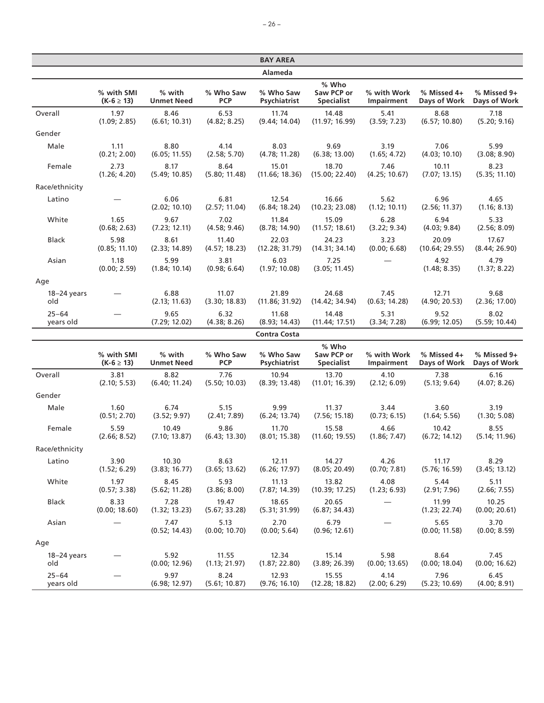|                        |                              |                             |                              | <b>BAY AREA</b>               |                                          |                           |                             |                             |
|------------------------|------------------------------|-----------------------------|------------------------------|-------------------------------|------------------------------------------|---------------------------|-----------------------------|-----------------------------|
|                        |                              |                             |                              | <b>Alameda</b>                |                                          |                           |                             |                             |
|                        | % with SMI<br>$(K-6 \ge 13)$ | % with<br><b>Unmet Need</b> | % Who Saw<br><b>PCP</b>      | % Who Saw<br>Psychiatrist     | % Who<br>Saw PCP or<br><b>Specialist</b> | % with Work<br>Impairment | % Missed 4+<br>Days of Work | % Missed 9+<br>Days of Work |
| Overall                | 1.97<br>(1.09; 2.85)         | 8.46<br>(6.61; 10.31)       | 6.53<br>(4.82; 8.25)         | 11.74<br>(9.44; 14.04)        | 14.48<br>(11.97; 16.99)                  | 5.41<br>(3.59; 7.23)      | 8.68<br>(6.57; 10.80)       | 7.18<br>(5.20; 9.16)        |
| Gender                 |                              |                             |                              |                               |                                          |                           |                             |                             |
| Male                   | 1.11<br>(0.21; 2.00)         | 8.80<br>(6.05; 11.55)       | 4.14<br>(2.58; 5.70)         | 8.03<br>(4.78; 11.28)         | 9.69<br>(6.38; 13.00)                    | 3.19<br>(1.65; 4.72)      | 7.06<br>(4.03; 10.10)       | 5.99<br>(3.08; 8.90)        |
| Female                 | 2.73<br>(1.26; 4.20)         | 8.17<br>(5.49; 10.85)       | 8.64<br>(5.80; 11.48)        | 15.01<br>(11.66; 18.36)       | 18.70<br>(15.00; 22.40)                  | 7.46<br>(4.25; 10.67)     | 10.11<br>(7.07; 13.15)      | 8.23<br>(5.35; 11.10)       |
| Race/ethnicity         |                              |                             |                              |                               |                                          |                           |                             |                             |
| Latino                 |                              | 6.06<br>(2.02; 10.10)       | 6.81<br>(2.57; 11.04)        | 12.54<br>(6.84; 18.24)        | 16.66<br>(10.23; 23.08)                  | 5.62<br>(1.12; 10.11)     | 6.96<br>(2.56; 11.37)       | 4.65<br>(1.16; 8.13)        |
| White                  | 1.65<br>(0.68; 2.63)         | 9.67<br>(7.23; 12.11)       | 7.02<br>(4.58; 9.46)         | 11.84<br>(8.78; 14.90)        | 15.09<br>(11.57; 18.61)                  | 6.28<br>(3.22; 9.34)      | 6.94<br>(4.03; 9.84)        | 5.33<br>(2.56; 8.09)        |
| <b>Black</b>           | 5.98<br>(0.85; 11.10)        | 8.61<br>(2.33; 14.89)       | 11.40<br>(4.57; 18.23)       | 22.03<br>(12.28; 31.79)       | 24.23<br>(14.31; 34.14)                  | 3.23<br>(0.00; 6.68)      | 20.09<br>(10.64; 29.55)     | 17.67<br>(8.44; 26.90)      |
| Asian                  | 1.18<br>(0.00; 2.59)         | 5.99<br>(1.84; 10.14)       | 3.81<br>(0.98; 6.64)         | 6.03<br>(1.97; 10.08)         | 7.25<br>(3.05; 11.45)                    |                           | 4.92<br>(1.48; 8.35)        | 4.79<br>(1.37; 8.22)        |
| Age                    |                              |                             |                              |                               |                                          |                           |                             |                             |
| $18-24$ years<br>old   |                              | 6.88<br>(2.13; 11.63)       | 11.07<br>(3.30; 18.83)       | 21.89<br>(11.86; 31.92)       | 24.68<br>(14.42; 34.94)                  | 7.45<br>(0.63; 14.28)     | 12.71<br>(4.90; 20.53)      | 9.68<br>(2.36; 17.00)       |
| $25 - 64$<br>years old |                              | 9.65<br>(7.29; 12.02)       | 6.32<br>(4.38; 8.26)         | 11.68<br>(8.93; 14.43)        | 14.48<br>(11.44; 17.51)                  | 5.31<br>(3.34; 7.28)      | 9.52<br>(6.99; 12.05)       | 8.02<br>(5.59; 10.44)       |
|                        |                              |                             |                              | <b>Contra Costa</b>           |                                          |                           |                             |                             |
|                        | % with SMI<br>$(K-6 \ge 13)$ | % with<br><b>Unmet Need</b> | % Who Saw<br><b>PCP</b>      | % Who Saw<br>Psychiatrist     | % Who<br>Saw PCP or<br><b>Specialist</b> | % with Work<br>Impairment | % Missed 4+<br>Days of Work | % Missed 9+<br>Days of Work |
| Overall                | 3.81<br>(2.10; 5.53)         | 8.82<br>(6.40; 11.24)       | 7.76<br>(5.50; 10.03)        | 10.94<br>(8.39; 13.48)        | 13.70<br>(11.01; 16.39)                  | 4.10<br>(2.12; 6.09)      | 7.38<br>(5.13; 9.64)        | 6.16<br>(4.07; 8.26)        |
| Gender                 |                              |                             |                              |                               |                                          |                           |                             |                             |
| Male                   | 1.60<br>(0.51; 2.70)         | 6.74<br>(3.52; 9.97)        | 5.15<br>(2.41; 7.89)         | 9.99<br>(6.24; 13.74)         | 11.37<br>(7.56; 15.18)                   | 3.44<br>(0.73; 6.15)      | 3.60<br>(1.64; 5.56)        | 3.19<br>(1.30; 5.08)        |
| Female                 | 5.59<br>(2.66:8.52)          | 10.49<br>(710.13.87)        | 9.86<br>$(6.43 \cdot 13.30)$ | 11.70<br>$(8.01 \cdot 15.38)$ | 15.58<br>$(11.60 \cdot 19.55)$           | 4.66<br>(1.86:7.47)       | 10.42<br>$(672 \cdot 1412)$ | 8.55<br>(514.1196)          |

|                | (0.51; 2.70)          | (3.52; 9.97)          | (2.41; 7.89)           | (6.24:13.74)           | (7.56; 15.18)          | (0.73; 6.15)  | (1.64; 5.56)           | (1.30; 5.08)           |
|----------------|-----------------------|-----------------------|------------------------|------------------------|------------------------|---------------|------------------------|------------------------|
| Female         | 5.59                  | 10.49                 | 9.86                   | 11.70                  | 15.58                  | 4.66          | 10.42                  | 8.55                   |
|                | (2.66; 8.52)          | (7.10; 13.87)         | (6.43; 13.30)          | (8.01; 15.38)          | (11.60; 19.55)         | (1.86; 7.47)  | (6.72; 14.12)          | (5.14; 11.96)          |
| Race/ethnicity |                       |                       |                        |                        |                        |               |                        |                        |
| Latino         | 3.90                  | 10.30                 | 8.63                   | 12.11                  | 14.27                  | 4.26          | 11.17                  | 8.29                   |
|                | (1.52; 6.29)          | (3.83; 16.77)         | (3.65; 13.62)          | (6.26; 17.97)          | (8.05; 20.49)          | (0.70; 7.81)  | (5.76; 16.59)          | (3.45; 13.12)          |
| White          | 1.97                  | 8.45                  | 5.93                   | 11.13                  | 13.82                  | 4.08          | 5.44                   | 5.11                   |
|                | (0.57; 3.38)          | (5.62; 11.28)         | (3.86; 8.00)           | (7.87; 14.39)          | (10.39; 17.25)         | (1.23; 6.93)  | (2.91; 7.96)           | (2.66; 7.55)           |
| <b>Black</b>   | 8.33<br>(0.00; 18.60) | 7.28<br>(1.32; 13.23) | 19.47<br>(5.67; 33.28) | 18.65<br>(5.31; 31.99) | 20.65<br>(6.87; 34.43) |               | 11.99<br>(1.23; 22.74) | 10.25<br>(0.00; 20.61) |
| Asian          |                       | 7.47<br>(0.52; 14.43) | 5.13<br>(0.00; 10.70)  | 2.70<br>(0.00; 5.64)   | 6.79<br>(0.96; 12.61)  |               | 5.65<br>(0.00; 11.58)  | 3.70<br>(0.00; 8.59)   |
| Age            |                       |                       |                        |                        |                        |               |                        |                        |
| $18-24$ years  |                       | 5.92                  | 11.55                  | 12.34                  | 15.14                  | 5.98          | 8.64                   | 7.45                   |
| old            |                       | (0.00; 12.96)         | (1.13; 21.97)          | (1.87; 22.80)          | (3.89; 26.39)          | (0.00; 13.65) | (0.00; 18.04)          | (0.00; 16.62)          |
| $25 - 64$      |                       | 9.97                  | 8.24                   | 12.93                  | 15.55                  | 4.14          | 7.96                   | 6.45                   |
| years old      |                       | (6.98; 12.97)         | (5.61; 10.87)          | (9.76; 16.10)          | (12.28; 18.82)         | (2.00; 6.29)  | (5.23; 10.69)          | (4.00; 8.91)           |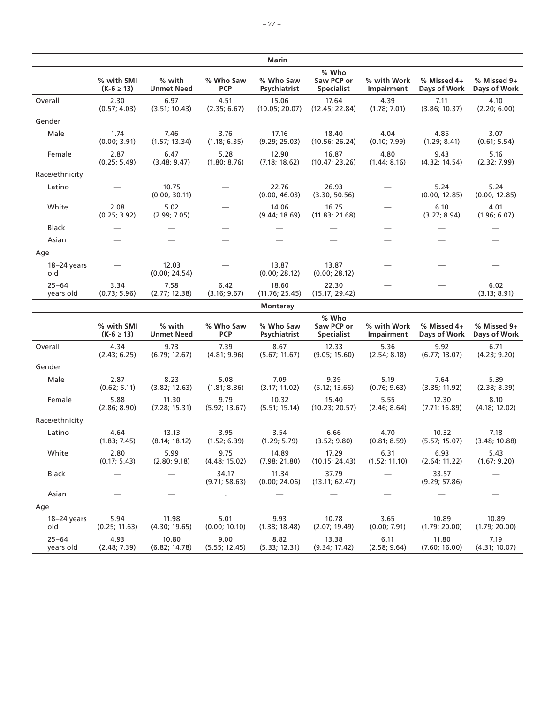|                        |                              |                             |                         | <b>Marin</b>              |                                                                   |                           |                             |                             |
|------------------------|------------------------------|-----------------------------|-------------------------|---------------------------|-------------------------------------------------------------------|---------------------------|-----------------------------|-----------------------------|
|                        | % with SMI<br>$(K-6 \ge 13)$ | % with<br><b>Unmet Need</b> | % Who Saw<br><b>PCP</b> | % Who Saw<br>Psychiatrist | % Who<br>Saw PCP or<br><b>Specialist</b>                          | % with Work<br>Impairment | % Missed 4+<br>Days of Work | % Missed 9+<br>Days of Work |
| Overall                | 2.30<br>(0.57; 4.03)         | 6.97<br>(3.51; 10.43)       | 4.51<br>(2.35; 6.67)    | 15.06<br>(10.05; 20.07)   | 17.64<br>(12.45; 22.84)                                           | 4.39<br>(1.78; 7.01)      | 7.11<br>(3.86; 10.37)       | 4.10<br>(2.20; 6.00)        |
| Gender                 |                              |                             |                         |                           |                                                                   |                           |                             |                             |
| Male                   | 1.74<br>(0.00; 3.91)         | 7.46<br>(1.57; 13.34)       | 3.76<br>(1.18; 6.35)    | 17.16<br>(9.29; 25.03)    | 18.40<br>(10.56; 26.24)                                           | 4.04<br>(0.10; 7.99)      | 4.85<br>(1.29; 8.41)        | 3.07<br>(0.61; 5.54)        |
| Female                 | 2.87<br>(0.25; 5.49)         | 6.47<br>(3.48; 9.47)        | 5.28<br>(1.80; 8.76)    | 12.90<br>(7.18; 18.62)    | 16.87<br>(10.47; 23.26)                                           | 4.80<br>(1.44; 8.16)      | 9.43<br>(4.32; 14.54)       | 5.16<br>(2.32; 7.99)        |
| Race/ethnicity         |                              |                             |                         |                           |                                                                   |                           |                             |                             |
| Latino                 |                              | 10.75<br>(0.00; 30.11)      |                         | 22.76<br>(0.00; 46.03)    | 26.93<br>(3.30; 50.56)                                            |                           | 5.24<br>(0.00; 12.85)       | 5.24<br>(0.00; 12.85)       |
| White                  | 2.08<br>(0.25; 3.92)         | 5.02<br>(2.99; 7.05)        |                         | 14.06<br>(9.44; 18.69)    | 16.75<br>(11.83; 21.68)                                           |                           | 6.10<br>(3.27; 8.94)        | 4.01<br>(1.96; 6.07)        |
| <b>Black</b>           |                              |                             |                         |                           |                                                                   |                           |                             |                             |
| Asian                  |                              |                             |                         |                           |                                                                   |                           |                             |                             |
| Age                    |                              |                             |                         |                           |                                                                   |                           |                             |                             |
| 18-24 years<br>old     |                              | 12.03<br>(0.00; 24.54)      |                         | 13.87<br>(0.00; 28.12)    | 13.87<br>(0.00; 28.12)                                            |                           |                             |                             |
| $25 - 64$<br>years old | 3.34<br>(0.73; 5.96)         | 7.58<br>(2.77; 12.38)       | 6.42<br>(3.16; 9.67)    | 18.60<br>(11.76; 25.45)   | 22.30<br>(15.17; 29.42)                                           |                           |                             | 6.02<br>(3.13; 8.91)        |
|                        |                              |                             |                         | <b>Monterey</b>           |                                                                   |                           |                             |                             |
|                        | % with SMI<br>$(K-6 \ge 13)$ | % with<br><b>Unmet Need</b> | % Who Saw<br><b>PCP</b> | % Who Saw<br>Psychiatrist | % Who<br>Saw PCP or<br><b>Specialist</b>                          | % with Work<br>Impairment | % Missed 4+<br>Days of Work | % Missed 9+<br>Days of Work |
| Overall                | 4.34<br>(2.43; 6.25)         | 9.73<br>(6.79; 12.67)       | 7.39<br>(4.81; 9.96)    | 8.67<br>(5.67; 11.67)     | 12.33<br>(9.05; 15.60)                                            | 5.36<br>(2.54; 8.18)      | 9.92<br>(6.77; 13.07)       | 6.71<br>(4.23; 9.20)        |
| Gender                 |                              |                             |                         |                           |                                                                   |                           |                             |                             |
| Male                   | 2.87<br>(0.62; 5.11)         | 8.23<br>(3.82; 12.63)       | 5.08<br>(1.81; 8.36)    | 7.09<br>(3.17; 11.02)     | 9.39<br>(5.12; 13.66)                                             | 5.19<br>(0.76; 9.63)      | 7.64<br>(3.35; 11.92)       | 5.39<br>(2.38; 8.39)        |
| Female                 | 5.88<br>(2.86; 8.90)         | 11.30<br>(7.28; 15.31)      | 9.79<br>(5.92; 13.67)   | 10.32<br>(5.51; 15.14)    | 15.40<br>(10.23; 20.57)                                           | 5.55<br>(2.46; 8.64)      | 12.30<br>(7.71; 16.89)      | 8.10<br>(4.18; 12.02)       |
| Race/ethnicity         |                              |                             |                         |                           |                                                                   |                           |                             |                             |
| Latino                 | 4.64<br>(1.83; 7.45)         | 13.13<br>(8.14; 18.12)      | 3.95<br>(1.52; 6.39)    | 3.54<br>(1.29; 5.79)      | 6.66<br>(3.52; 9.80)                                              | 4.70<br>(0.81; 8.59)      | 10.32<br>(5.57; 15.07)      | 7.18<br>(3.48; 10.88)       |
| White                  | 2.80<br>(0.17; 5.43)         | 5.99<br>(2.80; 9.18)        | 9.75<br>(4.48; 15.02)   | 14.89                     | 17.29<br>(7.98; 21.80) (10.15; 24.43) (1.52; 11.10) (2.64; 11.22) | 6.31                      | 6.93                        | 5.43<br>(1.67; 9.20)        |
| Black                  |                              |                             | 34.17<br>(9.71; 58.63)  | 11.34<br>(0.00; 24.06)    | 37.79<br>(13.11; 62.47)                                           |                           | 33.57<br>(9.29; 57.86)      |                             |
| Asian                  |                              |                             |                         |                           |                                                                   |                           |                             |                             |
| Age                    |                              |                             |                         |                           |                                                                   |                           |                             |                             |
| $18-24$ years<br>old   | 5.94<br>(0.25; 11.63)        | 11.98<br>(4.30; 19.65)      | 5.01<br>(0.00; 10.10)   | 9.93<br>(1.38; 18.48)     | 10.78<br>(2.07; 19.49)                                            | 3.65<br>(0.00; 7.91)      | 10.89<br>(1.79; 20.00)      | 10.89<br>(1.79; 20.00)      |
| $25 - 64$<br>years old | 4.93<br>(2.48; 7.39)         | 10.80<br>(6.82; 14.78)      | 9.00<br>(5.55; 12.45)   | 8.82<br>(5.33; 12.31)     | 13.38<br>(9.34; 17.42)                                            | 6.11<br>(2.58; 9.64)      | 11.80<br>(7.60; 16.00)      | 7.19<br>(4.31; 10.07)       |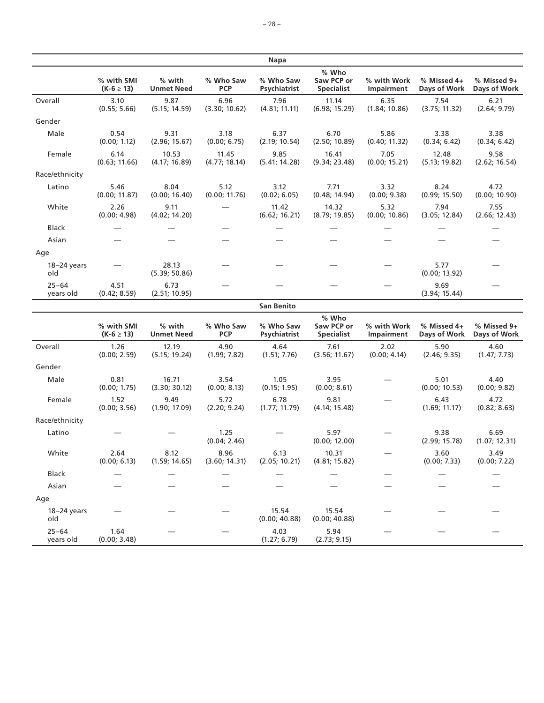|                        |                              |                                                                                        |                         | Napa                      |                                          |                           |                             |                             |
|------------------------|------------------------------|----------------------------------------------------------------------------------------|-------------------------|---------------------------|------------------------------------------|---------------------------|-----------------------------|-----------------------------|
|                        | % with SMI<br>$(K-6 \ge 13)$ | % with<br><b>Unmet Need</b>                                                            | % Who Saw<br><b>PCP</b> | % Who Saw<br>Psychiatrist | % Who<br>Saw PCP or<br><b>Specialist</b> | % with Work<br>Impairment | % Missed 4+<br>Days of Work | % Missed 9+<br>Days of Work |
| Overall                | 3.10<br>(0.55; 5.66)         | 9.87<br>(5.15; 14.59)                                                                  | 6.96<br>(3.30; 10.62)   | 7.96<br>(4.81; 11.11)     | 11.14<br>(6.98; 15.29)                   | 6.35<br>(1.84; 10.86)     | 7.54<br>(3.75; 11.32)       | 6.21<br>(2.64; 9.79)        |
| Gender                 |                              |                                                                                        |                         |                           |                                          |                           |                             |                             |
| Male                   | 0.54<br>(0.00; 1.12)         | 9.31<br>(2.96; 15.67)                                                                  | 3.18<br>(0.00; 6.75)    | 6.37<br>(2.19; 10.54)     | 6.70<br>(2.50; 10.89)                    | 5.86<br>(0.40; 11.32)     | 3.38<br>(0.34; 6.42)        | 3.38<br>(0.34; 6.42)        |
| Female                 | 6.14<br>(0.63; 11.66)        | 10.53<br>(4.17; 16.89)                                                                 | 11.45<br>(4.77; 18.14)  | 9.85<br>(5.41; 14.28)     | 16.41<br>(9.34; 23.48)                   | 7.05<br>(0.00; 15.21)     | 12.48<br>(5.13; 19.82)      | 9.58<br>(2.62; 16.54)       |
| Race/ethnicity         |                              |                                                                                        |                         |                           |                                          |                           |                             |                             |
| Latino                 | 5.46<br>(0.00; 11.87)        | 8.04<br>(0.00; 16.40)                                                                  | 5.12<br>(0.00; 11.76)   | 3.12<br>(0.02; 6.05)      | 7.71<br>(0.48; 14.94)                    | 3.32<br>(0.00; 9.38)      | 8.24<br>(0.99; 15.50)       | 4.72<br>(0.00; 10.90)       |
| White                  | 2.26<br>(0.00; 4.98)         | 9.11<br>(4.02; 14.20)                                                                  |                         | 11.42<br>(6.62; 16.21)    | 14.32<br>(8.79; 19.85)                   | 5.32<br>(0.00; 10.86)     | 7.94<br>(3.05; 12.84)       | 7.55<br>(2.66; 12.43)       |
| <b>Black</b>           |                              |                                                                                        |                         |                           |                                          |                           |                             |                             |
| Asian                  |                              |                                                                                        |                         |                           |                                          |                           |                             |                             |
| Age                    |                              |                                                                                        |                         |                           |                                          |                           |                             |                             |
| $18-24$ years<br>old   |                              | 28.13<br>(5.39; 50.86)                                                                 |                         |                           |                                          |                           | 5.77<br>(0.00; 13.92)       |                             |
| $25 - 64$<br>years old | 4.51<br>(0.42; 8.59)         | 6.73<br>(2.51; 10.95)                                                                  |                         |                           |                                          |                           | 9.69<br>(3.94; 15.44)       |                             |
|                        |                              |                                                                                        |                         | <b>San Benito</b>         |                                          |                           |                             |                             |
|                        | % with SMI<br>$(K-6 \ge 13)$ | % with<br><b>Unmet Need</b>                                                            | % Who Saw<br><b>PCP</b> | % Who Saw<br>Psychiatrist | % Who<br>Saw PCP or<br><b>Specialist</b> | % with Work<br>Impairment | % Missed 4+<br>Days of Work | % Missed 9+<br>Days of Work |
| Overall                | 1.26<br>(0.00; 2.59)         | 12.19<br>(5.15; 19.24)                                                                 | 4.90<br>(1.99; 7.82)    | 4.64<br>(1.51; 7.76)      | 7.61<br>(3.56; 11.67)                    | 2.02<br>(0.00; 4.14)      | 5.90<br>(2.46; 9.35)        | 4.60<br>(1.47; 7.73)        |
| Gender                 |                              |                                                                                        |                         |                           |                                          |                           |                             |                             |
| Male                   | 0.81<br>(0.00; 1.75)         | 16.71<br>(3.30; 30.12)                                                                 | 3.54<br>(0.00; 8.13)    | 1.05<br>(0.15; 1.95)      | 3.95<br>(0.00; 8.61)                     |                           | 5.01<br>(0.00; 10.53)       | 4.40<br>(0.00; 9.82)        |
| Female                 | 1.52<br>(0.00; 3.56)         | 9.49<br>(1.90; 17.09)                                                                  | 5.72<br>(2.20; 9.24)    | 6.78<br>(1.77; 11.79)     | 9.81<br>(4.14; 15.48)                    |                           | 6.43<br>(1.69; 11.17)       | 4.72<br>(0.82; 8.63)        |
| Race/ethnicity         |                              |                                                                                        |                         |                           |                                          |                           |                             |                             |
| Latino                 |                              |                                                                                        | 1.25<br>(0.04; 2.46)    |                           | 5.97<br>(0.00; 12.00)                    |                           | 9.38<br>(2.99; 15.78)       | 6.69<br>(1.07; 12.31)       |
| White                  | 2.64                         | 8.12<br>$(0.00; 6.13)$ $(1.59; 14.65)$ $(3.60; 14.31)$ $(2.05; 10.21)$ $(4.81; 15.82)$ | 8.96                    | 6.13                      | 10.31                                    |                           | 3.60<br>(0.00; 7.33)        | 3.49<br>(0.00; 7.22)        |
| <b>Black</b>           |                              |                                                                                        |                         |                           |                                          |                           |                             |                             |
| Asian                  |                              |                                                                                        |                         |                           |                                          |                           |                             |                             |
| Age                    |                              |                                                                                        |                         |                           |                                          |                           |                             |                             |
| $18-24$ years<br>old   |                              |                                                                                        |                         | 15.54<br>(0.00; 40.88)    | 15.54<br>(0.00; 40.88)                   |                           |                             |                             |

(1.27; 6.79)

 $-$  4.03

25–64 years old

1.64 (0.00; 3.48)

5.94 (2.73; 9.15) — — —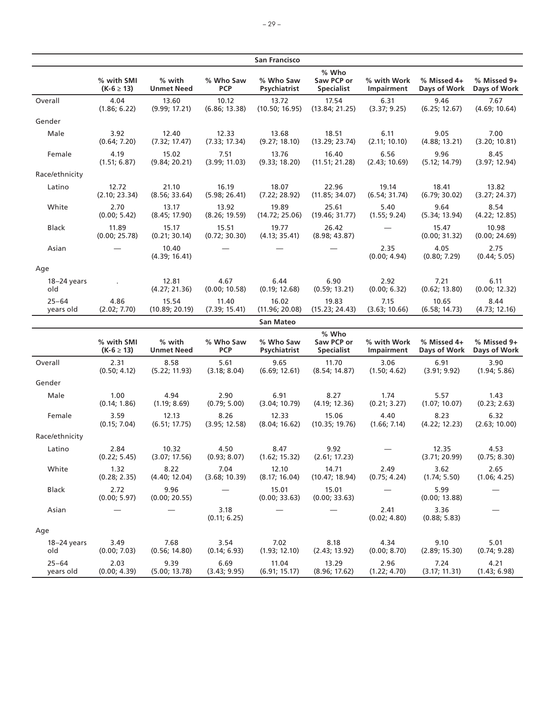|                        |                              |                             |                         | <b>San Francisco</b>      |                                          |                           |                             |                             |
|------------------------|------------------------------|-----------------------------|-------------------------|---------------------------|------------------------------------------|---------------------------|-----------------------------|-----------------------------|
|                        | % with SMI<br>$(K-6 \ge 13)$ | % with<br><b>Unmet Need</b> | % Who Saw<br><b>PCP</b> | % Who Saw<br>Psychiatrist | % Who<br>Saw PCP or<br><b>Specialist</b> | % with Work<br>Impairment | % Missed 4+<br>Days of Work | % Missed 9+<br>Days of Work |
| Overall                | 4.04<br>(1.86; 6.22)         | 13.60<br>(9.99; 17.21)      | 10.12<br>(6.86; 13.38)  | 13.72<br>(10.50; 16.95)   | 17.54<br>(13.84; 21.25)                  | 6.31<br>(3.37; 9.25)      | 9.46<br>(6.25; 12.67)       | 7.67<br>(4.69; 10.64)       |
| Gender                 |                              |                             |                         |                           |                                          |                           |                             |                             |
| Male                   | 3.92<br>(0.64; 7.20)         | 12.40<br>(7.32; 17.47)      | 12.33<br>(7.33; 17.34)  | 13.68<br>(9.27; 18.10)    | 18.51<br>(13.29; 23.74)                  | 6.11<br>(2.11; 10.10)     | 9.05<br>(4.88; 13.21)       | 7.00<br>(3.20; 10.81)       |
| Female                 | 4.19<br>(1.51; 6.87)         | 15.02<br>(9.84; 20.21)      | 7.51<br>(3.99; 11.03)   | 13.76<br>(9.33; 18.20)    | 16.40<br>(11.51; 21.28)                  | 6.56<br>(2.43; 10.69)     | 9.96<br>(5.12; 14.79)       | 8.45<br>(3.97; 12.94)       |
| Race/ethnicity         |                              |                             |                         |                           |                                          |                           |                             |                             |
| Latino                 | 12.72<br>(2.10; 23.34)       | 21.10<br>(8.56; 33.64)      | 16.19<br>(5.98; 26.41)  | 18.07<br>(7.22; 28.92)    | 22.96<br>(11.85; 34.07)                  | 19.14<br>(6.54; 31.74)    | 18.41<br>(6.79; 30.02)      | 13.82<br>(3.27; 24.37)      |
| White                  | 2.70<br>(0.00; 5.42)         | 13.17<br>(8.45; 17.90)      | 13.92<br>(8.26; 19.59)  | 19.89<br>(14.72; 25.06)   | 25.61<br>(19.46; 31.77)                  | 5.40<br>(1.55; 9.24)      | 9.64<br>(5.34; 13.94)       | 8.54<br>(4.22; 12.85)       |
| Black                  | 11.89<br>(0.00; 25.78)       | 15.17<br>(0.21; 30.14)      | 15.51<br>(0.72; 30.30)  | 19.77<br>(4.13; 35.41)    | 26.42<br>(8.98; 43.87)                   |                           | 15.47<br>(0.00; 31.32)      | 10.98<br>(0.00; 24.69)      |
| Asian                  |                              | 10.40<br>(4.39; 16.41)      |                         |                           |                                          | 2.35<br>(0.00; 4.94)      | 4.05<br>(0.80; 7.29)        | 2.75<br>(0.44; 5.05)        |
| Age                    |                              |                             |                         |                           |                                          |                           |                             |                             |
| 18-24 years<br>old     |                              | 12.81<br>(4.27; 21.36)      | 4.67<br>(0.00; 10.58)   | 6.44<br>(0.19; 12.68)     | 6.90<br>(0.59; 13.21)                    | 2.92<br>(0.00; 6.32)      | 7.21<br>(0.62; 13.80)       | 6.11<br>(0.00; 12.32)       |
| $25 - 64$<br>years old | 4.86<br>(2.02; 7.70)         | 15.54<br>(10.89; 20.19)     | 11.40<br>(7.39; 15.41)  | 16.02<br>(11.96; 20.08)   | 19.83<br>(15.23; 24.43)                  | 7.15<br>(3.63; 10.66)     | 10.65<br>(6.58; 14.73)      | 8.44<br>(4.73; 12.16)       |
|                        |                              |                             |                         | <b>San Mateo</b>          |                                          |                           |                             |                             |
|                        | % with SMI<br>$(K-6 \ge 13)$ | % with<br><b>Unmet Need</b> | % Who Saw<br><b>PCP</b> | % Who Saw<br>Psychiatrist | % Who<br>Saw PCP or<br><b>Specialist</b> | % with Work<br>Impairment | % Missed 4+<br>Days of Work | % Missed 9+<br>Days of Work |
| Overall                | 2.31<br>(0.50; 4.12)         | 8.58<br>(5.22; 11.93)       | 5.61<br>(3.18; 8.04)    | 9.65<br>(6.69; 12.61)     | 11.70<br>(8.54; 14.87)                   | 3.06<br>(1.50; 4.62)      | 6.91<br>(3.91; 9.92)        | 3.90<br>(1.94; 5.86)        |
| Gender                 |                              |                             |                         |                           |                                          |                           |                             |                             |
| Male                   | 1.00<br>(0.14; 1.86)         | 4.94<br>(1.19; 8.69)        | 2.90<br>(0.79; 5.00)    | 6.91<br>(3.04; 10.79)     | 8.27<br>(4.19; 12.36)                    | 1.74<br>(0.21; 3.27)      | 5.57<br>(1.07; 10.07)       | 1.43<br>(0.23; 2.63)        |
| Female                 | 3.59<br>(0.15; 7.04)         | 12.13<br>(6.51; 17.75)      | 8.26<br>(3.95; 12.58)   | 12.33<br>(8.04; 16.62)    | 15.06<br>(10.35; 19.76)                  | 4.40<br>(1.66; 7.14)      | 8.23<br>(4.22; 12.23)       | 6.32<br>(2.63; 10.00)       |
| Race/ethnicity         |                              |                             |                         |                           |                                          |                           |                             |                             |
| Latino                 | 2.84<br>(0.22; 5.45)         | 10.32<br>(3.07; 17.56)      | 4.50<br>(0.93; 8.07)    | 8.47<br>(1.62; 15.32)     | 9.92<br>(2.61; 17.23)                    |                           | 12.35<br>(3.71; 20.99)      | 4.53<br>(0.75; 8.30)        |
| $M/h_{\text{th}}$      | 1. 2.2                       | ວ່າາ                        | 701                     | 12.10                     | 1471                                     | <b>COM</b>                | 2C2                         | $\mathcal{L}$               |

| Latino                 | 2.84<br>(0.22; 5.45) | 10.32<br>(3.07; 17.56) | 4.50<br>(0.93; 8.07)  | 8.4/<br>(1.62; 15.32)  | 9.9Z<br>(2.61; 17.23)   |                      | 12.35<br>(3.71; 20.99) | 4.53<br>(0.75; 8.30) |
|------------------------|----------------------|------------------------|-----------------------|------------------------|-------------------------|----------------------|------------------------|----------------------|
| White                  | 1.32<br>(0.28; 2.35) | 8.22<br>(4.40; 12.04)  | 7.04<br>(3.68; 10.39) | 12.10<br>(8.17; 16.04) | 14.71<br>(10.47; 18.94) | 2.49<br>(0.75; 4.24) | 3.62<br>(1.74; 5.50)   | 2.65<br>(1.06; 4.25) |
| <b>Black</b>           | 2.72<br>(0.00; 5.97) | 9.96<br>(0.00; 20.55)  |                       | 15.01<br>(0.00; 33.63) | 15.01<br>(0.00; 33.63)  |                      | 5.99<br>(0.00; 13.88)  |                      |
| Asian                  |                      |                        | 3.18<br>(0.11; 6.25)  |                        |                         | 2.41<br>(0.02; 4.80) | 3.36<br>(0.88; 5.83)   |                      |
| Age                    |                      |                        |                       |                        |                         |                      |                        |                      |
| $18-24$ years<br>old   | 3.49<br>(0.00; 7.03) | 7.68<br>(0.56; 14.80)  | 3.54<br>(0.14; 6.93)  | 7.02<br>(1.93; 12.10)  | 8.18<br>(2.43; 13.92)   | 4.34<br>(0.00; 8.70) | 9.10<br>(2.89; 15.30)  | 5.01<br>(0.74; 9.28) |
| $25 - 64$<br>years old | 2.03<br>(0.00; 4.39) | 9.39<br>(5.00; 13.78)  | 6.69<br>(3.43; 9.95)  | 11.04<br>(6.91; 15.17) | 13.29<br>(8.96; 17.62)  | 2.96<br>(1.22; 4.70) | 7.24<br>(3.17; 11.31)  | 4.21<br>(1.43; 6.98) |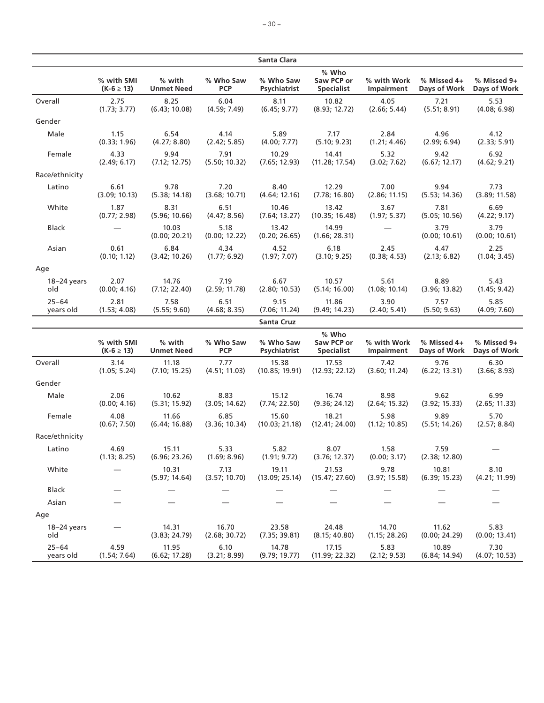|                        |                              |                             |                         | Santa Clara               |                                          |                           |                             |                             |
|------------------------|------------------------------|-----------------------------|-------------------------|---------------------------|------------------------------------------|---------------------------|-----------------------------|-----------------------------|
|                        | % with SMI<br>$(K-6 \ge 13)$ | % with<br><b>Unmet Need</b> | % Who Saw<br><b>PCP</b> | % Who Saw<br>Psychiatrist | % Who<br>Saw PCP or<br><b>Specialist</b> | % with Work<br>Impairment | % Missed 4+<br>Days of Work | % Missed 9+<br>Days of Work |
| Overall                | 2.75<br>(1.73; 3.77)         | 8.25<br>(6.43; 10.08)       | 6.04<br>(4.59; 7.49)    | 8.11<br>(6.45; 9.77)      | 10.82<br>(8.93; 12.72)                   | 4.05<br>(2.66; 5.44)      | 7.21<br>(5.51; 8.91)        | 5.53<br>(4.08; 6.98)        |
| Gender                 |                              |                             |                         |                           |                                          |                           |                             |                             |
| Male                   | 1.15<br>(0.33; 1.96)         | 6.54<br>(4.27; 8.80)        | 4.14<br>(2.42; 5.85)    | 5.89<br>(4.00; 7.77)      | 7.17<br>(5.10; 9.23)                     | 2.84<br>(1.21; 4.46)      | 4.96<br>(2.99; 6.94)        | 4.12<br>(2.33; 5.91)        |
| Female                 | 4.33<br>(2.49; 6.17)         | 9.94<br>(7.12; 12.75)       | 7.91<br>(5.50; 10.32)   | 10.29<br>(7.65; 12.93)    | 14.41<br>(11.28; 17.54)                  | 5.32<br>(3.02; 7.62)      | 9.42<br>(6.67; 12.17)       | 6.92<br>(4.62; 9.21)        |
| Race/ethnicity         |                              |                             |                         |                           |                                          |                           |                             |                             |
| Latino                 | 6.61<br>(3.09; 10.13)        | 9.78<br>(5.38; 14.18)       | 7.20<br>(3.68; 10.71)   | 8.40<br>(4.64; 12.16)     | 12.29<br>(7.78; 16.80)                   | 7.00<br>(2.86; 11.15)     | 9.94<br>(5.53; 14.36)       | 7.73<br>(3.89; 11.58)       |
| White                  | 1.87<br>(0.77; 2.98)         | 8.31<br>(5.96; 10.66)       | 6.51<br>(4.47; 8.56)    | 10.46<br>(7.64; 13.27)    | 13.42<br>(10.35; 16.48)                  | 3.67<br>(1.97; 5.37)      | 7.81<br>(5.05; 10.56)       | 6.69<br>(4.22; 9.17)        |
| <b>Black</b>           |                              | 10.03<br>(0.00; 20.21)      | 5.18<br>(0.00; 12.22)   | 13.42<br>(0.20; 26.65)    | 14.99<br>(1.66; 28.31)                   |                           | 3.79<br>(0.00; 10.61)       | 3.79<br>(0.00; 10.61)       |
| Asian                  | 0.61<br>(0.10; 1.12)         | 6.84<br>(3.42; 10.26)       | 4.34<br>(1.77; 6.92)    | 4.52<br>(1.97; 7.07)      | 6.18<br>(3.10; 9.25)                     | 2.45<br>(0.38; 4.53)      | 4.47<br>(2.13; 6.82)        | 2.25<br>(1.04; 3.45)        |
| Age                    |                              |                             |                         |                           |                                          |                           |                             |                             |
| $18-24$ years<br>old   | 2.07<br>(0.00; 4.16)         | 14.76<br>(7.12; 22.40)      | 7.19<br>(2.59; 11.78)   | 6.67<br>(2.80; 10.53)     | 10.57<br>(5.14; 16.00)                   | 5.61<br>(1.08; 10.14)     | 8.89<br>(3.96; 13.82)       | 5.43<br>(1.45; 9.42)        |
| $25 - 64$<br>years old | 2.81<br>(1.53; 4.08)         | 7.58<br>(5.55; 9.60)        | 6.51<br>(4.68; 8.35)    | 9.15<br>(7.06; 11.24)     | 11.86<br>(9.49; 14.23)                   | 3.90<br>(2.40; 5.41)      | 7.57<br>(5.50; 9.63)        | 5.85<br>(4.09; 7.60)        |
|                        |                              |                             |                         | <b>Santa Cruz</b>         |                                          |                           |                             |                             |
|                        | % with SMI<br>$(K-6 \ge 13)$ | % with<br><b>Unmet Need</b> | % Who Saw<br><b>PCP</b> | % Who Saw<br>Psychiatrist | % Who<br>Saw PCP or<br><b>Specialist</b> | % with Work<br>Impairment | % Missed 4+<br>Days of Work | % Missed 9+<br>Days of Work |
| Overall                | 3.14<br>(1.05; 5.24)         | 11.18<br>(7.10; 15.25)      | 7.77<br>(4.51; 11.03)   | 15.38<br>(10.85; 19.91)   | 17.53<br>(12.93; 22.12)                  | 7.42<br>(3.60; 11.24)     | 9.76<br>(6.22; 13.31)       | 6.30<br>(3.66; 8.93)        |
| Gender                 |                              |                             |                         |                           |                                          |                           |                             |                             |
| Male                   | 2.06<br>(0.00; 4.16)         | 10.62<br>(5.31; 15.92)      | 8.83<br>(3.05; 14.62)   | 15.12<br>(7.74; 22.50)    | 16.74<br>(9.36; 24.12)                   | 8.98<br>(2.64; 15.32)     | 9.62<br>(3.92; 15.33)       | 6.99<br>(2.65; 11.33)       |
| Female                 | 4.08<br>(0.67; 7.50)         | 11.66<br>(6.44; 16.88)      | 6.85<br>(3.36; 10.34)   | 15.60<br>(10.03; 21.18)   | 18.21<br>(12.41; 24.00)                  | 5.98<br>(1.12; 10.85)     | 9.89<br>(5.51; 14.26)       | 5.70<br>(2.57; 8.84)        |
| Race/ethnicity         |                              |                             |                         |                           |                                          |                           |                             |                             |
| Latino                 | 4.69<br>(1.13; 8.25)         | 15.11<br>(6.96; 23.26)      | 5.33<br>(1.69; 8.96)    | 5.82<br>(1.91; 9.72)      | 8.07<br>(3.76; 12.37)                    | 1.58<br>(0.00; 3.17)      | 7.59<br>(2.38; 12.80)       |                             |
| White                  |                              | 10.31<br>(5.97; 14.64)      | 7.13<br>(3.57; 10.70)   | 19.11<br>(13.09; 25.14)   | 21.53<br>(15.47; 27.60)                  | 9.78<br>(3.97; 15.58)     | 10.81<br>(6.39; 15.23)      | 8.10<br>(4.21; 11.99)       |
| <b>Black</b>           |                              |                             |                         |                           |                                          |                           |                             |                             |
| Asian                  |                              |                             |                         |                           |                                          |                           |                             |                             |
| Age                    |                              |                             |                         |                           |                                          |                           |                             |                             |
| $18-24$ years<br>old   |                              | 14.31<br>(3.83; 24.79)      | 16.70<br>(2.68; 30.72)  | 23.58<br>(7.35; 39.81)    | 24.48<br>(8.15; 40.80)                   | 14.70<br>(1.15; 28.26)    | 11.62<br>(0.00; 24.29)      | 5.83<br>(0.00; 13.41)       |
| $25 - 64$<br>years old | 4.59<br>(1.54; 7.64)         | 11.95<br>(6.62; 17.28)      | 6.10<br>(3.21; 8.99)    | 14.78<br>(9.79; 19.77)    | 17.15<br>(11.99; 22.32)                  | 5.83<br>(2.12; 9.53)      | 10.89<br>(6.84; 14.94)      | 7.30<br>(4.07; 10.53)       |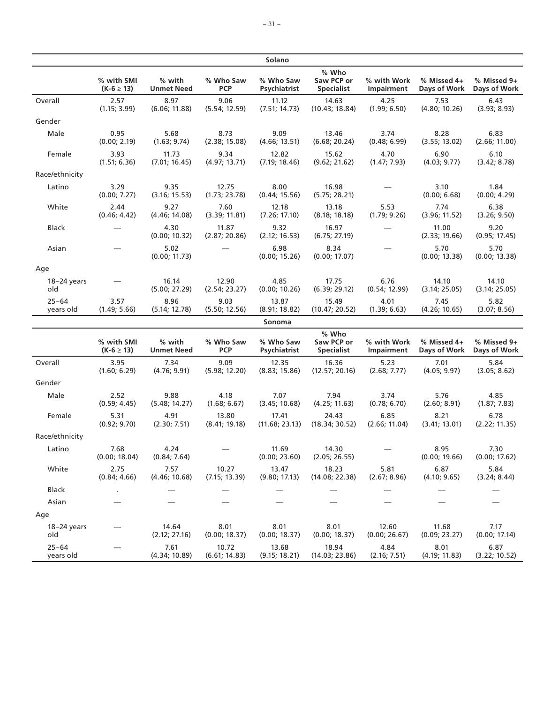|                        |                              |                             |                         | Solano                    |                                          |                           |                             |                             |
|------------------------|------------------------------|-----------------------------|-------------------------|---------------------------|------------------------------------------|---------------------------|-----------------------------|-----------------------------|
|                        | % with SMI<br>$(K-6 \ge 13)$ | % with<br><b>Unmet Need</b> | % Who Saw<br><b>PCP</b> | % Who Saw<br>Psychiatrist | % Who<br>Saw PCP or<br><b>Specialist</b> | % with Work<br>Impairment | % Missed 4+<br>Days of Work | % Missed 9+<br>Days of Work |
| Overall                | 2.57<br>(1.15; 3.99)         | 8.97<br>(6.06; 11.88)       | 9.06<br>(5.54; 12.59)   | 11.12<br>(7.51; 14.73)    | 14.63<br>(10.43; 18.84)                  | 4.25<br>(1.99; 6.50)      | 7.53<br>(4.80; 10.26)       | 6.43<br>(3.93; 8.93)        |
| Gender                 |                              |                             |                         |                           |                                          |                           |                             |                             |
| Male                   | 0.95<br>(0.00; 2.19)         | 5.68<br>(1.63; 9.74)        | 8.73<br>(2.38; 15.08)   | 9.09<br>(4.66; 13.51)     | 13.46<br>(6.68; 20.24)                   | 3.74<br>(0.48; 6.99)      | 8.28<br>(3.55; 13.02)       | 6.83<br>(2.66; 11.00)       |
| Female                 | 3.93<br>(1.51; 6.36)         | 11.73<br>(7.01; 16.45)      | 9.34<br>(4.97; 13.71)   | 12.82<br>(7.19; 18.46)    | 15.62<br>(9.62; 21.62)                   | 4.70<br>(1.47; 7.93)      | 6.90<br>(4.03; 9.77)        | 6.10<br>(3.42; 8.78)        |
| Race/ethnicity         |                              |                             |                         |                           |                                          |                           |                             |                             |
| Latino                 | 3.29<br>(0.00; 7.27)         | 9.35<br>(3.16; 15.53)       | 12.75<br>(1.73; 23.78)  | 8.00<br>(0.44; 15.56)     | 16.98<br>(5.75; 28.21)                   |                           | 3.10<br>(0.00; 6.68)        | 1.84<br>(0.00; 4.29)        |
| White                  | 2.44<br>(0.46; 4.42)         | 9.27<br>(4.46; 14.08)       | 7.60<br>(3.39; 11.81)   | 12.18<br>(7.26; 17.10)    | 13.18<br>(8.18; 18.18)                   | 5.53<br>(1.79; 9.26)      | 7.74<br>(3.96; 11.52)       | 6.38<br>(3.26; 9.50)        |
| Black                  |                              | 4.30<br>(0.00; 10.32)       | 11.87<br>(2.87; 20.86)  | 9.32<br>(2.12; 16.53)     | 16.97<br>(6.75; 27.19)                   |                           | 11.00<br>(2.33; 19.66)      | 9.20<br>(0.95; 17.45)       |
| Asian                  |                              | 5.02<br>(0.00; 11.73)       |                         | 6.98<br>(0.00; 15.26)     | 8.34<br>(0.00; 17.07)                    |                           | 5.70<br>(0.00; 13.38)       | 5.70<br>(0.00; 13.38)       |
| Age                    |                              |                             |                         |                           |                                          |                           |                             |                             |
| $18-24$ years<br>old   |                              | 16.14<br>(5.00; 27.29)      | 12.90<br>(2.54; 23.27)  | 4.85<br>(0.00; 10.26)     | 17.75<br>(6.39; 29.12)                   | 6.76<br>(0.54; 12.99)     | 14.10<br>(3.14; 25.05)      | 14.10<br>(3.14; 25.05)      |
| $25 - 64$<br>years old | 3.57<br>(1.49; 5.66)         | 8.96<br>(5.14; 12.78)       | 9.03<br>(5.50; 12.56)   | 13.87<br>(8.91; 18.82)    | 15.49<br>(10.47; 20.52)                  | 4.01<br>(1.39; 6.63)      | 7.45<br>(4.26; 10.65)       | 5.82<br>(3.07; 8.56)        |
|                        |                              |                             |                         | Sonoma                    |                                          |                           |                             |                             |
|                        | % with SMI<br>$(K-6 \ge 13)$ | % with<br><b>Unmet Need</b> | % Who Saw<br><b>PCP</b> | % Who Saw<br>Psychiatrist | % Who<br>Saw PCP or<br><b>Specialist</b> | % with Work<br>Impairment | % Missed 4+<br>Days of Work | % Missed 9+<br>Days of Work |
| Overall                | 3.95<br>(1.60; 6.29)         | 7.34<br>(4.76; 9.91)        | 9.09<br>(5.98; 12.20)   | 12.35<br>(8.83; 15.86)    | 16.36<br>(12.57; 20.16)                  | 5.23<br>(2.68; 7.77)      | 7.01<br>(4.05; 9.97)        | 5.84<br>(3.05; 8.62)        |
| Gender                 |                              |                             |                         |                           |                                          |                           |                             |                             |
| Male                   | 2.52<br>(0.59; 4.45)         | 9.88<br>(5.48; 14.27)       | 4.18<br>(1.68; 6.67)    | 7.07<br>(3.45; 10.68)     | 7.94<br>(4.25; 11.63)                    | 3.74<br>(0.78; 6.70)      | 5.76<br>(2.60; 8.91)        | 4.85<br>(1.87; 7.83)        |
| Female                 | 5.31<br>(0.92; 9.70)         | 4.91<br>(2.30; 7.51)        | 13.80<br>(8.41; 19.18)  | 17.41<br>(11.68; 23.13)   | 24.43<br>(18.34; 30.52)                  | 6.85<br>(2.66; 11.04)     | 8.21<br>(3.41; 13.01)       | 6.78<br>(2.22; 11.35)       |
| Race/ethnicity         |                              |                             |                         |                           |                                          |                           |                             |                             |
| Latino                 | 7.68<br>(0.00; 18.04)        | 4.24<br>(0.84; 7.64)        |                         | 11.69<br>(0.00; 23.60)    | 14.30<br>(2.05; 26.55)                   |                           | 8.95<br>(0.00; 19.66)       | 7.30<br>(0.00; 17.62)       |
| White                  | 2.75<br>(0.84; 4.66)         | 7.57<br>(4.46; 10.68)       | 10.27<br>(7.15; 13.39)  | 13.47<br>(9.80; 17.13)    | 18.23<br>(14.08; 22.38)                  | 5.81<br>(2.67; 8.96)      | 6.87<br>(4.10; 9.65)        | 5.84<br>(3.24; 8.44)        |

Black . — — — — — — — Asian — — — — — — — —

> 8.01 (0.00; 18.37)

13.68 (9.15; 18.21)

8.01 (0.00; 18.37)

18.94 (14.03; 23.86)

12.60 (0.00; 26.67)

4.84 (2.16; 7.51)

11.68 (0.09; 23.27)

8.01 (4.19; 11.83)

7.17 (0.00; 17.14)

6.87 (3.22; 10.52)

Age

18–24 years old

25–64 years old

— 14.64 (2.12; 27.16)

— 7.61 (4.34; 10.89)

8.01 (0.00; 18.37)

10.72 (6.61; 14.83)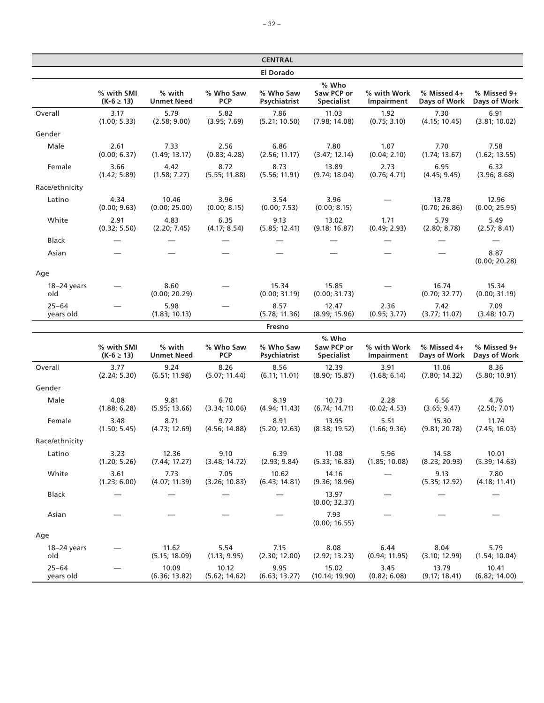|                        |                              |                             |                         | <b>CENTRAL</b>            |                                          |                           |                             |                             |
|------------------------|------------------------------|-----------------------------|-------------------------|---------------------------|------------------------------------------|---------------------------|-----------------------------|-----------------------------|
|                        |                              |                             |                         | <b>El Dorado</b>          |                                          |                           |                             |                             |
|                        | % with SMI<br>$(K-6 \ge 13)$ | % with<br><b>Unmet Need</b> | % Who Saw<br><b>PCP</b> | % Who Saw<br>Psychiatrist | % Who<br>Saw PCP or<br><b>Specialist</b> | % with Work<br>Impairment | % Missed 4+<br>Days of Work | % Missed 9+<br>Days of Work |
| Overall                | 3.17<br>(1.00; 5.33)         | 5.79<br>(2.58; 9.00)        | 5.82<br>(3.95; 7.69)    | 7.86<br>(5.21; 10.50)     | 11.03<br>(7.98; 14.08)                   | 1.92<br>(0.75; 3.10)      | 7.30<br>(4.15; 10.45)       | 6.91<br>(3.81; 10.02)       |
| Gender                 |                              |                             |                         |                           |                                          |                           |                             |                             |
| Male                   | 2.61<br>(0.00; 6.37)         | 7.33<br>(1.49; 13.17)       | 2.56<br>(0.83; 4.28)    | 6.86<br>(2.56; 11.17)     | 7.80<br>(3.47; 12.14)                    | 1.07<br>(0.04; 2.10)      | 7.70<br>(1.74; 13.67)       | 7.58<br>(1.62; 13.55)       |
| Female                 | 3.66<br>(1.42; 5.89)         | 4.42<br>(1.58; 7.27)        | 8.72<br>(5.55; 11.88)   | 8.73<br>(5.56; 11.91)     | 13.89<br>(9.74; 18.04)                   | 2.73<br>(0.76; 4.71)      | 6.95<br>(4.45; 9.45)        | 6.32<br>(3.96; 8.68)        |
| Race/ethnicity         |                              |                             |                         |                           |                                          |                           |                             |                             |
| Latino                 | 4.34<br>(0.00; 9.63)         | 10.46<br>(0.00; 25.00)      | 3.96<br>(0.00; 8.15)    | 3.54<br>(0.00; 7.53)      | 3.96<br>(0.00; 8.15)                     |                           | 13.78<br>(0.70; 26.86)      | 12.96<br>(0.00; 25.95)      |
| White                  | 2.91<br>(0.32; 5.50)         | 4.83<br>(2.20; 7.45)        | 6.35<br>(4.17; 8.54)    | 9.13<br>(5.85; 12.41)     | 13.02<br>(9.18; 16.87)                   | 1.71<br>(0.49; 2.93)      | 5.79<br>(2.80; 8.78)        | 5.49<br>(2.57; 8.41)        |
| Black                  |                              |                             |                         |                           |                                          |                           |                             |                             |
| Asian                  |                              |                             |                         |                           |                                          |                           |                             | 8.87<br>(0.00; 20.28)       |
| Age                    |                              |                             |                         |                           |                                          |                           |                             |                             |
| $18-24$ years<br>old   |                              | 8.60<br>(0.00; 20.29)       |                         | 15.34<br>(0.00; 31.19)    | 15.85<br>(0.00; 31.73)                   |                           | 16.74<br>(0.70; 32.77)      | 15.34<br>(0.00; 31.19)      |
| $25 - 64$<br>years old |                              | 5.98<br>(1.83; 10.13)       |                         | 8.57<br>(5.78; 11.36)     | 12.47<br>(8.99; 15.96)                   | 2.36<br>(0.95; 3.77)      | 7.42<br>(3.77; 11.07)       | 7.09<br>(3.48; 10.7)        |
|                        |                              |                             |                         | Fresno                    |                                          |                           |                             |                             |
|                        | % with SMI<br>$(K-6 \ge 13)$ | % with<br><b>Unmet Need</b> | % Who Saw<br><b>PCP</b> | % Who Saw<br>Psychiatrist | % Who<br>Saw PCP or<br><b>Specialist</b> | % with Work<br>Impairment | % Missed 4+<br>Days of Work | % Missed 9+<br>Days of Work |
| Overall                | 3.77<br>(2.24; 5.30)         | 9.24<br>(6.51; 11.98)       | 8.26<br>(5.07; 11.44)   | 8.56<br>(6.11; 11.01)     | 12.39<br>(8.90; 15.87)                   | 3.91<br>(1.68; 6.14)      | 11.06<br>(7.80; 14.32)      | 8.36<br>(5.80; 10.91)       |
| Gender                 |                              |                             |                         |                           |                                          |                           |                             |                             |
| Male                   | 4.08<br>(1.88; 6.28)         | 9.81<br>(5.95; 13.66)       | 6.70<br>(3.34; 10.06)   | 8.19<br>(4.94; 11.43)     | 10.73<br>(6.74; 14.71)                   | 2.28<br>(0.02; 4.53)      | 6.56<br>(3.65; 9.47)        | 4.76<br>(2.50; 7.01)        |
| Female                 | 3.48<br>(1.50; 5.45)         | 8.71<br>(4.73; 12.69)       | 9.72<br>(4.56; 14.88)   | 8.91<br>(5.20; 12.63)     | 13.95<br>(8.38; 19.52)                   | 5.51<br>(1.66; 9.36)      | 15.30<br>(9.81; 20.78)      | 11.74<br>(7.45; 16.03)      |
| Race/ethnicity         |                              |                             |                         |                           |                                          |                           |                             |                             |
| Latino                 | 3.23<br>(1.20; 5.26)         | 12.36<br>(7.44; 17.27)      | 9.10<br>(3.48; 14.72)   | 6.39<br>(2.93; 9.84)      | 11.08<br>(5.33; 16.83)                   | 5.96<br>(1.85; 10.08)     | 14.58<br>(8.23; 20.93)      | 10.01<br>(5.39; 14.63)      |
| White                  | 3.61<br>(1.23; 6.00)         | 7.73<br>(4.07; 11.39)       | 7.05<br>(3.26; 10.83)   | 10.62<br>(6.43; 14.81)    | 14.16<br>(9.36; 18.96)                   |                           | 9.13<br>(5.35; 12.92)       | 7.80<br>(4.18; 11.41)       |
| Black                  |                              |                             |                         |                           | 13.97<br>(0.00; 32.37)                   |                           |                             |                             |
| Asian                  |                              |                             |                         |                           | 7.93<br>(0.00; 16.55)                    |                           |                             |                             |
| Age                    |                              |                             |                         |                           |                                          |                           |                             |                             |
| $18-24$ years<br>old   |                              | 11.62<br>(5.15; 18.09)      | 5.54<br>(1.13; 9.95)    | 7.15<br>(2.30; 12.00)     | 8.08<br>(2.92; 13.23)                    | 6.44<br>(0.94; 11.95)     | 8.04<br>(3.10; 12.99)       | 5.79<br>(1.54; 10.04)       |
| $25 - 64$<br>years old |                              | 10.09<br>(6.36; 13.82)      | 10.12<br>(5.62; 14.62)  | 9.95<br>(6.63; 13.27)     | 15.02<br>(10.14; 19.90)                  | 3.45<br>(0.82; 6.08)      | 13.79<br>(9.17; 18.41)      | 10.41<br>(6.82; 14.00)      |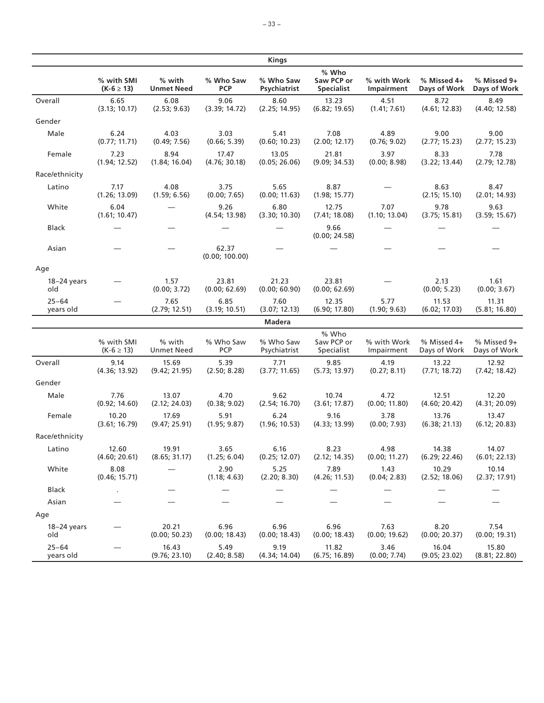|                        |                              |                             |                          | <b>Kings</b>              |                                          |                           |                             |                             |
|------------------------|------------------------------|-----------------------------|--------------------------|---------------------------|------------------------------------------|---------------------------|-----------------------------|-----------------------------|
|                        | % with SMI<br>$(K-6 \ge 13)$ | % with<br><b>Unmet Need</b> | % Who Saw<br><b>PCP</b>  | % Who Saw<br>Psychiatrist | % Who<br>Saw PCP or<br><b>Specialist</b> | % with Work<br>Impairment | % Missed 4+<br>Days of Work | % Missed 9+<br>Days of Work |
| Overall                | 6.65<br>(3.13; 10.17)        | 6.08<br>(2.53; 9.63)        | 9.06<br>(3.39; 14.72)    | 8.60<br>(2.25; 14.95)     | 13.23<br>(6.82; 19.65)                   | 4.51<br>(1.41; 7.61)      | 8.72<br>(4.61; 12.83)       | 8.49<br>(4.40; 12.58)       |
| Gender                 |                              |                             |                          |                           |                                          |                           |                             |                             |
| Male                   | 6.24<br>(0.77; 11.71)        | 4.03<br>(0.49; 7.56)        | 3.03<br>(0.66; 5.39)     | 5.41<br>(0.60; 10.23)     | 7.08<br>(2.00; 12.17)                    | 4.89<br>(0.76; 9.02)      | 9.00<br>(2.77; 15.23)       | 9.00<br>(2.77; 15.23)       |
| Female                 | 7.23<br>(1.94; 12.52)        | 8.94<br>(1.84; 16.04)       | 17.47<br>(4.76; 30.18)   | 13.05<br>(0.05; 26.06)    | 21.81<br>(9.09; 34.53)                   | 3.97<br>(0.00; 8.98)      | 8.33<br>(3.22; 13.44)       | 7.78<br>(2.79; 12.78)       |
| Race/ethnicity         |                              |                             |                          |                           |                                          |                           |                             |                             |
| Latino                 | 7.17<br>(1.26; 13.09)        | 4.08<br>(1.59; 6.56)        | 3.75<br>(0.00; 7.65)     | 5.65<br>(0.00; 11.63)     | 8.87<br>(1.98; 15.77)                    |                           | 8.63<br>(2.15; 15.10)       | 8.47<br>(2.01; 14.93)       |
| White                  | 6.04<br>(1.61; 10.47)        |                             | 9.26<br>(4.54; 13.98)    | 6.80<br>(3.30; 10.30)     | 12.75<br>(7.41; 18.08)                   | 7.07<br>(1.10; 13.04)     | 9.78<br>(3.75; 15.81)       | 9.63<br>(3.59; 15.67)       |
| <b>Black</b>           |                              |                             |                          |                           | 9.66<br>(0.00; 24.58)                    |                           |                             |                             |
| Asian                  |                              |                             | 62.37<br>(0.00; 100.00)  |                           |                                          |                           |                             |                             |
| Age                    |                              |                             |                          |                           |                                          |                           |                             |                             |
| $18 - 24$ years<br>old |                              | 1.57<br>(0.00; 3.72)        | 23.81<br>(0.00; 62.69)   | 21.23<br>(0.00; 60.90)    | 23.81<br>(0.00; 62.69)                   |                           | 2.13<br>(0.00; 5.23)        | 1.61<br>(0.00; 3.67)        |
| $25 - 64$<br>years old |                              | 7.65<br>(2.79; 12.51)       | 6.85<br>(3.19; 10.51)    | 7.60<br>(3.07; 12.13)     | 12.35<br>(6.90; 17.80)                   | 5.77<br>(1.90; 9.63)      | 11.53<br>(6.02; 17.03)      | 11.31<br>(5.81; 16.80)      |
|                        |                              |                             |                          | <b>Madera</b>             |                                          |                           |                             |                             |
|                        | % with SMI<br>$(K-6 \ge 13)$ | % with<br><b>Unmet Need</b> | % Who Saw<br>PCP         | % Who Saw<br>Psychiatrist | % Who<br>Saw PCP or<br>Specialist        | % with Work<br>Impairment | % Missed 4+<br>Days of Work | % Missed 9+<br>Days of Work |
| Overall                | 9.14<br>(4.36; 13.92)        | 15.69<br>(9.42; 21.95)      | 5.39<br>(2.50; 8.28)     | 7.71<br>(3.77; 11.65)     | 9.85<br>(5.73; 13.97)                    | 4.19<br>(0.27; 8.11)      | 13.22<br>(7.71; 18.72)      | 12.92<br>(7.42; 18.42)      |
| Gender                 |                              |                             |                          |                           |                                          |                           |                             |                             |
| Male                   | 7.76<br>(0.92; 14.60)        | 13.07<br>(2.12; 24.03)      | 4.70<br>(0.38; 9.02)     | 9.62<br>(2.54; 16.70)     | 10.74<br>(3.61; 17.87)                   | 4.72<br>(0.00; 11.80)     | 12.51<br>(4.60; 20.42)      | 12.20<br>(4.31; 20.09)      |
| Female                 | 10.20<br>(3.61; 16.79)       | 17.69<br>(9.47; 25.91)      | 5.91<br>(1.95; 9.87)     | 6.24<br>(1.96; 10.53)     | 9.16<br>(4.33; 13.99)                    | 3.78<br>(0.00; 7.93)      | 13.76<br>(6.38; 21.13)      | 13.47<br>(6.12; 20.83)      |
| Race/ethnicity         |                              |                             |                          |                           |                                          |                           |                             |                             |
| Latino                 | 12.60<br>(4.60; 20.61)       | 19.91<br>(8.65; 31.17)      | 3.65<br>(1.25; 6.04)     | 6.16<br>(0.25; 12.07)     | 8.23<br>(2.12; 14.35)                    | 4.98<br>(0.00; 11.27)     | 14.38<br>(6.29; 22.46)      | 14.07<br>(6.01; 22.13)      |
| White                  | 8.08<br>(0.46; 15.71)        |                             | 2.90<br>(1.18; 4.63)     | 5.25<br>(2.20; 8.30)      | 7.89<br>(4.26; 11.53)                    | 1.43<br>(0.04; 2.83)      | 10.29<br>(2.52; 18.06)      | 10.14<br>(2.37; 17.91)      |
| Black                  |                              |                             | $\overline{\phantom{0}}$ |                           |                                          |                           |                             |                             |
| Asian                  |                              |                             |                          |                           |                                          |                           |                             |                             |
| Age                    |                              |                             |                          |                           |                                          |                           |                             |                             |
| 18-24 years<br>old     |                              | 20.21<br>(0.00; 50.23)      | 6.96<br>(0.00; 18.43)    | 6.96<br>(0.00; 18.43)     | 6.96<br>(0.00; 18.43)                    | 7.63<br>(0.00; 19.62)     | 8.20<br>(0.00; 20.37)       | 7.54<br>(0.00; 19.31)       |
| $25 - 64$<br>years old |                              | 16.43<br>(9.76; 23.10)      | 5.49<br>(2.40; 8.58)     | 9.19<br>(4.34; 14.04)     | 11.82<br>(6.75; 16.89)                   | 3.46<br>(0.00; 7.74)      | 16.04<br>(9.05; 23.02)      | 15.80<br>(8.81; 22.80)      |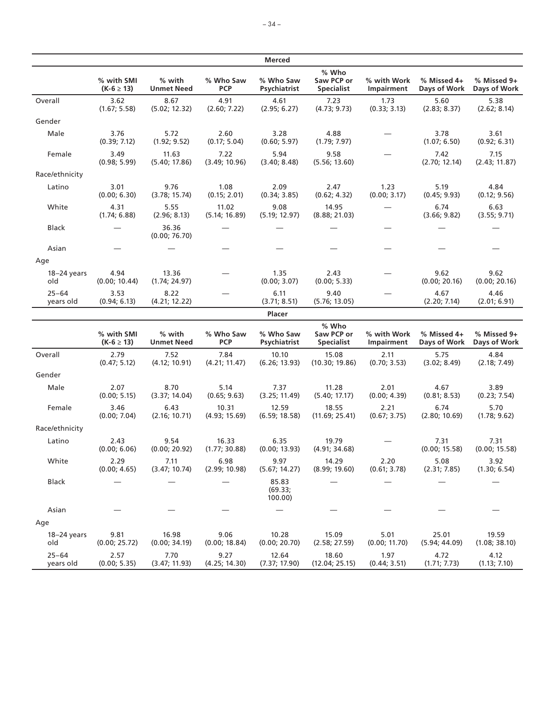|                        |                              |                             |                         | <b>Merced</b>               |                                          |                           |                             |                             |
|------------------------|------------------------------|-----------------------------|-------------------------|-----------------------------|------------------------------------------|---------------------------|-----------------------------|-----------------------------|
|                        | % with SMI<br>$(K-6 \ge 13)$ | % with<br><b>Unmet Need</b> | % Who Saw<br><b>PCP</b> | % Who Saw<br>Psychiatrist   | % Who<br>Saw PCP or<br><b>Specialist</b> | % with Work<br>Impairment | % Missed 4+<br>Days of Work | % Missed 9+<br>Days of Work |
| Overall                | 3.62<br>(1.67; 5.58)         | 8.67<br>(5.02; 12.32)       | 4.91<br>(2.60; 7.22)    | 4.61<br>(2.95; 6.27)        | 7.23<br>(4.73; 9.73)                     | 1.73<br>(0.33; 3.13)      | 5.60<br>(2.83; 8.37)        | 5.38<br>(2.62; 8.14)        |
| Gender                 |                              |                             |                         |                             |                                          |                           |                             |                             |
| Male                   | 3.76<br>(0.39; 7.12)         | 5.72<br>(1.92; 9.52)        | 2.60<br>(0.17; 5.04)    | 3.28<br>(0.60; 5.97)        | 4.88<br>(1.79; 7.97)                     |                           | 3.78<br>(1.07; 6.50)        | 3.61<br>(0.92; 6.31)        |
| Female                 | 3.49<br>(0.98; 5.99)         | 11.63<br>(5.40; 17.86)      | 7.22<br>(3.49; 10.96)   | 5.94<br>(3.40; 8.48)        | 9.58<br>(5.56; 13.60)                    |                           | 7.42<br>(2.70; 12.14)       | 7.15<br>(2.43; 11.87)       |
| Race/ethnicity         |                              |                             |                         |                             |                                          |                           |                             |                             |
| Latino                 | 3.01<br>(0.00; 6.30)         | 9.76<br>(3.78; 15.74)       | 1.08<br>(0.15; 2.01)    | 2.09<br>(0.34; 3.85)        | 2.47<br>(0.62; 4.32)                     | 1.23<br>(0.00; 3.17)      | 5.19<br>(0.45; 9.93)        | 4.84<br>(0.12; 9.56)        |
| White                  | 4.31<br>(1.74; 6.88)         | 5.55<br>(2.96; 8.13)        | 11.02<br>(5.14; 16.89)  | 9.08<br>(5.19; 12.97)       | 14.95<br>(8.88; 21.03)                   |                           | 6.74<br>(3.66; 9.82)        | 6.63<br>(3.55; 9.71)        |
| <b>Black</b>           |                              | 36.36<br>(0.00; 76.70)      |                         |                             |                                          |                           |                             |                             |
| Asian                  |                              |                             |                         |                             |                                          |                           |                             |                             |
| Age                    |                              |                             |                         |                             |                                          |                           |                             |                             |
| $18-24$ years<br>old   | 4.94<br>(0.00; 10.44)        | 13.36<br>(1.74; 24.97)      |                         | 1.35<br>(0.00; 3.07)        | 2.43<br>(0.00; 5.33)                     |                           | 9.62<br>(0.00; 20.16)       | 9.62<br>(0.00; 20.16)       |
| $25 - 64$<br>years old | 3.53<br>(0.94; 6.13)         | 8.22<br>(4.21; 12.22)       |                         | 6.11<br>(3.71; 8.51)        | 9.40<br>(5.76; 13.05)                    |                           | 4.67<br>(2.20; 7.14)        | 4.46<br>(2.01; 6.91)        |
|                        |                              |                             |                         | Placer                      |                                          |                           |                             |                             |
|                        | % with SMI<br>$(K-6 \ge 13)$ | % with<br><b>Unmet Need</b> | % Who Saw<br><b>PCP</b> | % Who Saw<br>Psychiatrist   | % Who<br>Saw PCP or<br><b>Specialist</b> | % with Work<br>Impairment | % Missed 4+<br>Days of Work | % Missed 9+<br>Days of Work |
| Overall                | 2.79<br>(0.47; 5.12)         | 7.52<br>(4.12; 10.91)       | 7.84<br>(4.21; 11.47)   | 10.10<br>(6.26; 13.93)      | 15.08<br>(10.30; 19.86)                  | 2.11<br>(0.70; 3.53)      | 5.75<br>(3.02; 8.49)        | 4.84<br>(2.18; 7.49)        |
| Gender                 |                              |                             |                         |                             |                                          |                           |                             |                             |
| Male                   | 2.07<br>(0.00; 5.15)         | 8.70<br>(3.37; 14.04)       | 5.14<br>(0.65; 9.63)    | 7.37<br>(3.25; 11.49)       | 11.28<br>(5.40; 17.17)                   | 2.01<br>(0.00; 4.39)      | 4.67<br>(0.81; 8.53)        | 3.89<br>(0.23; 7.54)        |
| Female                 | 3.46<br>(0.00; 7.04)         | 6.43<br>(2.16; 10.71)       | 10.31<br>(4.93; 15.69)  | 12.59<br>(6.59; 18.58)      | 18.55<br>(11.69; 25.41)                  | 2.21<br>(0.67; 3.75)      | 6.74<br>(2.80; 10.69)       | 5.70<br>(1.78; 9.62)        |
| Race/ethnicity         |                              |                             |                         |                             |                                          |                           |                             |                             |
| Latino                 | 2.43<br>(0.00; 6.06)         | 9.54<br>(0.00; 20.92)       | 16.33<br>(1.77; 30.88)  | 6.35<br>(0.00; 13.93)       | 19.79<br>(4.91; 34.68)                   |                           | 7.31<br>(0.00; 15.58)       | 7.31<br>(0.00; 15.58)       |
| White                  | 2.29<br>(0.00; 4.65)         | 7.11<br>(3.47; 10.74)       | 6.98<br>(2.99; 10.98)   | 9.97<br>(5.67; 14.27)       | 14.29<br>(8.99; 19.60)                   | 2.20<br>(0.61; 3.78)      | 5.08<br>(2.31; 7.85)        | 3.92<br>(1.30; 6.54)        |
| Black                  |                              |                             |                         | 85.83<br>(69.33)<br>100.00) |                                          |                           |                             |                             |
| Asian                  |                              |                             |                         |                             |                                          |                           |                             |                             |
| Age                    |                              |                             |                         |                             |                                          |                           |                             |                             |
| 18-24 years<br>old     | 9.81<br>(0.00; 25.72)        | 16.98<br>(0.00; 34.19)      | 9.06<br>(0.00; 18.84)   | 10.28<br>(0.00; 20.70)      | 15.09<br>(2.58; 27.59)                   | 5.01<br>(0.00; 11.70)     | 25.01<br>(5.94; 44.09)      | 19.59<br>(1.08; 38.10)      |
| $25 - 64$<br>years old | 2.57<br>(0.00; 5.35)         | 7.70<br>(3.47; 11.93)       | 9.27<br>(4.25; 14.30)   | 12.64<br>(7.37; 17.90)      | 18.60<br>(12.04; 25.15)                  | 1.97<br>(0.44; 3.51)      | 4.72<br>(1.71; 7.73)        | 4.12<br>(1.13; 7.10)        |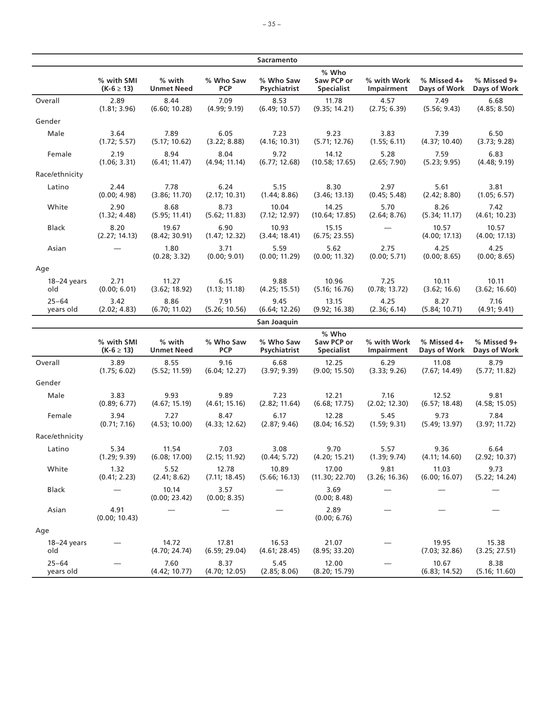|                        |                              |                             |                         | <b>Sacramento</b>         |                                          |                           |                             |                             |
|------------------------|------------------------------|-----------------------------|-------------------------|---------------------------|------------------------------------------|---------------------------|-----------------------------|-----------------------------|
|                        | % with SMI<br>$(K-6 \ge 13)$ | % with<br><b>Unmet Need</b> | % Who Saw<br><b>PCP</b> | % Who Saw<br>Psychiatrist | % Who<br>Saw PCP or<br><b>Specialist</b> | % with Work<br>Impairment | % Missed 4+<br>Days of Work | % Missed 9+<br>Days of Work |
| Overall                | 2.89<br>(1.81; 3.96)         | 8.44<br>(6.60; 10.28)       | 7.09<br>(4.99; 9.19)    | 8.53<br>(6.49; 10.57)     | 11.78<br>(9.35; 14.21)                   | 4.57<br>(2.75; 6.39)      | 7.49<br>(5.56; 9.43)        | 6.68<br>(4.85; 8.50)        |
| Gender                 |                              |                             |                         |                           |                                          |                           |                             |                             |
| Male                   | 3.64<br>(1.72; 5.57)         | 7.89<br>(5.17; 10.62)       | 6.05<br>(3.22; 8.88)    | 7.23<br>(4.16; 10.31)     | 9.23<br>(5.71; 12.76)                    | 3.83<br>(1.55; 6.11)      | 7.39<br>(4.37; 10.40)       | 6.50<br>(3.73; 9.28)        |
| Female                 | 2.19<br>(1.06; 3.31)         | 8.94<br>(6.41; 11.47)       | 8.04<br>(4.94; 11.14)   | 9.72<br>(6.77; 12.68)     | 14.12<br>(10.58; 17.65)                  | 5.28<br>(2.65; 7.90)      | 7.59<br>(5.23; 9.95)        | 6.83<br>(4.48; 9.19)        |
| Race/ethnicity         |                              |                             |                         |                           |                                          |                           |                             |                             |
| Latino                 | 2.44<br>(0.00; 4.98)         | 7.78<br>(3.86; 11.70)       | 6.24<br>(2.17; 10.31)   | 5.15<br>(1.44; 8.86)      | 8.30<br>(3.46; 13.13)                    | 2.97<br>(0.45; 5.48)      | 5.61<br>(2.42; 8.80)        | 3.81<br>(1.05; 6.57)        |
| White                  | 2.90<br>(1.32; 4.48)         | 8.68<br>(5.95; 11.41)       | 8.73<br>(5.62; 11.83)   | 10.04<br>(7.12; 12.97)    | 14.25<br>(10.64; 17.85)                  | 5.70<br>(2.64; 8.76)      | 8.26<br>(5.34; 11.17)       | 7.42<br>(4.61; 10.23)       |
| <b>Black</b>           | 8.20<br>(2.27; 14.13)        | 19.67<br>(8.42; 30.91)      | 6.90<br>(1.47; 12.32)   | 10.93<br>(3.44; 18.41)    | 15.15<br>(6.75; 23.55)                   |                           | 10.57<br>(4.00; 17.13)      | 10.57<br>(4.00; 17.13)      |
| Asian                  |                              | 1.80<br>(0.28; 3.32)        | 3.71<br>(0.00; 9.01)    | 5.59<br>(0.00; 11.29)     | 5.62<br>(0.00; 11.32)                    | 2.75<br>(0.00; 5.71)      | 4.25<br>(0.00; 8.65)        | 4.25<br>(0.00; 8.65)        |
| Age                    |                              |                             |                         |                           |                                          |                           |                             |                             |
| $18-24$ years<br>old   | 2.71<br>(0.00; 6.01)         | 11.27<br>(3.62; 18.92)      | 6.15<br>(1.13; 11.18)   | 9.88<br>(4.25; 15.51)     | 10.96<br>(5.16; 16.76)                   | 7.25<br>(0.78; 13.72)     | 10.11<br>(3.62; 16.6)       | 10.11<br>(3.62; 16.60)      |
| $25 - 64$<br>years old | 3.42<br>(2.02; 4.83)         | 8.86<br>(6.70; 11.02)       | 7.91<br>(5.26; 10.56)   | 9.45<br>(6.64; 12.26)     | 13.15<br>(9.92; 16.38)                   | 4.25<br>(2.36; 6.14)      | 8.27<br>(5.84; 10.71)       | 7.16<br>(4.91; 9.41)        |
|                        |                              |                             |                         | San Joaquin               |                                          |                           |                             |                             |
|                        | % with SMI<br>$(K-6 \ge 13)$ | % with<br><b>Unmet Need</b> | % Who Saw<br><b>PCP</b> | % Who Saw<br>Psychiatrist | % Who<br>Saw PCP or<br><b>Specialist</b> | % with Work<br>Impairment | % Missed 4+<br>Days of Work | % Missed 9+<br>Days of Work |
| Overall                | 3.89<br>(1.75; 6.02)         | 8.55<br>(5.52; 11.59)       | 9.16<br>(6.04; 12.27)   | 6.68<br>(3.97; 9.39)      | 12.25<br>(9.00; 15.50)                   | 6.29<br>(3.33; 9.26)      | 11.08<br>(7.67; 14.49)      | 8.79<br>(5.77; 11.82)       |
| Gender                 |                              |                             |                         |                           |                                          |                           |                             |                             |
| Male                   | 3.83<br>(0.89; 6.77)         | 9.93<br>(4.67; 15.19)       | 9.89<br>(4.61; 15.16)   | 7.23<br>(2.82; 11.64)     | 12.21<br>(6.68; 17.75)                   | 7.16<br>(2.02; 12.30)     | 12.52<br>(6.57; 18.48)      | 9.81<br>(4.58; 15.05)       |
| Female                 | 3.94<br>(0.71; 7.16)         | 7.27<br>(4.53; 10.00)       | 8.47<br>(4.33; 12.62)   | 6.17<br>(2.87; 9.46)      | 12.28<br>(8.04; 16.52)                   | 5.45<br>(1.59; 9.31)      | 9.73<br>(5.49; 13.97)       | 7.84<br>(3.97; 11.72)       |
| Race/ethnicity         |                              |                             |                         |                           |                                          |                           |                             |                             |
| Latino                 | 5.34<br>(1.29; 9.39)         | 11.54<br>(6.08; 17.00)      | 7.03<br>(2.15; 11.92)   | 3.08<br>(0.44; 5.72)      | 9.70<br>(4.20; 15.21)                    | 5.57<br>(1.39; 9.74)      | 9.36<br>(4.11; 14.60)       | 6.64<br>(2.92; 10.37)       |
| White                  | 1.32<br>(0.41; 2.23)         | 5.52<br>(2.41; 8.62)        | 12.78<br>(7.11; 18.45)  | 10.89<br>(5.66; 16.13)    | 17.00<br>(11.30; 22.70)                  | 9.81<br>(3.26; 16.36)     | 11.03<br>(6.00; 16.07)      | 9.73<br>(5.22; 14.24)       |
| <b>Black</b>           |                              | 10.14<br>(0.00; 23.42)      | 3.57<br>(0.00; 8.35)    |                           | 3.69<br>(0.00; 8.48)                     |                           |                             |                             |
| Asian                  | 4.91<br>(0.00; 10.43)        |                             |                         |                           | 2.89<br>(0.00; 6.76)                     |                           |                             |                             |
| Age                    |                              |                             |                         |                           |                                          |                           |                             |                             |
| $18-24$ years<br>old   |                              | 14.72<br>(4.70; 24.74)      | 17.81<br>(6.59; 29.04)  | 16.53<br>(4.61; 28.45)    | 21.07<br>(8.95; 33.20)                   |                           | 19.95<br>(7.03; 32.86)      | 15.38<br>(3.25; 27.51)      |
| $25 - 64$<br>years old |                              | 7.60<br>(4.42; 10.77)       | 8.37<br>(4.70; 12.05)   | 5.45<br>(2.85; 8.06)      | 12.00<br>(8.20; 15.79)                   |                           | 10.67<br>(6.83; 14.52)      | 8.38<br>(5.16; 11.60)       |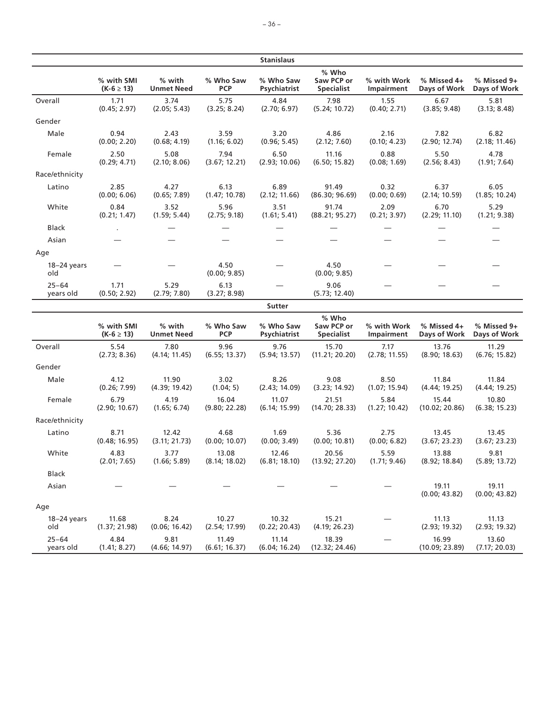|                        |                              |                             |                         | <b>Stanislaus</b>         |                                                                                                          |                           |                             |                             |
|------------------------|------------------------------|-----------------------------|-------------------------|---------------------------|----------------------------------------------------------------------------------------------------------|---------------------------|-----------------------------|-----------------------------|
|                        | % with SMI<br>$(K-6 \ge 13)$ | % with<br><b>Unmet Need</b> | % Who Saw<br><b>PCP</b> | % Who Saw<br>Psychiatrist | % Who<br>Saw PCP or<br><b>Specialist</b>                                                                 | % with Work<br>Impairment | % Missed 4+<br>Days of Work | % Missed 9+<br>Days of Work |
| Overall                | 1.71<br>(0.45; 2.97)         | 3.74<br>(2.05; 5.43)        | 5.75<br>(3.25; 8.24)    | 4.84<br>(2.70; 6.97)      | 7.98<br>(5.24; 10.72)                                                                                    | 1.55<br>(0.40; 2.71)      | 6.67<br>(3.85; 9.48)        | 5.81<br>(3.13; 8.48)        |
| Gender                 |                              |                             |                         |                           |                                                                                                          |                           |                             |                             |
| Male                   | 0.94<br>(0.00; 2.20)         | 2.43<br>(0.68; 4.19)        | 3.59<br>(1.16; 6.02)    | 3.20<br>(0.96; 5.45)      | 4.86<br>(2.12; 7.60)                                                                                     | 2.16<br>(0.10; 4.23)      | 7.82<br>(2.90; 12.74)       | 6.82<br>(2.18; 11.46)       |
| Female                 | 2.50<br>(0.29; 4.71)         | 5.08<br>(2.10; 8.06)        | 7.94<br>(3.67; 12.21)   | 6.50<br>(2.93; 10.06)     | 11.16<br>(6.50; 15.82)                                                                                   | 0.88<br>(0.08; 1.69)      | 5.50<br>(2.56; 8.43)        | 4.78<br>(1.91; 7.64)        |
| Race/ethnicity         |                              |                             |                         |                           |                                                                                                          |                           |                             |                             |
| Latino                 | 2.85<br>(0.00; 6.06)         | 4.27<br>(0.65; 7.89)        | 6.13<br>(1.47; 10.78)   | 6.89<br>(2.12; 11.66)     | 91.49<br>(86.30; 96.69)                                                                                  | 0.32<br>(0.00; 0.69)      | 6.37<br>(2.14; 10.59)       | 6.05<br>(1.85; 10.24)       |
| White                  | 0.84<br>(0.21; 1.47)         | 3.52<br>(1.59; 5.44)        | 5.96<br>(2.75; 9.18)    | 3.51<br>(1.61; 5.41)      | 91.74<br>(88.21; 95.27)                                                                                  | 2.09<br>(0.21; 3.97)      | 6.70<br>(2.29; 11.10)       | 5.29<br>(1.21; 9.38)        |
| <b>Black</b>           |                              |                             |                         |                           |                                                                                                          |                           |                             |                             |
| Asian                  |                              |                             |                         |                           |                                                                                                          |                           |                             |                             |
| Age                    |                              |                             |                         |                           |                                                                                                          |                           |                             |                             |
| $18-24$ years<br>old   |                              |                             | 4.50<br>(0.00; 9.85)    |                           | 4.50<br>(0.00; 9.85)                                                                                     |                           |                             |                             |
| $25 - 64$<br>years old | 1.71<br>(0.50; 2.92)         | 5.29<br>(2.79; 7.80)        | 6.13<br>(3.27; 8.98)    |                           | 9.06<br>(5.73; 12.40)                                                                                    |                           |                             |                             |
|                        |                              |                             |                         | <b>Sutter</b>             |                                                                                                          |                           |                             |                             |
|                        | % with SMI<br>$(K-6 \ge 13)$ | % with<br><b>Unmet Need</b> | % Who Saw<br><b>PCP</b> | % Who Saw<br>Psychiatrist | % Who<br>Saw PCP or<br><b>Specialist</b>                                                                 | % with Work<br>Impairment | % Missed 4+<br>Days of Work | % Missed 9+<br>Days of Work |
| Overall                | 5.54<br>(2.73; 8.36)         | 7.80<br>(4.14; 11.45)       | 9.96<br>(6.55; 13.37)   | 9.76<br>(5.94; 13.57)     | 15.70<br>(11.21; 20.20)                                                                                  | 7.17<br>(2.78; 11.55)     | 13.76<br>(8.90; 18.63)      | 11.29<br>(6.76; 15.82)      |
| Gender                 |                              |                             |                         |                           |                                                                                                          |                           |                             |                             |
| Male                   | 4.12<br>(0.26; 7.99)         | 11.90<br>(4.39; 19.42)      | 3.02<br>(1.04; 5)       | 8.26<br>(2.43; 14.09)     | 9.08<br>(3.23; 14.92)                                                                                    | 8.50<br>(1.07; 15.94)     | 11.84<br>(4.44; 19.25)      | 11.84<br>(4.44; 19.25)      |
| Female                 | 6.79<br>(2.90; 10.67)        | 4.19<br>(1.65; 6.74)        | 16.04<br>(9.80; 22.28)  | 11.07<br>(6.14; 15.99)    | 21.51<br>(14.70; 28.33)                                                                                  | 5.84<br>(1.27; 10.42)     | 15.44<br>(10.02; 20.86)     | 10.80<br>(6.38; 15.23)      |
| Race/ethnicity         |                              |                             |                         |                           |                                                                                                          |                           |                             |                             |
| Latino                 | 8.71<br>(0.48; 16.95)        | 12.42<br>(3.11; 21.73)      | 4.68<br>(0.00; 10.07)   | 1.69<br>(0.00; 3.49)      | 5.36<br>(0.00; 10.81)                                                                                    | 2.75<br>(0.00; 6.82)      | 13.45<br>(3.67; 23.23)      | 13.45<br>(3.67; 23.23)      |
| White                  | 4.83                         | 3.77                        | 13.08                   | 12.46                     | 20.56<br>(2.01; 7.65) (1.66; 5.89) (8.14; 18.02) (6.81; 18.10) (13.92; 27.20) (1.71; 9.46) (8.92; 18.84) | 5.59                      | 13.88                       | 9.81<br>(5.89; 13.72)       |
| Black                  |                              |                             |                         |                           |                                                                                                          |                           |                             |                             |
| Asian                  |                              |                             |                         |                           |                                                                                                          |                           | 19.11<br>(0.00; 43.82)      | 19.11<br>(0.00; 43.82)      |
| Age                    |                              |                             |                         |                           |                                                                                                          |                           |                             |                             |
| $18-24$ years<br>old   | 11.68<br>(1.37; 21.98)       | 8.24<br>(0.06; 16.42)       | 10.27<br>(2.54; 17.99)  | 10.32<br>(0.22; 20.43)    | 15.21<br>(4.19; 26.23)                                                                                   |                           | 11.13<br>(2.93; 19.32)      | 11.13<br>(2.93; 19.32)      |
| $25 - 64$<br>years old | 4.84<br>(1.41; 8.27)         | 9.81<br>(4.66; 14.97)       | 11.49<br>(6.61; 16.37)  | 11.14<br>(6.04; 16.24)    | 18.39<br>(12.32; 24.46)                                                                                  |                           | 16.99<br>(10.09; 23.89)     | 13.60<br>(7.17; 20.03)      |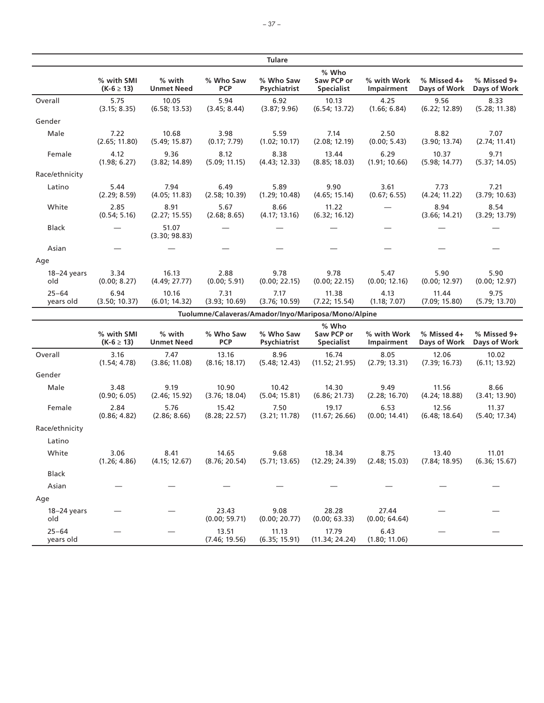|                        |                              |                             |                                                     | <b>Tulare</b>             |                                          |                           |                               |                             |
|------------------------|------------------------------|-----------------------------|-----------------------------------------------------|---------------------------|------------------------------------------|---------------------------|-------------------------------|-----------------------------|
|                        | % with SMI<br>$(K-6 \ge 13)$ | % with<br><b>Unmet Need</b> | % Who Saw<br><b>PCP</b>                             | % Who Saw<br>Psychiatrist | % Who<br>Saw PCP or<br><b>Specialist</b> | % with Work<br>Impairment | $%$ Missed 4+<br>Days of Work | % Missed 9+<br>Days of Work |
| Overall                | 5.75<br>(3.15; 8.35)         | 10.05<br>(6.58; 13.53)      | 5.94<br>(3.45; 8.44)                                | 6.92<br>(3.87; 9.96)      | 10.13<br>(6.54; 13.72)                   | 4.25<br>(1.66; 6.84)      | 9.56<br>(6.22; 12.89)         | 8.33<br>(5.28; 11.38)       |
| Gender                 |                              |                             |                                                     |                           |                                          |                           |                               |                             |
| Male                   | 7.22<br>(2.65; 11.80)        | 10.68<br>(5.49; 15.87)      | 3.98<br>(0.17; 7.79)                                | 5.59<br>(1.02; 10.17)     | 7.14<br>(2.08; 12.19)                    | 2.50<br>(0.00; 5.43)      | 8.82<br>(3.90; 13.74)         | 7.07<br>(2.74; 11.41)       |
| Female                 | 4.12<br>(1.98; 6.27)         | 9.36<br>(3.82; 14.89)       | 8.12<br>(5.09; 11.15)                               | 8.38<br>(4.43; 12.33)     | 13.44<br>(8.85; 18.03)                   | 6.29<br>(1.91; 10.66)     | 10.37<br>(5.98; 14.77)        | 9.71<br>(5.37; 14.05)       |
| Race/ethnicity         |                              |                             |                                                     |                           |                                          |                           |                               |                             |
| Latino                 | 5.44<br>(2.29; 8.59)         | 7.94<br>(4.05; 11.83)       | 6.49<br>(2.58; 10.39)                               | 5.89<br>(1.29; 10.48)     | 9.90<br>(4.65; 15.14)                    | 3.61<br>(0.67; 6.55)      | 7.73<br>(4.24; 11.22)         | 7.21<br>(3.79; 10.63)       |
| White                  | 2.85<br>(0.54; 5.16)         | 8.91<br>(2.27; 15.55)       | 5.67<br>(2.68; 8.65)                                | 8.66<br>(4.17; 13.16)     | 11.22<br>(6.32; 16.12)                   |                           | 8.94<br>(3.66; 14.21)         | 8.54<br>(3.29; 13.79)       |
| Black                  |                              | 51.07<br>(3.30; 98.83)      |                                                     |                           |                                          |                           |                               |                             |
| Asian                  |                              |                             |                                                     |                           |                                          |                           |                               |                             |
| Age                    |                              |                             |                                                     |                           |                                          |                           |                               |                             |
| 18-24 years<br>old     | 3.34<br>(0.00; 8.27)         | 16.13<br>(4.49; 27.77)      | 2.88<br>(0.00; 5.91)                                | 9.78<br>(0.00; 22.15)     | 9.78<br>(0.00; 22.15)                    | 5.47<br>(0.00; 12.16)     | 5.90<br>(0.00; 12.97)         | 5.90<br>(0.00; 12.97)       |
| $25 - 64$<br>years old | 6.94<br>(3.50; 10.37)        | 10.16<br>(6.01; 14.32)      | 7.31<br>(3.93; 10.69)                               | 7.17<br>(3.76; 10.59)     | 11.38<br>(7.22; 15.54)                   | 4.13<br>(1.18; 7.07)      | 11.44<br>(7.09; 15.80)        | 9.75<br>(5.79; 13.70)       |
|                        |                              |                             | Tuolumne/Calaveras/Amador/Inyo/Mariposa/Mono/Alpine |                           |                                          |                           |                               |                             |
|                        | % with SMI                   | % with                      | % Who Saw                                           | % Who Saw                 | % Who<br>Saw PCP or                      | % with Work               | % Missed 4+                   | % Missed 9+                 |

|                        | % with SMI<br>$(K-6 \ge 13)$ | % with<br><b>Unmet Need</b> | % Who Saw<br><b>PCP</b> | % Who Saw<br><b>Psychiatrist</b> | % wno<br>Saw PCP or<br><b>Specialist</b> | % with Work<br>Impairment | % Missed 4+<br>Days of Work | $%$ Missed 9+<br>Days of Work |
|------------------------|------------------------------|-----------------------------|-------------------------|----------------------------------|------------------------------------------|---------------------------|-----------------------------|-------------------------------|
| Overall                | 3.16<br>(1.54; 4.78)         | 7.47<br>(3.86; 11.08)       | 13.16<br>(8.16; 18.17)  | 8.96<br>(5.48; 12.43)            | 16.74<br>(11.52; 21.95)                  | 8.05<br>(2.79; 13.31)     | 12.06<br>(7.39; 16.73)      | 10.02<br>(6.11; 13.92)        |
| Gender                 |                              |                             |                         |                                  |                                          |                           |                             |                               |
| Male                   | 3.48<br>(0.90; 6.05)         | 9.19<br>(2.46; 15.92)       | 10.90<br>(3.76; 18.04)  | 10.42<br>(5.04; 15.81)           | 14.30<br>(6.86; 21.73)                   | 9.49<br>(2.28; 16.70)     | 11.56<br>(4.24; 18.88)      | 8.66<br>(3.41; 13.90)         |
| Female                 | 2.84<br>(0.86; 4.82)         | 5.76<br>(2.86; 8.66)        | 15.42<br>(8.28; 22.57)  | 7.50<br>(3.21; 11.78)            | 19.17<br>(11.67; 26.66)                  | 6.53<br>(0.00; 14.41)     | 12.56<br>(6.48; 18.64)      | 11.37<br>(5.40; 17.34)        |
| Race/ethnicity         |                              |                             |                         |                                  |                                          |                           |                             |                               |
| Latino                 |                              |                             |                         |                                  |                                          |                           |                             |                               |
| White                  | 3.06<br>(1.26; 4.86)         | 8.41<br>(4.15; 12.67)       | 14.65<br>(8.76; 20.54)  | 9.68<br>(5.71; 13.65)            | 18.34<br>(12.29; 24.39)                  | 8.75<br>(2.48; 15.03)     | 13.40<br>(7.84; 18.95)      | 11.01<br>(6.36; 15.67)        |
| Black                  |                              |                             |                         |                                  |                                          |                           |                             |                               |
| Asian                  |                              |                             |                         |                                  |                                          |                           |                             |                               |
| Age                    |                              |                             |                         |                                  |                                          |                           |                             |                               |
| $18-24$ years<br>old   |                              |                             | 23.43<br>(0.00; 59.71)  | 9.08<br>(0.00; 20.77)            | 28.28<br>(0.00; 63.33)                   | 27.44<br>(0.00; 64.64)    |                             |                               |
| $25 - 64$<br>years old |                              |                             | 13.51<br>(7.46; 19.56)  | 11.13<br>(6.35; 15.91)           | 17.79<br>(11.34; 24.24)                  | 6.43<br>(1.80; 11.06)     |                             |                               |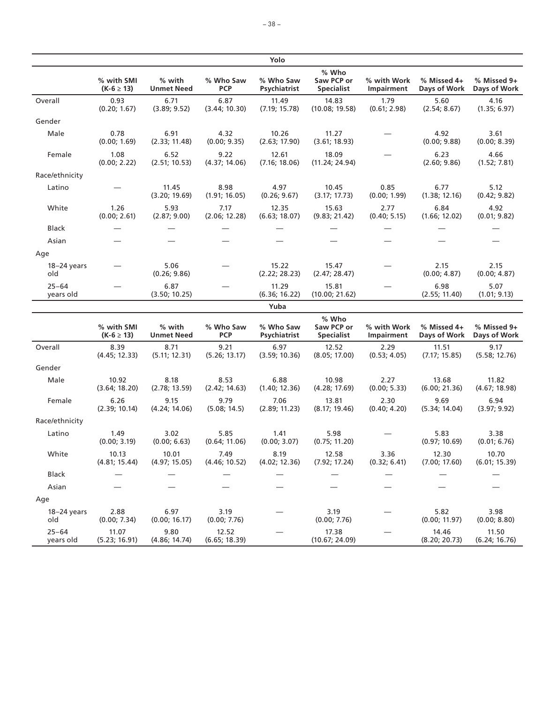|                        |                              |                             |                         | Yolo                      |                                          |                           |                             |                             |
|------------------------|------------------------------|-----------------------------|-------------------------|---------------------------|------------------------------------------|---------------------------|-----------------------------|-----------------------------|
|                        | % with SMI<br>$(K-6 \ge 13)$ | % with<br><b>Unmet Need</b> | % Who Saw<br><b>PCP</b> | % Who Saw<br>Psychiatrist | % Who<br>Saw PCP or<br><b>Specialist</b> | % with Work<br>Impairment | % Missed 4+<br>Days of Work | % Missed 9+<br>Days of Work |
| Overall                | 0.93<br>(0.20; 1.67)         | 6.71<br>(3.89; 9.52)        | 6.87<br>(3.44; 10.30)   | 11.49<br>(7.19; 15.78)    | 14.83<br>(10.08; 19.58)                  | 1.79<br>(0.61; 2.98)      | 5.60<br>(2.54; 8.67)        | 4.16<br>(1.35; 6.97)        |
| Gender                 |                              |                             |                         |                           |                                          |                           |                             |                             |
| Male                   | 0.78<br>(0.00; 1.69)         | 6.91<br>(2.33; 11.48)       | 4.32<br>(0.00; 9.35)    | 10.26<br>(2.63; 17.90)    | 11.27<br>(3.61; 18.93)                   |                           | 4.92<br>(0.00; 9.88)        | 3.61<br>(0.00; 8.39)        |
| Female                 | 1.08<br>(0.00; 2.22)         | 6.52<br>(2.51; 10.53)       | 9.22<br>(4.37; 14.06)   | 12.61<br>(7.16; 18.06)    | 18.09<br>(11.24; 24.94)                  |                           | 6.23<br>(2.60; 9.86)        | 4.66<br>(1.52; 7.81)        |
| Race/ethnicity         |                              |                             |                         |                           |                                          |                           |                             |                             |
| Latino                 |                              | 11.45<br>(3.20; 19.69)      | 8.98<br>(1.91; 16.05)   | 4.97<br>(0.26; 9.67)      | 10.45<br>(3.17; 17.73)                   | 0.85<br>(0.00; 1.99)      | 6.77<br>(1.38; 12.16)       | 5.12<br>(0.42; 9.82)        |
| White                  | 1.26<br>(0.00; 2.61)         | 5.93<br>(2.87; 9.00)        | 7.17<br>(2.06; 12.28)   | 12.35<br>(6.63; 18.07)    | 15.63<br>(9.83; 21.42)                   | 2.77<br>(0.40; 5.15)      | 6.84<br>(1.66; 12.02)       | 4.92<br>(0.01; 9.82)        |
| Black                  |                              |                             |                         |                           |                                          |                           |                             |                             |
| Asian                  |                              |                             |                         |                           |                                          |                           |                             |                             |
| Age                    |                              |                             |                         |                           |                                          |                           |                             |                             |
| $18-24$ years<br>old   |                              | 5.06<br>(0.26; 9.86)        |                         | 15.22<br>(2.22; 28.23)    | 15.47<br>(2.47; 28.47)                   |                           | 2.15<br>(0.00; 4.87)        | 2.15<br>(0.00; 4.87)        |
| $25 - 64$<br>years old |                              | 6.87<br>(3.50; 10.25)       |                         | 11.29<br>(6.36; 16.22)    | 15.81<br>(10.00; 21.62)                  |                           | 6.98<br>(2.55; 11.40)       | 5.07<br>(1.01; 9.13)        |
|                        |                              |                             |                         | Yuba                      |                                          |                           |                             |                             |
|                        | % with SMI<br>$(K-6 \ge 13)$ | % with<br><b>Unmet Need</b> | % Who Saw<br><b>PCP</b> | % Who Saw<br>Psychiatrist | % Who<br>Saw PCP or<br><b>Specialist</b> | % with Work<br>Impairment | % Missed 4+<br>Days of Work | % Missed 9+<br>Days of Work |
| Overall                | 8.39<br>(4.45; 12.33)        | 8.71<br>(5.11; 12.31)       | 9.21<br>(5.26; 13.17)   | 6.97<br>(3.59; 10.36)     | 12.52<br>(8.05; 17.00)                   | 2.29<br>(0.53; 4.05)      | 11.51<br>(7.17; 15.85)      | 9.17<br>(5.58; 12.76)       |
| Gender                 |                              |                             |                         |                           |                                          |                           |                             |                             |
| Male                   | 10.92<br>(3.64; 18.20)       | 8.18<br>(2.78; 13.59)       | 8.53<br>(2.42; 14.63)   | 6.88<br>(1.40; 12.36)     | 10.98<br>(4.28; 17.69)                   | 2.27<br>(0.00; 5.33)      | 13.68<br>(6.00; 21.36)      | 11.82<br>(4.67; 18.98)      |
| Female                 | 6.26<br>(2.39; 10.14)        | 9.15<br>(4.24; 14.06)       | 9.79<br>(5.08; 14.5)    | 7.06<br>(2.89; 11.23)     | 13.81<br>(8.17; 19.46)                   | 2.30<br>(0.40; 4.20)      | 9.69<br>(5.34; 14.04)       | 6.94<br>(3.97; 9.92)        |
| Race/ethnicity         |                              |                             |                         |                           |                                          |                           |                             |                             |
| Latino                 | 1.49<br>(0.00; 3.19)         | 3.02<br>(0.00; 6.63)        | 5.85<br>(0.64; 11.06)   | 1.41<br>(0.00; 3.07)      | 5.98<br>(0.75; 11.20)                    |                           | 5.83<br>(0.97; 10.69)       | 3.38<br>(0.01; 6.76)        |
| White                  | 10.13<br>(4.81; 15.44)       | 10.01<br>(4.97; 15.05)      | 7.49<br>(4.46; 10.52)   | 8.19<br>(4.02; 12.36)     | 12.58<br>(7.92; 17.24)                   | 3.36<br>(0.32; 6.41)      | 12.30<br>(7.00; 17.60)      | 10.70<br>(6.01; 15.39)      |
| Black                  |                              |                             |                         |                           |                                          |                           |                             |                             |
| Asian                  |                              |                             |                         |                           |                                          |                           |                             |                             |
| Age                    |                              |                             |                         |                           |                                          |                           |                             |                             |
| $18-24$ years<br>old   | 2.88<br>(0.00; 7.34)         | 6.97<br>(0.00; 16.17)       | 3.19<br>(0.00; 7.76)    |                           | 3.19<br>(0.00; 7.76)                     |                           | 5.82<br>(0.00; 11.97)       | 3.98<br>(0.00; 8.80)        |
| $25 - 64$<br>years old | 11.07<br>(5.23; 16.91)       | 9.80<br>(4.86; 14.74)       | 12.52<br>(6.65; 18.39)  |                           | 17.38<br>(10.67; 24.09)                  |                           | 14.46<br>(8.20; 20.73)      | 11.50<br>(6.24; 16.76)      |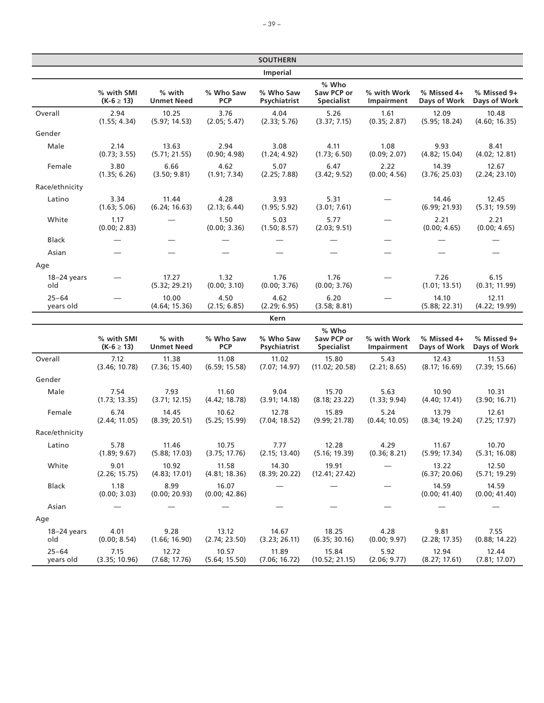|                        |                              |                             |                         | <b>SOUTHERN</b>           |                                          |                           |                             |                             |
|------------------------|------------------------------|-----------------------------|-------------------------|---------------------------|------------------------------------------|---------------------------|-----------------------------|-----------------------------|
|                        |                              |                             |                         | Imperial                  |                                          |                           |                             |                             |
|                        | % with SMI<br>$(K-6 \ge 13)$ | % with<br><b>Unmet Need</b> | % Who Saw<br><b>PCP</b> | % Who Saw<br>Psychiatrist | % Who<br>Saw PCP or<br><b>Specialist</b> | % with Work<br>Impairment | % Missed 4+<br>Days of Work | % Missed 9+<br>Days of Work |
| Overall                | 2.94<br>(1.55; 4.34)         | 10.25<br>(5.97; 14.53)      | 3.76<br>(2.05; 5.47)    | 4.04<br>(2.33; 5.76)      | 5.26<br>(3.37; 7.15)                     | 1.61<br>(0.35; 2.87)      | 12.09<br>(5.95; 18.24)      | 10.48<br>(4.60; 16.35)      |
| Gender                 |                              |                             |                         |                           |                                          |                           |                             |                             |
| Male                   | 2.14<br>(0.73; 3.55)         | 13.63<br>(5.71; 21.55)      | 2.94<br>(0.90; 4.98)    | 3.08<br>(1.24; 4.92)      | 4.11<br>(1.73; 6.50)                     | 1.08<br>(0.09; 2.07)      | 9.93<br>(4.82; 15.04)       | 8.41<br>(4.02; 12.81)       |
| Female                 | 3.80<br>(1.35; 6.26)         | 6.66<br>(3.50; 9.81)        | 4.62<br>(1.91; 7.34)    | 5.07<br>(2.25; 7.88)      | 6.47<br>(3.42; 9.52)                     | 2.22<br>(0.00; 4.56)      | 14.39<br>(3.76; 25.03)      | 12.67<br>(2.24; 23.10)      |
| Race/ethnicity         |                              |                             |                         |                           |                                          |                           |                             |                             |
| Latino                 | 3.34<br>(1.63; 5.06)         | 11.44<br>(6.24; 16.63)      | 4.28<br>(2.13; 6.44)    | 3.93<br>(1.95; 5.92)      | 5.31<br>(3.01; 7.61)                     |                           | 14.46<br>(6.99; 21.93)      | 12.45<br>(5.31; 19.59)      |
| White                  | 1.17<br>(0.00; 2.83)         |                             | 1.50<br>(0.00; 3.36)    | 5.03<br>(1.50; 8.57)      | 5.77<br>(2.03; 9.51)                     |                           | 2.21<br>(0.00; 4.65)        | 2.21<br>(0.00; 4.65)        |
| Black                  |                              |                             |                         |                           |                                          |                           |                             |                             |
| Asian                  |                              |                             |                         |                           |                                          |                           |                             |                             |
| Age                    |                              |                             |                         |                           |                                          |                           |                             |                             |
| 18-24 years<br>old     |                              | 17.27<br>(5.32; 29.21)      | 1.32<br>(0.00; 3.10)    | 1.76<br>(0.00; 3.76)      | 1.76<br>(0.00; 3.76)                     |                           | 7.26<br>(1.01; 13.51)       | 6.15<br>(0.31; 11.99)       |
| $25 - 64$<br>years old |                              | 10.00<br>(4.64; 15.36)      | 4.50<br>(2.15; 6.85)    | 4.62<br>(2.29; 6.95)      | 6.20<br>(3.58; 8.81)                     |                           | 14.10<br>(5.88; 22.31)      | 12.11<br>(4.22; 19.99)      |
|                        |                              |                             |                         | Kern                      |                                          |                           |                             |                             |
|                        | % with SMI<br>$(K-6 \ge 13)$ | % with<br><b>Unmet Need</b> | % Who Saw<br><b>PCP</b> | % Who Saw<br>Psychiatrist | % Who<br>Saw PCP or<br><b>Specialist</b> | % with Work<br>Impairment | % Missed 4+<br>Days of Work | % Missed 9+<br>Days of Work |
| Overall                | 7.12<br>(3.46; 10.78)        | 11.38<br>(7.36; 15.40)      | 11.08<br>(6.59; 15.58)  | 11.02<br>(7.07; 14.97)    | 15.80<br>(11.02; 20.58)                  | 5.43<br>(2.21; 8.65)      | 12.43<br>(8.17; 16.69)      | 11.53<br>(7.39; 15.66)      |
| Gender                 |                              |                             |                         |                           |                                          |                           |                             |                             |
| Male                   | 7.54<br>(1.73; 13.35)        | 7.93<br>(3.71; 12.15)       | 11.60<br>(4.42; 18.78)  | 9.04<br>(3.91; 14.18)     | 15.70<br>(8.18; 23.22)                   | 5.63<br>(1.33; 9.94)      | 10.90<br>(4.40; 17.41)      | 10.31<br>(3.90; 16.71)      |
| Female                 | 6.74<br>(2.44; 11.05)        | 14.45<br>(8.39; 20.51)      | 10.62<br>(5.25; 15.99)  | 12.78<br>(7.04; 18.52)    | 15.89<br>(9.99; 21.78)                   | 5.24<br>(0.44; 10.05)     | 13.79<br>(8.34; 19.24)      | 12.61<br>(7.25; 17.97)      |
| Race/ethnicity         |                              |                             |                         |                           |                                          |                           |                             |                             |
| Latino                 | 5.78<br>(1.89; 9.67)         | 11.46<br>(5.88; 17.03)      | 10.75<br>(3.75; 17.76)  | 7.77<br>(2.15; 13.40)     | 12.28<br>(5.16; 19.39)                   | 4.29<br>(0.36; 8.21)      | 11.67<br>(5.99; 17.34)      | 10.70<br>(5.31; 16.08)      |
| White                  | 9.01<br>(2.26; 15.75)        | 10.92<br>(4.83; 17.01)      | 11.58<br>(4.81; 18.36)  | 14.30<br>(8.39; 20.22)    | 19.91<br>(12.41; 27.42)                  |                           | 13.22<br>(6.37; 20.06)      | 12.50<br>(5.71; 19.29)      |
| <b>Black</b>           | 1.18<br>(0.00; 3.03)         | 8.99<br>(0.00; 20.93)       | 16.07<br>(0.00; 42.86)  |                           |                                          |                           | 14.59<br>(0.00; 41.40)      | 14.59<br>(0.00; 41.40)      |
| Asian                  |                              |                             |                         |                           |                                          |                           |                             |                             |
| Age                    |                              |                             |                         |                           |                                          |                           |                             |                             |
| $18-24$ years<br>old   | 4.01<br>(0.00; 8.54)         | 9.28<br>(1.66; 16.90)       | 13.12<br>(2.74; 23.50)  | 14.67<br>(3.23; 26.11)    | 18.25<br>(6.35; 30.16)                   | 4.28<br>(0.00; 9.97)      | 9.81<br>(2.28; 17.35)       | 7.55<br>(0.88; 14.22)       |
| $25 - 64$<br>years old | 7.15<br>(3.35; 10.96)        | 12.72<br>(7.68; 17.76)      | 10.57<br>(5.64; 15.50)  | 11.89<br>(7.06; 16.72)    | 15.84<br>(10.52; 21.15)                  | 5.92<br>(2.06; 9.77)      | 12.94<br>(8.27; 17.61)      | 12.44<br>(7.81; 17.07)      |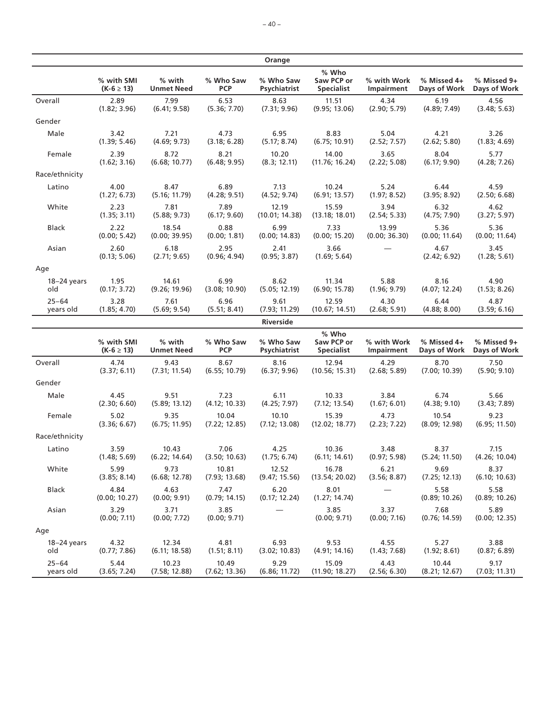|                |                              |                             |                         | Orange                    |                                          |                           |                             |                             |
|----------------|------------------------------|-----------------------------|-------------------------|---------------------------|------------------------------------------|---------------------------|-----------------------------|-----------------------------|
|                | % with SMI<br>$(K-6 \ge 13)$ | % with<br><b>Unmet Need</b> | % Who Saw<br><b>PCP</b> | % Who Saw<br>Psychiatrist | % Who<br>Saw PCP or<br><b>Specialist</b> | % with Work<br>Impairment | % Missed 4+<br>Days of Work | % Missed 9+<br>Days of Work |
| Overall        | 2.89                         | 7.99                        | 6.53                    | 8.63                      | 11.51                                    | 4.34                      | 6.19                        | 4.56                        |
|                | (1.82; 3.96)                 | (6.41; 9.58)                | (5.36; 7.70)            | (7.31; 9.96)              | (9.95; 13.06)                            | (2.90; 5.79)              | (4.89; 7.49)                | (3.48; 5.63)                |
| Gender         |                              |                             |                         |                           |                                          |                           |                             |                             |
| Male           | 3.42                         | 7.21                        | 4.73                    | 6.95                      | 8.83                                     | 5.04                      | 4.21                        | 3.26                        |
|                | (1.39; 5.46)                 | (4.69; 9.73)                | (3.18; 6.28)            | (5.17; 8.74)              | (6.75; 10.91)                            | (2.52; 7.57)              | (2.62; 5.80)                | (1.83; 4.69)                |
| Female         | 2.39                         | 8.72                        | 8.21                    | 10.20                     | 14.00                                    | 3.65                      | 8.04                        | 5.77                        |
|                | (1.62; 3.16)                 | (6.68; 10.77)               | (6.48; 9.95)            | (8.3; 12.11)              | (11.76; 16.24)                           | (2.22; 5.08)              | (6.17; 9.90)                | (4.28; 7.26)                |
| Race/ethnicity |                              |                             |                         |                           |                                          |                           |                             |                             |
| Latino         | 4.00                         | 8.47                        | 6.89                    | 7.13                      | 10.24                                    | 5.24                      | 6.44                        | 4.59                        |
|                | (1.27; 6.73)                 | (5.16; 11.79)               | (4.28; 9.51)            | (4.52; 9.74)              | (6.91; 13.57)                            | (1.97; 8.52)              | (3.95; 8.92)                | (2.50; 6.68)                |
| White          | 2.23                         | 7.81                        | 7.89                    | 12.19                     | 15.59                                    | 3.94                      | 6.32                        | 4.62                        |
|                | (1.35; 3.11)                 | (5.88; 9.73)                | (6.17; 9.60)            | (10.01; 14.38)            | (13.18; 18.01)                           | (2.54; 5.33)              | (4.75; 7.90)                | (3.27; 5.97)                |
| <b>Black</b>   | 2.22                         | 18.54                       | 0.88                    | 6.99                      | 7.33                                     | 13.99                     | 5.36                        | 5.36                        |
|                | (0.00; 5.42)                 | (0.00; 39.95)               | (0.00; 1.81)            | (0.00; 14.83)             | (0.00; 15.20)                            | (0.00; 36.30)             | (0.00; 11.64)               | (0.00; 11.64)               |
| Asian          | 2.60<br>(0.13; 5.06)         | 6.18<br>(2.71; 9.65)        | 2.95<br>(0.96; 4.94)    | 2.41<br>(0.95; 3.87)      | 3.66<br>(1.69; 5.64)                     |                           | 4.67<br>(2.42; 6.92)        | 3.45<br>(1.28; 5.61)        |
| Age            |                              |                             |                         |                           |                                          |                           |                             |                             |
| $18-24$ years  | 1.95                         | 14.61                       | 6.99                    | 8.62                      | 11.34                                    | 5.88                      | 8.16                        | 4.90                        |
| old            | (0.17; 3.72)                 | (9.26; 19.96)               | (3.08; 10.90)           | (5.05; 12.19)             | (6.90; 15.78)                            | (1.96; 9.79)              | (4.07; 12.24)               | (1.53; 8.26)                |
| $25 - 64$      | 3.28                         | 7.61                        | 6.96                    | 9.61                      | 12.59                                    | 4.30                      | 6.44                        | 4.87                        |
| years old      | (1.85; 4.70)                 | (5.69; 9.54)                | (5.51; 8.41)            | (7.93; 11.29)             | (10.67; 14.51)                           | (2.68; 5.91)              | (4.88; 8.00)                | (3.59; 6.16)                |
|                |                              |                             |                         | Riverside                 |                                          |                           |                             |                             |
|                | % with SMI<br>$(K-6 \ge 13)$ | % with<br><b>Unmet Need</b> | % Who Saw<br><b>PCP</b> | % Who Saw<br>Psychiatrist | % Who<br>Saw PCP or<br><b>Specialist</b> | % with Work<br>Impairment | % Missed 4+<br>Days of Work | % Missed 9+<br>Days of Work |
| Overall        | 4.74                         | 9.43                        | 8.67                    | 8.16                      | 12.94                                    | 4.29                      | 8.70                        | 7.50                        |
|                | (3.37; 6.11)                 | (7.31; 11.54)               | (6.55; 10.79)           | (6.37; 9.96)              | (10.56; 15.31)                           | (2.68; 5.89)              | (7.00; 10.39)               | (5.90; 9.10)                |
| Gender         |                              |                             |                         |                           |                                          |                           |                             |                             |
| Male           | 4.45                         | 9.51                        | 7.23                    | 6.11                      | 10.33                                    | 3.84                      | 6.74                        | 5.66                        |
|                | (2.30; 6.60)                 | (5.89; 13.12)               | (4.12; 10.33)           | (4.25; 7.97)              | (7.12; 13.54)                            | (1.67; 6.01)              | (4.38; 9.10)                | (3.43; 7.89)                |
| Female         | 5.02                         | 9.35                        | 10.04                   | 10.10                     | 15.39                                    | 4.73                      | 10.54                       | 9.23                        |
|                | (3.36; 6.67)                 | (6.75; 11.95)               | (7.22; 12.85)           | (7.12; 13.08)             | (12.02; 18.77)                           | (2.23; 7.22)              | (8.09; 12.98)               | (6.95; 11.50)               |
| Race/ethnicity |                              |                             |                         |                           |                                          |                           |                             |                             |
| Latino         | 3.59                         | 10.43                       | 7.06                    | 4.25                      | 10.36                                    | 3.48                      | 8.37                        | 7.15                        |
|                | (1.48; 5.69)                 | (6.22; 14.64)               | (3.50; 10.63)           | (1.75; 6.74)              | (6.11; 14.61)                            | (0.97; 5.98)              | (5.24; 11.50)               | (4.26; 10.04)               |
| White          | 5.99                         | 9.73                        | 10.81                   | 12.52                     | 16.78                                    | 6.21                      | 9.69                        | 8.37                        |
|                | (3.85; 8.14)                 | (6.68; 12.78)               | (7.93; 13.68)           | (9.47; 15.56)             | (13.54; 20.02)                           | (3.56; 8.87)              | (7.25; 12.13)               | (6.10; 10.63)               |
| Black          | 4.84<br>(0.00; 10.27)        | 4.63<br>(0.00; 9.91)        | 7.47<br>(0.79; 14.15)   | 6.20<br>(0.17; 12.24)     | 8.01<br>(1.27; 14.74)                    |                           | 5.58<br>(0.89; 10.26)       | 5.58<br>(0.89; 10.26)       |
| Asian          | 3.29<br>(0.00; 7.11)         | 3.71<br>(0.00; 7.72)        | 3.85<br>(0.00; 9.71)    |                           | 3.85<br>(0.00; 9.71)                     | 3.37<br>(0.00; 7.16)      | 7.68<br>(0.76; 14.59)       | 5.89<br>(0.00; 12.35)       |
| Age            |                              |                             |                         |                           |                                          |                           |                             |                             |
| $18-24$ years  | 4.32                         | 12.34                       | 4.81                    | 6.93                      | 9.53                                     | 4.55                      | 5.27                        | 3.88                        |
| old            | (0.77; 7.86)                 | (6.11; 18.58)               | (1.51; 8.11)            | (3.02; 10.83)             | (4.91; 14.16)                            | (1.43; 7.68)              | (1.92; 8.61)                | (0.87; 6.89)                |
| $25 - 64$      | 5.44                         | 10.23                       | 10.49                   | 9.29                      | 15.09                                    | 4.43                      | 10.44                       | 9.17                        |
| years old      | (3.65; 7.24)                 | (7.58; 12.88)               | (7.62; 13.36)           | (6.86; 11.72)             | (11.90; 18.27)                           | (2.56; 6.30)              | (8.21; 12.67)               | (7.03; 11.31)               |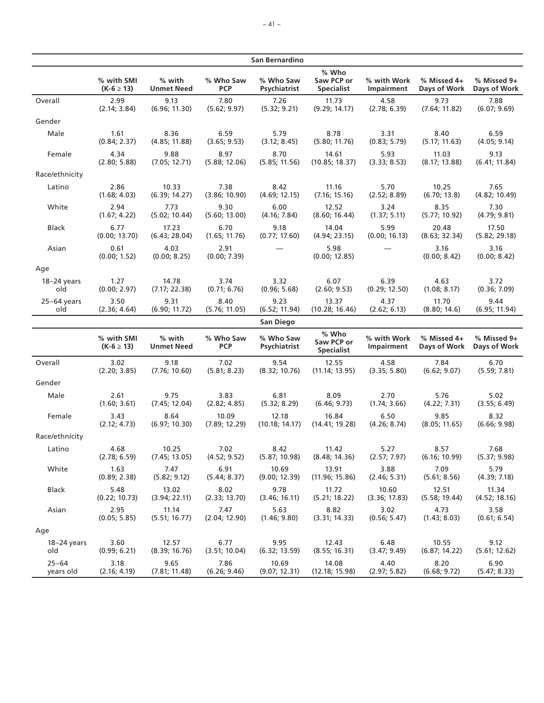|                |                              |                             |                         | San Bernardino            |                                          |                           |                             |                             |
|----------------|------------------------------|-----------------------------|-------------------------|---------------------------|------------------------------------------|---------------------------|-----------------------------|-----------------------------|
|                | % with SMI<br>$(K-6 \ge 13)$ | % with<br><b>Unmet Need</b> | % Who Saw<br><b>PCP</b> | % Who Saw<br>Psychiatrist | % Who<br>Saw PCP or<br><b>Specialist</b> | % with Work<br>Impairment | % Missed 4+<br>Days of Work | % Missed 9+<br>Days of Work |
| Overall        | 2.99                         | 9.13                        | 7.80                    | 7.26                      | 11.73                                    | 4.58                      | 9.73                        | 7.88                        |
|                | (2.14; 3.84)                 | (6.96; 11.30)               | (5.62; 9.97)            | (5.32; 9.21)              | (9.29; 14.17)                            | (2.78; 6.39)              | (7.64; 11.82)               | (6.07; 9.69)                |
| Gender         |                              |                             |                         |                           |                                          |                           |                             |                             |
| Male           | 1.61                         | 8.36                        | 6.59                    | 5.79                      | 8.78                                     | 3.31                      | 8.40                        | 6.59                        |
|                | (0.84; 2.37)                 | (4.85; 11.88)               | (3.65; 9.53)            | (3.12; 8.45)              | (5.80; 11.76)                            | (0.83; 5.79)              | (5.17; 11.63)               | (4.05; 9.14)                |
| Female         | 4.34                         | 9.88                        | 8.97                    | 8.70                      | 14.61                                    | 5.93                      | 11.03                       | 9.13                        |
|                | (2.80; 5.88)                 | (7.05; 12.71)               | (5.88; 12.06)           | (5.85; 11.56)             | (10.85; 18.37)                           | (3.33; 8.53)              | (8.17; 13.88)               | (6.41; 11.84)               |
| Race/ethnicity |                              |                             |                         |                           |                                          |                           |                             |                             |
| Latino         | 2.86                         | 10.33                       | 7.38                    | 8.42                      | 11.16                                    | 5.70                      | 10.25                       | 7.65                        |
|                | (1.68; 4.03)                 | (6.39; 14.27)               | (3.86; 10.90)           | (4.69; 12.15)             | (7.16; 15.16)                            | (2.52; 8.89)              | (6.70; 13.8)                | (4.82; 10.49)               |
| White          | 2.94                         | 7.73                        | 9.30                    | 6.00                      | 12.52                                    | 3.24                      | 8.35                        | 7.30                        |
|                | (1.67; 4.22)                 | (5.02; 10.44)               | (5.60; 13.00)           | (4.16; 7.84)              | (8.60; 16.44)                            | (1.37; 5.11)              | (5.77; 10.92)               | (4.79; 9.81)                |
| <b>Black</b>   | 6.77                         | 17.23                       | 6.70                    | 9.18                      | 14.04                                    | 5.99                      | 20.48                       | 17.50                       |
|                | (0.00; 13.70)                | (6.43; 28.04)               | (1.65; 11.76)           | (0.77; 17.60)             | (4.94; 23.15)                            | (0.00; 16.13)             | (8.63; 32.34)               | (5.82; 29.18)               |
| Asian          | 0.61<br>(0.00; 1.52)         | 4.03<br>(0.00; 8.25)        | 2.91<br>(0.00; 7.39)    |                           | 5.98<br>(0.00; 12.85)                    |                           | 3.16<br>(0.00; 8.42)        | 3.16<br>(0.00; 8.42)        |
| Age            |                              |                             |                         |                           |                                          |                           |                             |                             |
| $18-24$ years  | 1.27                         | 14.78                       | 3.74                    | 3.32                      | 6.07                                     | 6.39                      | 4.63                        | 3.72                        |
| old            | (0.00; 2.97)                 | (7.17; 22.38)               | (0.71; 6.76)            | (0.96; 5.68)              | (2.60; 9.53)                             | (0.29; 12.50)             | (1.08; 8.17)                | (0.36; 7.09)                |
| 25–64 years    | 3.50                         | 9.31                        | 8.40                    | 9.23                      | 13.37                                    | 4.37                      | 11.70                       | 9.44                        |
| old            | (2.36; 4.64)                 | (6.90; 11.72)               | (5.76; 11.05)           | (6.52; 11.94)             | (10.28; 16.46)                           | (2.62; 6.13)              | (8.80; 14.6)                | (6.95; 11.94)               |
|                |                              |                             |                         | San Diego                 |                                          |                           |                             |                             |
|                | % with SMI<br>$(K-6 \ge 13)$ | % with<br><b>Unmet Need</b> | % Who Saw<br><b>PCP</b> | % Who Saw<br>Psychiatrist | % Who<br>Saw PCP or<br><b>Specialist</b> | % with Work<br>Impairment | % Missed 4+<br>Days of Work | % Missed 9+<br>Days of Work |
| Overall        | 3.02                         | 9.18                        | 7.02                    | 9.54                      | 12.55                                    | 4.58                      | 7.84                        | 6.70                        |
|                | (2.20; 3.85)                 | (7.76; 10.60)               | (5.81; 8.23)            | (8.32; 10.76)             | (11.14; 13.95)                           | (3.35; 5.80)              | (6.62; 9.07)                | (5.59; 7.81)                |
| Gender         |                              |                             |                         |                           |                                          |                           |                             |                             |
| Male           | 2.61                         | 9.75                        | 3.83                    | 6.81                      | 8.09                                     | 2.70                      | 5.76                        | 5.02                        |
|                | (1.60; 3.61)                 | (7.45; 12.04)               | (2.82; 4.85)            | (5.32; 8.29)              | (6.46; 9.73)                             | (1.74; 3.66)              | (4.22; 7.31)                | (3.55; 6.49)                |
| Female         | 3.43                         | 8.64                        | 10.09                   | 12.18                     | 16.84                                    | 6.50                      | 9.85                        | 8.32                        |
|                | (2.12; 4.73)                 | (6.97; 10.30)               | (7.89; 12.29)           | (10.18; 14.17)            | (14.41; 19.28)                           | (4.26; 8.74)              | (8.05; 11.65)               | (6.66; 9.98)                |
| Race/ethnicity |                              |                             |                         |                           |                                          |                           |                             |                             |
| Latino         | 4.68                         | 10.25                       | 7.02                    | 8.42                      | 11.42                                    | 5.27                      | 8.57                        | 7.68                        |
|                | (2.78; 6.59)                 | (7.45; 13.05)               | (4.52; 9.52)            | (5.87; 10.98)             | (8.48; 14.36)                            | (2.57; 7.97)              | (6.16; 10.99)               | (5.37; 9.98)                |
| White          | 1.63                         | 7.47                        | 6.91                    | 10.69                     | 13.91                                    | 3.88                      | 7.09                        | 5.79                        |
|                | (0.89; 2.38)                 | (5.82; 9.12)                | (5.44; 8.37)            | (9.00; 12.39)             | (11.96; 15.86)                           | (2.46; 5.31)              | (5.61; 8.56)                | (4.39; 7.18)                |
| Black          | 5.48                         | 13.02                       | 8.02                    | 9.78                      | 11.72                                    | 10.60                     | 12.51                       | 11.34                       |
|                | (0.22; 10.73)                | (3.94; 22.11)               | (2.33; 13.70)           | (3.46; 16.11)             | (5.21; 18.22)                            | (3.36; 17.83)             | (5.58; 19.44)               | (4.52; 18.16)               |
| Asian          | 2.95                         | 11.14                       | 7.47                    | 5.63                      | 8.82                                     | 3.02                      | 4.73                        | 3.58                        |
|                | (0.05; 5.85)                 | (5.51; 16.77)               | (2.04; 12.90)           | (1.46; 9.80)              | (3.31; 14.33)                            | (0.56; 5.47)              | (1.43; 8.03)                | (0.61; 6.54)                |
| Age            |                              |                             |                         |                           |                                          |                           |                             |                             |
| $18-24$ years  | 3.60                         | 12.57                       | 6.77                    | 9.95                      | 12.43                                    | 6.48                      | 10.55                       | 9.12                        |
| old            | (0.99; 6.21)                 | (8.39; 16.76)               | (3.51; 10.04)           | (6.32; 13.59)             | (8.55; 16.31)                            | (3.47; 9.49)              | (6.87; 14.22)               | (5.61; 12.62)               |
| $25 - 64$      | 3.18                         | 9.65                        | 7.86                    | 10.69                     | 14.08                                    | 4.40                      | 8.20                        | 6.90                        |
| years old      | (2.16; 4.19)                 | (7.81; 11.48)               | (6.26; 9.46)            | (9.07; 12.31)             | (12.18; 15.98)                           | (2.97; 5.82)              | (6.68; 9.72)                | (5.47; 8.33)                |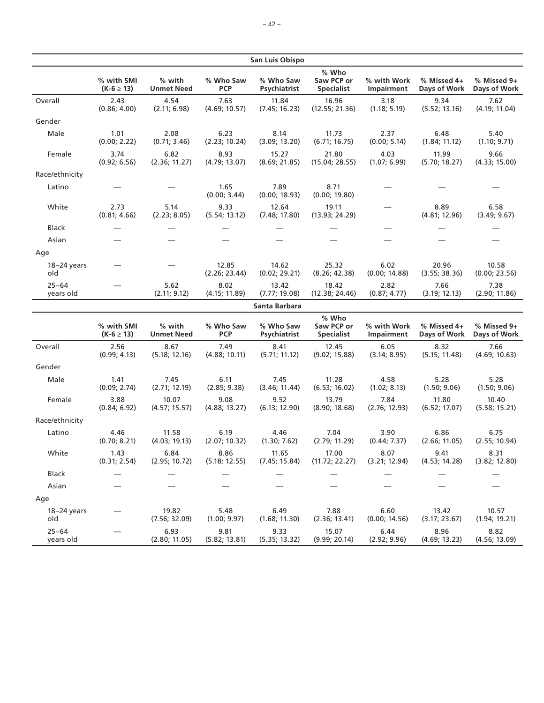|                        |                              |                             |                         | San Luis Obispo           |                                          |                           |                             |                             |
|------------------------|------------------------------|-----------------------------|-------------------------|---------------------------|------------------------------------------|---------------------------|-----------------------------|-----------------------------|
|                        | % with SMI<br>$(K-6 \ge 13)$ | % with<br><b>Unmet Need</b> | % Who Saw<br><b>PCP</b> | % Who Saw<br>Psychiatrist | % Who<br>Saw PCP or<br><b>Specialist</b> | % with Work<br>Impairment | % Missed 4+<br>Days of Work | % Missed 9+<br>Days of Work |
| Overall                | 2.43<br>(0.86; 4.00)         | 4.54<br>(2.11; 6.98)        | 7.63<br>(4.69; 10.57)   | 11.84<br>(7.45; 16.23)    | 16.96<br>(12.55; 21.36)                  | 3.18<br>(1.18; 5.19)      | 9.34<br>(5.52; 13.16)       | 7.62<br>(4.19; 11.04)       |
| Gender                 |                              |                             |                         |                           |                                          |                           |                             |                             |
| Male                   | 1.01<br>(0.00; 2.22)         | 2.08<br>(0.71; 3.46)        | 6.23<br>(2.23; 10.24)   | 8.14<br>(3.09; 13.20)     | 11.73<br>(6.71; 16.75)                   | 2.37<br>(0.00; 5.14)      | 6.48<br>(1.84; 11.12)       | 5.40<br>(1.10; 9.71)        |
| Female                 | 3.74<br>(0.92; 6.56)         | 6.82<br>(2.36; 11.27)       | 8.93<br>(4.79; 13.07)   | 15.27<br>(8.69; 21.85)    | 21.80<br>(15.04; 28.55)                  | 4.03<br>(1.07; 6.99)      | 11.99<br>(5.70; 18.27)      | 9.66<br>(4.33; 15.00)       |
| Race/ethnicity         |                              |                             |                         |                           |                                          |                           |                             |                             |
| Latino                 |                              |                             | 1.65<br>(0.00; 3.44)    | 7.89<br>(0.00; 18.93)     | 8.71<br>(0.00; 19.80)                    |                           |                             |                             |
| White                  | 2.73<br>(0.81; 4.66)         | 5.14<br>(2.23; 8.05)        | 9.33<br>(5.54; 13.12)   | 12.64<br>(7.48; 17.80)    | 19.11<br>(13.93; 24.29)                  |                           | 8.89<br>(4.81; 12.96)       | 6.58<br>(3.49; 9.67)        |
| <b>Black</b>           |                              |                             |                         |                           |                                          |                           |                             |                             |
| Asian                  |                              |                             |                         |                           |                                          |                           |                             |                             |
| Age                    |                              |                             |                         |                           |                                          |                           |                             |                             |
| 18-24 years<br>old     |                              |                             | 12.85<br>(2.26; 23.44)  | 14.62<br>(0.02; 29.21)    | 25.32<br>(8.26; 42.38)                   | 6.02<br>(0.00; 14.88)     | 20.96<br>(3.55; 38.36)      | 10.58<br>(0.00; 23.56)      |
| $25 - 64$<br>years old |                              | 5.62<br>(2.11; 9.12)        | 8.02<br>(4.15; 11.89)   | 13.42<br>(7.77; 19.08)    | 18.42<br>(12.38; 24.46)                  | 2.82<br>(0.87; 4.77)      | 7.66<br>(3.19; 12.13)       | 7.38<br>(2.90; 11.86)       |
|                        |                              |                             |                         | Santa Barbara             |                                          |                           |                             |                             |
|                        | % with SMI<br>$(K-6 \ge 13)$ | % with<br><b>Unmet Need</b> | % Who Saw<br><b>PCP</b> | % Who Saw<br>Psychiatrist | % Who<br>Saw PCP or<br><b>Specialist</b> | % with Work<br>Impairment | % Missed 4+<br>Days of Work | % Missed 9+<br>Days of Work |
| Overall                | 2.56<br>(0.99; 4.13)         | 8.67<br>(5.18; 12.16)       | 7.49<br>(4.88; 10.11)   | 8.41<br>(5.71; 11.12)     | 12.45<br>(9.02; 15.88)                   | 6.05<br>(3.14; 8.95)      | 8.32<br>(5.15; 11.48)       | 7.66<br>(4.69; 10.63)       |
| Gender                 |                              |                             |                         |                           |                                          |                           |                             |                             |
| Male                   | 1.41<br>(0.09; 2.74)         | 7.45<br>(2.71; 12.19)       | 6.11<br>(2.85; 9.38)    | 7.45<br>(3.46; 11.44)     | 11.28<br>(6.53; 16.02)                   | 4.58<br>(1.02; 8.13)      | 5.28<br>(1.50; 9.06)        | 5.28<br>(1.50; 9.06)        |
| Female                 | 3.88<br>(0.84; 6.92)         | 10.07<br>(4.57; 15.57)      | 9.08<br>(4.88; 13.27)   | 9.52<br>(6.13; 12.90)     | 13.79<br>(8.90; 18.68)                   | 7.84<br>(2.76; 12.93)     | 11.80<br>(6.52; 17.07)      | 10.40<br>(5.58; 15.21)      |
| Race/ethnicity         |                              |                             |                         |                           |                                          |                           |                             |                             |
| Latino                 | 4.46<br>(0.70; 8.21)         | 11.58<br>(4.03; 19.13)      | 6.19<br>(2.07; 10.32)   | 4.46<br>(1.30; 7.62)      | 7.04<br>(2.79; 11.29)                    | 3.90<br>(0.44; 7.37)      | 6.86<br>(2.66; 11.05)       | 6.75<br>(2.55; 10.94)       |
| White                  | 1.43<br>(0.31; 2.54)         | 6.84<br>(2.95; 10.72)       | 8.86<br>(5.18; 12.55)   | 11.65<br>(7.45; 15.84)    | 17.00<br>(11.72; 22.27)  (3.21; 12.94)   | 8.07                      | 9.41<br>(4.53; 14.28)       | 8.31<br>(3.82; 12.80)       |
| Black                  |                              |                             |                         |                           |                                          |                           |                             |                             |
| Asian                  |                              |                             |                         |                           |                                          |                           |                             |                             |
| Age                    |                              |                             |                         |                           |                                          |                           |                             |                             |
| $18-24$ years<br>old   |                              | 19.82<br>(7.56; 32.09)      | 5.48<br>(1.00; 9.97)    | 6.49<br>(1.68; 11.30)     | 7.88<br>(2.36; 13.41)                    | 6.60<br>(0.00; 14.56)     | 13.42<br>(3.17; 23.67)      | 10.57<br>(1.94; 19.21)      |
| $25 - 64$<br>years old |                              | 6.93<br>(2.80; 11.05)       | 9.81<br>(5.82; 13.81)   | 9.33<br>(5.35; 13.32)     | 15.07<br>(9.99; 20.14)                   | 6.44<br>(2.92; 9.96)      | 8.96<br>(4.69; 13.23)       | 8.82<br>(4.56; 13.09)       |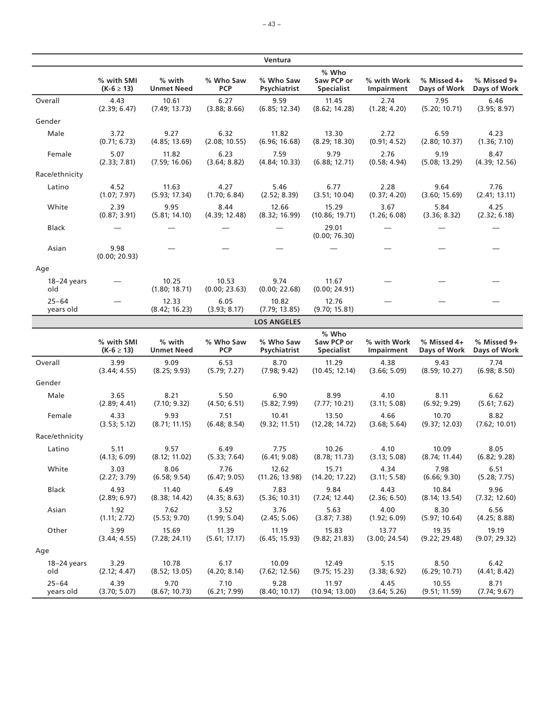|                        |                              |                             |                         | Ventura                   |                                          |                           |                             |                             |
|------------------------|------------------------------|-----------------------------|-------------------------|---------------------------|------------------------------------------|---------------------------|-----------------------------|-----------------------------|
|                        | % with SMI<br>$(K-6 \ge 13)$ | % with<br><b>Unmet Need</b> | % Who Saw<br><b>PCP</b> | % Who Saw<br>Psychiatrist | % Who<br>Saw PCP or<br><b>Specialist</b> | % with Work<br>Impairment | % Missed 4+<br>Days of Work | % Missed 9+<br>Days of Work |
| Overall                | 4.43                         | 10.61                       | 6.27                    | 9.59                      | 11.45                                    | 2.74                      | 7.95                        | 6.46                        |
|                        | (2.39; 6.47)                 | (7.49; 13.73)               | (3.88; 8.66)            | (6.85; 12.34)             | (8.62; 14.28)                            | (1.28; 4.20)              | (5.20; 10.71)               | (3.95; 8.97)                |
| Gender                 |                              |                             |                         |                           |                                          |                           |                             |                             |
| Male                   | 3.72                         | 9.27                        | 6.32                    | 11.82                     | 13.30                                    | 2.72                      | 6.59                        | 4.23                        |
|                        | (0.71; 6.73)                 | (4.85; 13.69)               | (2.08; 10.55)           | (6.96; 16.68)             | (8.29; 18.30)                            | (0.91; 4.52)              | (2.80; 10.37)               | (1.36; 7.10)                |
| Female                 | 5.07                         | 11.82                       | 6.23                    | 7.59                      | 9.79                                     | 2.76                      | 9.19                        | 8.47                        |
|                        | (2.33; 7.81)                 | (7.59; 16.06)               | (3.64; 8.82)            | (4.84; 10.33)             | (6.88; 12.71)                            | (0.58; 4.94)              | (5.08; 13.29)               | (4.39; 12.56)               |
| Race/ethnicity         |                              |                             |                         |                           |                                          |                           |                             |                             |
| Latino                 | 4.52                         | 11.63                       | 4.27                    | 5.46                      | 6.77                                     | 2.28                      | 9.64                        | 7.76                        |
|                        | (1.07; 7.97)                 | (5.93; 17.34)               | (1.70; 6.84)            | (2.52; 8.39)              | (3.51; 10.04)                            | (0.37; 4.20)              | (3.60; 15.69)               | (2.41; 13.11)               |
| White                  | 2.39                         | 9.95                        | 8.44                    | 12.66                     | 15.29                                    | 3.67                      | 5.84                        | 4.25                        |
|                        | (0.87; 3.91)                 | (5.81; 14.10)               | (4.39; 12.48)           | (8.32; 16.99)             | (10.86; 19.71)                           | (1.26; 6.08)              | (3.36; 8.32)                | (2.32; 6.18)                |
| <b>Black</b>           |                              |                             |                         |                           | 29.01<br>(0.00; 76.30)                   |                           |                             |                             |
| Asian                  | 9.98<br>(0.00; 20.93)        |                             |                         |                           |                                          |                           |                             |                             |
| Age                    |                              |                             |                         |                           |                                          |                           |                             |                             |
| 18-24 years<br>old     |                              | 10.25<br>(1.80; 18.71)      | 10.53<br>(0.00; 23.63)  | 9.74<br>(0.00; 22.68)     | 11.67<br>(0.00; 24.91)                   |                           |                             |                             |
| $25 - 64$<br>years old |                              | 12.33<br>(8.42; 16.23)      | 6.05<br>(3.93; 8.17)    | 10.82<br>(7.79; 13.85)    | 12.76<br>(9.70; 15.81)                   |                           |                             |                             |
|                        |                              |                             |                         | <b>LOS ANGELES</b>        |                                          |                           |                             |                             |
|                        |                              |                             |                         |                           | % Who                                    |                           |                             |                             |
|                        | % with SMI                   | % with                      | % Who Saw               | % Who Saw                 | Saw PCP or                               | % with Work               | % Missed 4+                 | % Missed 9+                 |
|                        | $(K-6 \ge 13)$               | <b>Unmet Need</b>           | <b>PCP</b>              | Psychiatrist              | <b>Specialist</b>                        | Impairment                | Days of Work                | Days of Work                |
| Overall                | 3.99                         | 9.09                        | 6.53                    | 8.70                      | 11.29                                    | 4.38                      | 9.43                        | 7.74                        |
|                        | (3.44; 4.55)                 | (8.25; 9.93)                | (5.79; 7.27)            | (7.98; 9.42)              | (10.45; 12.14)                           | (3.66; 5.09)              | (8.59; 10.27)               | (6.98; 8.50)                |
| Gender                 |                              |                             |                         |                           |                                          |                           |                             |                             |
| Male                   | 3.65                         | 8.21                        | 5.50                    | 6.90                      | 8.99                                     | 4.10                      | 8.11                        | 6.62                        |
|                        | (2.89; 4.41)                 | (7.10; 9.32)                | (4.50; 6.51)            | (5.82; 7.99)              | (7.77; 10.21)                            | (3.11; 5.08)              | (6.92; 9.29)                | (5.61; 7.62)                |
| Female                 | 4.33                         | 9.93                        | 7.51                    | 10.41                     | 13.50                                    | 4.66                      | 10.70                       | 8.82                        |
|                        | (3.53; 5.12)                 | (8.71; 11.15)               | (6.48; 8.54)            | (9.32; 11.51)             | (12.28; 14.72)                           | (3.68; 5.64)              | (9.37; 12.03)               | (7.62; 10.01)               |
| Race/ethnicity         |                              |                             |                         |                           |                                          |                           |                             |                             |
| Latino                 | 5.11                         | 9.57                        | 6.49                    | 7.75                      | 10.26                                    | 4.10                      | 10.09                       | 8.05                        |
|                        | (4.13; 6.09)                 | (8.12; 11.02)               | (5.33; 7.64)            | (6.41; 9.08)              | (8.78; 11.73)                            | (3.13; 5.08)              | (8.74; 11.44)               | (6.82; 9.28)                |
| White                  | 3.03                         | 8.06                        | 7.76                    | 12.62                     | 15.71                                    | 4.34                      | 7.98                        | 6.51                        |
|                        | (2.27; 3.79)                 | (6.58; 9.54)                | (6.47; 9.05)            | (11.26; 13.98)            | (14.20; 17.22)                           | (3.11; 5.58)              | (6.66; 9.30)                | (5.28; 7.75)                |
| <b>Black</b>           | 4.93                         | 11.40                       | 6.49                    | 7.83                      | 9.84                                     | 4.43                      | 10.84                       | 9.96                        |
|                        | (2.89; 6.97)                 | (8.38; 14.42)               | (4.35; 8.63)            | (5.36; 10.31)             | (7.24; 12.44)                            | (2.36; 6.50)              | (8.14; 13.54)               | (7.32; 12.60)               |
| Asian                  | 1.92                         | 7.62                        | 3.52                    | 3.76                      | 5.63                                     | 4.00                      | 8.30                        | 6.56                        |
|                        | (1.11; 2.72)                 | (5.53; 9.70)                | (1.99; 5.04)            | (2.45; 5.06)              | (3.87; 7.38)                             | (1.92; 6.09)              | (5.97; 10.64)               | (4.25; 8.88)                |
| Other                  | 3.99                         | 15.69                       | 11.39                   | 11.19                     | 15.83                                    | 13.77                     | 19.35                       | 19.19                       |
|                        | (3.44; 4.55)                 | (7.28; 24.11)               | (5.61; 17.17)           | (6.45; 15.93)             | (9.82; 21.83)                            | (3.00; 24.54)             | (9.22; 29.48)               | (9.07; 29.32)               |
| Age                    |                              |                             |                         |                           |                                          |                           |                             |                             |
| $18-24$ years          | 3.29                         | 10.78                       | 6.17                    | 10.09                     | 12.49                                    | 5.15                      | 8.50                        | 6.42                        |
| old                    | (2.12; 4.47)                 | (8.52; 13.05)               | (4.20; 8.14)            | (7.62; 12.56)             | (9.75; 15.23)                            | (3.38; 6.92)              | (6.29; 10.71)               | (4.41; 8.42)                |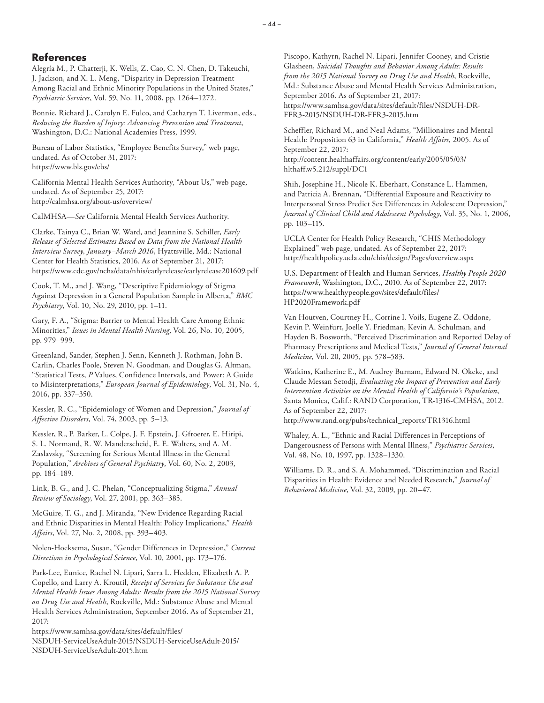### **References**

Alegría M., P. Chatterji, K. Wells, Z. Cao, C. N. Chen, D. Takeuchi, J. Jackson, and X. L. Meng, "Disparity in Depression Treatment Among Racial and Ethnic Minority Populations in the United States," *Psychiatric Services*, Vol. 59, No. 11, 2008, pp. 1264–1272.

Bonnie, Richard J., Carolyn E. Fulco, and Catharyn T. Liverman, eds., *Reducing the Burden of Injury: Advancing Prevention and Treatment*, Washington, D.C.: National Academies Press, 1999.

Bureau of Labor Statistics, "Employee Benefits Survey," web page, undated. As of October 31, 2017: <https://www.bls.gov/ebs/>

California Mental Health Services Authority, "About Us," web page, undated. As of September 25, 2017: <http://calmhsa.org/about-us/overview/>

CalMHSA—*See* California Mental Health Services Authority.

Clarke, Tainya C., Brian W. Ward, and Jeannine S. Schiller, *Early Release of Selected Estimates Based on Data from the National Health Interview Survey, January–March 2016*, Hyattsville, Md.: National Center for Health Statistics, 2016. As of September 21, 2017: <https://www.cdc.gov/nchs/data/nhis/earlyrelease/earlyrelease201609.pdf>

Cook, T. M., and J. Wang, "Descriptive Epidemiology of Stigma Against Depression in a General Population Sample in Alberta," *BMC Psychiatry*, Vol. 10, No. 29, 2010, pp. 1–11.

Gary, F. A., "Stigma: Barrier to Mental Health Care Among Ethnic Minorities," *Issues in Mental Health Nursing*, Vol. 26, No. 10, 2005, pp. 979–999.

Greenland, Sander, Stephen J. Senn, Kenneth J. Rothman, John B. Carlin, Charles Poole, Steven N. Goodman, and Douglas G. Altman, "Statistical Tests, *P* Values, Confidence Intervals, and Power: A Guide to Misinterpretations," *European Journal of Epidemiology*, Vol. 31, No. 4, 2016, pp. 337–350.

Kessler, R. C., "Epidemiology of Women and Depression," *Journal of Affective Disorders*, Vol. 74, 2003, pp. 5–13.

Kessler, R., P. Barker, L. Colpe, J. F. Epstein, J. Gfroerer, E. Hiripi, S. L. Normand, R. W. Manderscheid, E. E. Walters, and A. M. Zaslavsky, "Screening for Serious Mental Illness in the General Population," *Archives of General Psychiatry*, Vol. 60, No. 2, 2003, pp. 184–189.

Link, B. G., and J. C. Phelan, "Conceptualizing Stigma," *Annual Review of Sociology*, Vol. 27, 2001, pp. 363–385.

McGuire, T. G., and J. Miranda, "New Evidence Regarding Racial and Ethnic Disparities in Mental Health: Policy Implications," *Health Affairs*, Vol. 27, No. 2, 2008, pp. 393–403.

Nolen-Hoeksema, Susan, "Gender Differences in Depression," *Current Directions in Psychological Science*, Vol. 10, 2001, pp. 173–176.

Park-Lee, Eunice, Rachel N. Lipari, Sarra L. Hedden, Elizabeth A. P. Copello, and Larry A. Kroutil, *Receipt of Services for Substance Use and Mental Health Issues Among Adults: Results from the 2015 National Survey on Drug Use and Health*, Rockville, Md.: Substance Abuse and Mental Health Services Administration, September 2016. As of September 21, 2017:

https://www.samhsa.gov/data/sites/default/files/ [NSDUH-ServiceUseAdult-2015/NSDUH-ServiceUseAdult-2015/](https://www.samhsa.gov/data/sites/default/files/NSDUH-ServiceUseAdult-2015/NSDUH-ServiceUseAdult-2015/NSDUH-ServiceUseAdult-2015.htm) NSDUH-ServiceUseAdult-2015.htm

Piscopo, Kathyrn, Rachel N. Lipari, Jennifer Cooney, and Cristie Glasheen, *Suicidal Thoughts and Behavior Among Adults: Results from the 2015 National Survey on Drug Use and Health*, Rockville, Md.: Substance Abuse and Mental Health Services Administration, September 2016. As of September 21, 2017: [https://www.samhsa.gov/data/sites/default/files/NSDUH-DR-](https://www.samhsa.gov/data/sites/default/files/NSDUH-DR-FFR3-2015/NSDUH-DR-FFR3-2015.htm)FFR3-2015/NSDUH-DR-FFR3-2015.htm

Scheffler, Richard M., and Neal Adams, "Millionaires and Mental Health: Proposition 63 in California," *Health Affairs*, 2005. As of September 22, 2017: [http://content.healthaffairs.org/content/early/2005/05/03/](http://content.healthaffairs.org/content/early/2005/05/03/hlthaff.w5.212/suppl/DC1) hlthaff.w5.212/suppl/DC1

Shih, Josephine H., Nicole K. Eberhart, Constance L. Hammen, and Patricia A. Brennan, "Differential Exposure and Reactivity to Interpersonal Stress Predict Sex Differences in Adolescent Depression," *Journal of Clinical Child and Adolescent Psychology*, Vol. 35, No. 1, 2006, pp. 103–115.

UCLA Center for Health Policy Research, "CHIS Methodology Explained" web page, undated. As of September 22, 2017: <http://healthpolicy.ucla.edu/chis/design/Pages/overview.aspx>

U.S. Department of Health and Human Services, *Healthy People 2020 Framework*, Washington, D.C., 2010. As of September 22, 2017: [https://www.healthypeople.gov/sites/default/files/](https://www.healthypeople.gov/sites/default/files/HP2020Framework.pdf) HP2020Framework.pdf

Van Houtven, Courtney H., Corrine I. Voils, Eugene Z. Oddone, Kevin P. Weinfurt, Joelle Y. Friedman, Kevin A. Schulman, and Hayden B. Bosworth, "Perceived Discrimination and Reported Delay of Pharmacy Prescriptions and Medical Tests," *Journal of General Internal Medicine*, Vol. 20, 2005, pp. 578–583.

Watkins, Katherine E., M. Audrey Burnam, Edward N. Okeke, and Claude Messan Setodji, *Evaluating the Impact of Prevention and Early Intervention Activities on the Mental Health of California's Population*, Santa Monica, Calif.: RAND Corporation, TR-1316-CMHSA, 2012. As of September 22, 2017:

[http://www.rand.org/pubs/technical\\_reports/TR1316.html](http://www.rand.org/pubs/technical_reports/TR1316.html)

Whaley, A. L., "Ethnic and Racial Differences in Perceptions of Dangerousness of Persons with Mental Illness," *Psychiatric Services*, Vol. 48, No. 10, 1997, pp. 1328–1330.

Williams, D. R., and S. A. Mohammed, "Discrimination and Racial Disparities in Health: Evidence and Needed Research," *Journal of Behavioral Medicine*, Vol. 32, 2009, pp. 20–47.